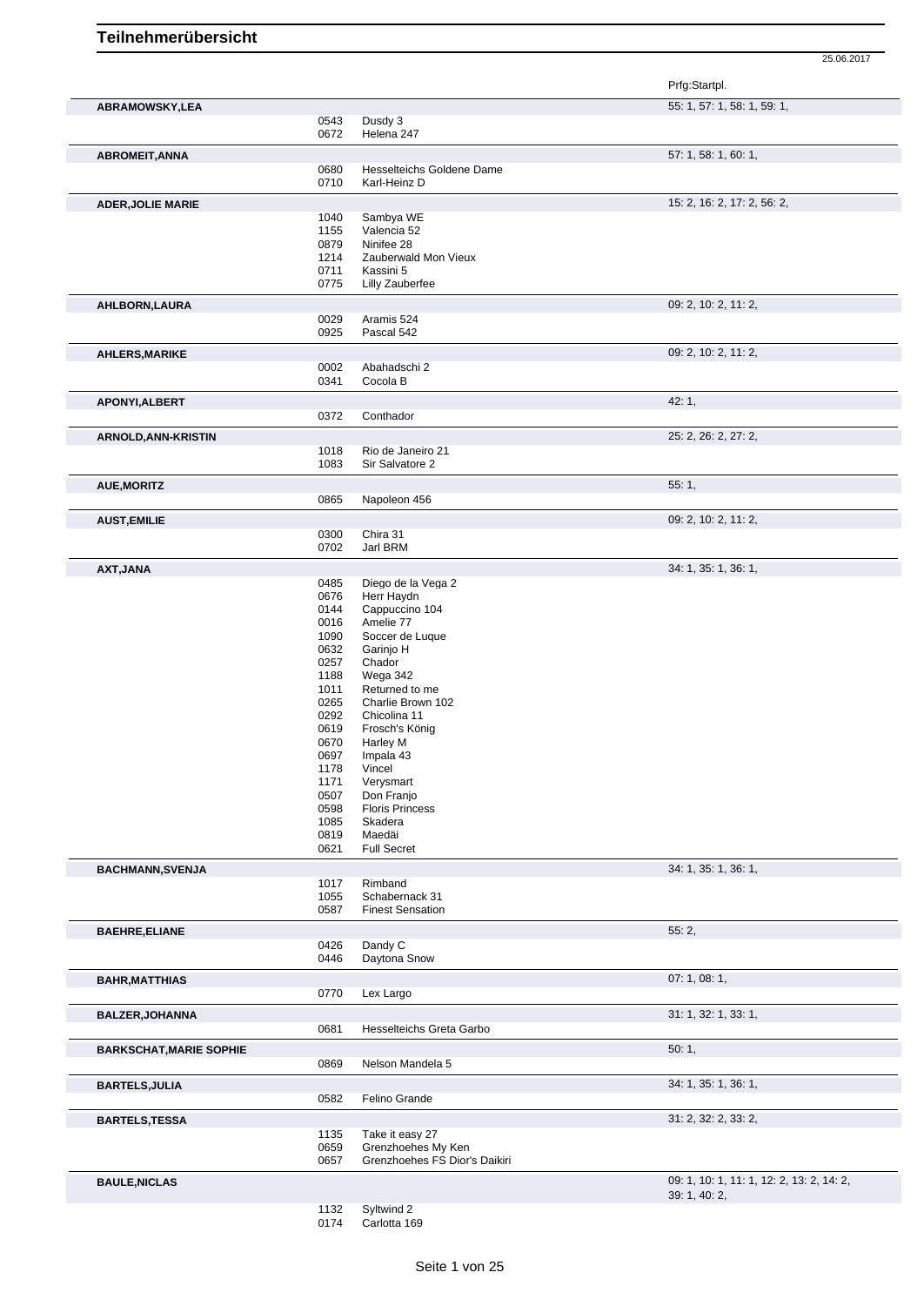25.06.2017

|                                |              |                                    | Prfg:Startpl.                             |
|--------------------------------|--------------|------------------------------------|-------------------------------------------|
| ABRAMOWSKY,LEA                 |              |                                    | 55: 1, 57: 1, 58: 1, 59: 1,               |
|                                | 0543<br>0672 | Dusdy 3<br>Helena 247              |                                           |
|                                |              |                                    | 57: 1, 58: 1, 60: 1,                      |
| <b>ABROMEIT, ANNA</b>          | 0680         | Hesselteichs Goldene Dame          |                                           |
|                                | 0710         | Karl-Heinz D                       |                                           |
| <b>ADER, JOLIE MARIE</b>       |              |                                    | 15: 2, 16: 2, 17: 2, 56: 2,               |
|                                | 1040         | Sambya WE                          |                                           |
|                                | 1155         | Valencia 52                        |                                           |
|                                | 0879<br>1214 | Ninifee 28<br>Zauberwald Mon Vieux |                                           |
|                                | 0711         | Kassini 5                          |                                           |
|                                | 0775         | Lilly Zauberfee                    |                                           |
| AHLBORN, LAURA                 |              |                                    | 09: 2, 10: 2, 11: 2,                      |
|                                | 0029         | Aramis 524                         |                                           |
|                                | 0925         | Pascal 542                         |                                           |
| <b>AHLERS, MARIKE</b>          |              |                                    | 09: 2, 10: 2, 11: 2,                      |
|                                | 0002<br>0341 | Abahadschi 2<br>Cocola B           |                                           |
|                                |              |                                    |                                           |
| APONYI, ALBERT                 | 0372         | Conthador                          | 42:1,                                     |
|                                |              |                                    |                                           |
| <b>ARNOLD, ANN-KRISTIN</b>     | 1018         | Rio de Janeiro 21                  | 25: 2, 26: 2, 27: 2,                      |
|                                | 1083         | Sir Salvatore 2                    |                                           |
| <b>AUE, MORITZ</b>             |              |                                    | 55:1,                                     |
|                                | 0865         | Napoleon 456                       |                                           |
| <b>AUST, EMILIE</b>            |              |                                    | 09: 2, 10: 2, 11: 2,                      |
|                                | 0300         | Chira 31                           |                                           |
|                                | 0702         | Jarl BRM                           |                                           |
| AXT, JANA                      |              |                                    | 34: 1, 35: 1, 36: 1,                      |
|                                | 0485         | Diego de la Vega 2                 |                                           |
|                                | 0676         | Herr Haydn                         |                                           |
|                                | 0144         | Cappuccino 104                     |                                           |
|                                | 0016<br>1090 | Amelie 77<br>Soccer de Luque       |                                           |
|                                | 0632         | Garinjo H                          |                                           |
|                                | 0257         | Chador                             |                                           |
|                                | 1188         | Wega 342                           |                                           |
|                                | 1011         | Returned to me                     |                                           |
|                                | 0265         | Charlie Brown 102                  |                                           |
|                                | 0292         | Chicolina 11                       |                                           |
|                                | 0619         | Frosch's König                     |                                           |
|                                | 0670         | Harley M                           |                                           |
|                                | 0697         | Impala 43                          |                                           |
|                                | 1178         | Vincel                             |                                           |
|                                | 1171         | Verysmart                          |                                           |
|                                | 0507         | Don Franjo                         |                                           |
|                                | 0598         | <b>Floris Princess</b>             |                                           |
|                                | 1085<br>0819 | Skadera<br>Maedäi                  |                                           |
|                                | 0621         | <b>Full Secret</b>                 |                                           |
| <b>BACHMANN, SVENJA</b>        |              |                                    | 34: 1, 35: 1, 36: 1,                      |
|                                | 1017         | Rimband                            |                                           |
|                                | 1055         | Schabernack 31                     |                                           |
|                                | 0587         | <b>Finest Sensation</b>            |                                           |
| <b>BAEHRE, ELIANE</b>          |              |                                    | 55:2,                                     |
|                                | 0426<br>0446 | Dandy C<br>Daytona Snow            |                                           |
|                                |              |                                    |                                           |
| <b>BAHR, MATTHIAS</b>          | 0770         | Lex Largo                          | 07:1,08:1,                                |
|                                |              |                                    | 31: 1, 32: 1, 33: 1,                      |
| <b>BALZER, JOHANNA</b>         | 0681         | Hesselteichs Greta Garbo           |                                           |
| <b>BARKSCHAT, MARIE SOPHIE</b> |              |                                    | 50:1,                                     |
|                                | 0869         | Nelson Mandela 5                   |                                           |
| <b>BARTELS, JULIA</b>          |              |                                    | 34: 1, 35: 1, 36: 1,                      |
|                                | 0582         | Felino Grande                      |                                           |
| <b>BARTELS, TESSA</b>          |              |                                    | 31: 2, 32: 2, 33: 2,                      |
|                                | 1135         | Take it easy 27                    |                                           |
|                                | 0659         | Grenzhoehes My Ken                 |                                           |
|                                | 0657         | Grenzhoehes FS Dior's Daikiri      |                                           |
| <b>BAULE, NICLAS</b>           |              |                                    | 09: 1, 10: 1, 11: 1, 12: 2, 13: 2, 14: 2, |
|                                |              |                                    | 39: 1, 40: 2,                             |
|                                | 1132         | Syltwind 2                         |                                           |

Carlotta 169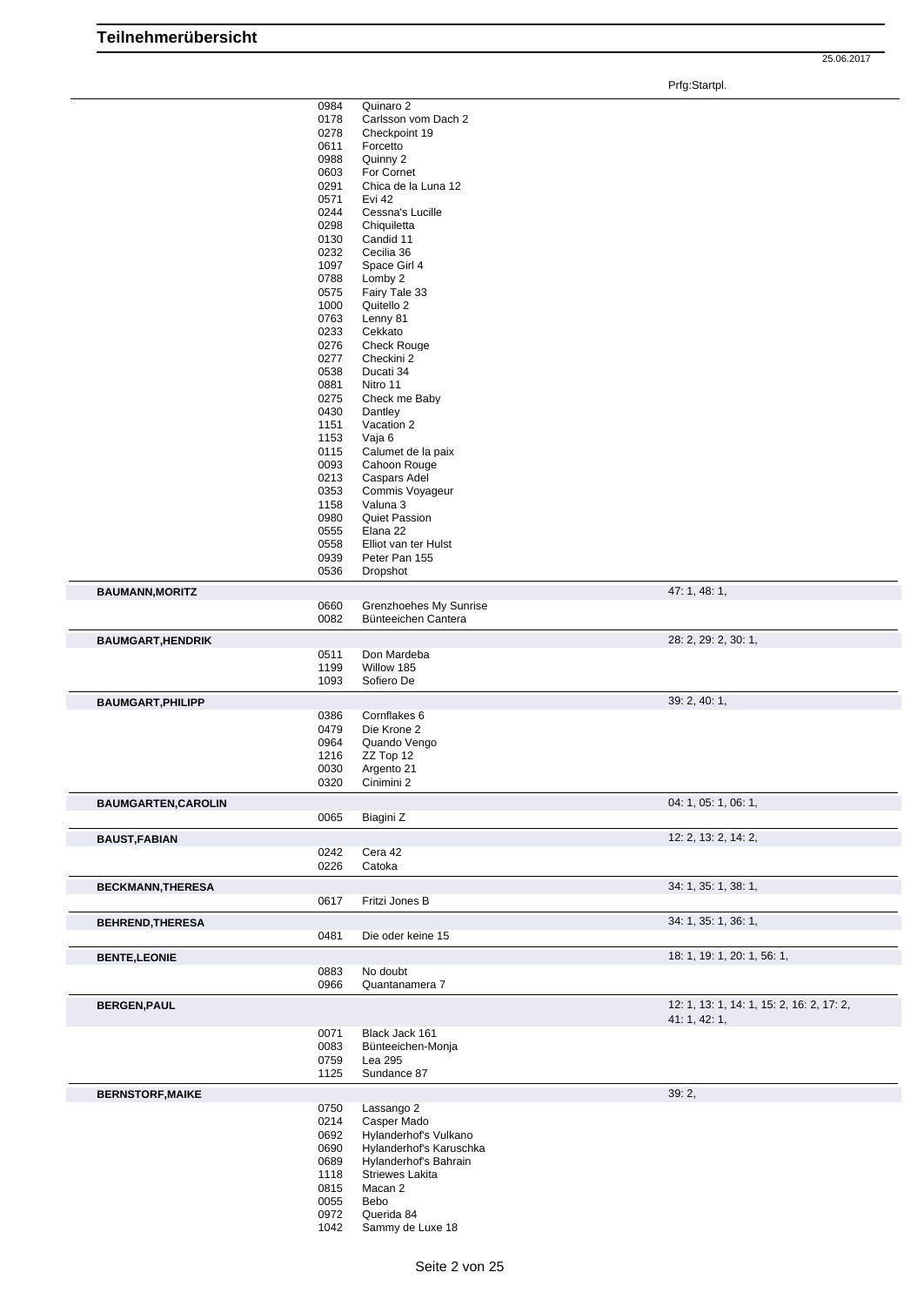|                            | 0984         | Quinaro 2                      |                                           |
|----------------------------|--------------|--------------------------------|-------------------------------------------|
|                            | 0178         | Carlsson vom Dach 2            |                                           |
|                            | 0278         | Checkpoint 19                  |                                           |
|                            | 0611         | Forcetto                       |                                           |
|                            | 0988         | Quinny 2                       |                                           |
|                            | 0603         | For Cornet                     |                                           |
|                            | 0291         | Chica de la Luna 12            |                                           |
|                            | 0571         | Evi 42                         |                                           |
|                            | 0244         | Cessna's Lucille               |                                           |
|                            | 0298         | Chiquiletta                    |                                           |
|                            | 0130         | Candid 11                      |                                           |
|                            | 0232         | Cecilia 36                     |                                           |
|                            | 1097         | Space Girl 4                   |                                           |
|                            | 0788         | Lomby 2                        |                                           |
|                            | 0575         | Fairy Tale 33<br>Quitello 2    |                                           |
|                            | 1000         |                                |                                           |
|                            | 0763<br>0233 | Lenny 81                       |                                           |
|                            | 0276         | Cekkato<br><b>Check Rouge</b>  |                                           |
|                            | 0277         | Checkini 2                     |                                           |
|                            | 0538         | Ducati 34                      |                                           |
|                            | 0881         | Nitro 11                       |                                           |
|                            | 0275         | Check me Baby                  |                                           |
|                            | 0430         | Dantley                        |                                           |
|                            | 1151         | Vacation 2                     |                                           |
|                            | 1153         | Vaja 6                         |                                           |
|                            | 0115         | Calumet de la paix             |                                           |
|                            | 0093         | Cahoon Rouge                   |                                           |
|                            | 0213         | Caspars Adel                   |                                           |
|                            | 0353         | Commis Voyageur                |                                           |
|                            | 1158         | Valuna 3                       |                                           |
|                            | 0980         | <b>Quiet Passion</b>           |                                           |
|                            | 0555         | Elana 22                       |                                           |
|                            | 0558         | Elliot van ter Hulst           |                                           |
|                            | 0939         | Peter Pan 155                  |                                           |
|                            | 0536         | Dropshot                       |                                           |
| <b>BAUMANN, MORITZ</b>     |              |                                | 47: 1, 48: 1,                             |
|                            | 0660         | Grenzhoehes My Sunrise         |                                           |
|                            | 0082         | Bünteeichen Cantera            |                                           |
|                            |              |                                |                                           |
| <b>BAUMGART, HENDRIK</b>   |              |                                | 28: 2, 29: 2, 30: 1,                      |
|                            | 0511         | Don Mardeba                    |                                           |
|                            | 1199         | Willow 185                     |                                           |
|                            | 1093         | Sofiero De                     |                                           |
| <b>BAUMGART, PHILIPP</b>   |              |                                | 39: 2, 40: 1,                             |
|                            | 0386         | Cornflakes 6                   |                                           |
|                            | 0479         | Die Krone 2                    |                                           |
|                            | 0964         | Quando Vengo                   |                                           |
|                            | 1216         | ZZ Top 12                      |                                           |
|                            | 0030         | Argento 21                     |                                           |
|                            | 0320         | Cinimini 2                     |                                           |
| <b>BAUMGARTEN, CAROLIN</b> |              |                                | 04: 1, 05: 1, 06: 1,                      |
|                            | 0065         | Biagini Z                      |                                           |
|                            |              |                                |                                           |
| <b>BAUST, FABIAN</b>       |              |                                | 12: 2, 13: 2, 14: 2,                      |
|                            | 0242         | Cera 42                        |                                           |
|                            | 0226         | Catoka                         |                                           |
| <b>BECKMANN, THERESA</b>   |              |                                | 34: 1, 35: 1, 38: 1,                      |
|                            | 0617         | Fritzi Jones B                 |                                           |
|                            |              |                                | 34: 1, 35: 1, 36: 1,                      |
| <b>BEHREND, THERESA</b>    |              | Die oder keine 15              |                                           |
|                            | 0481         |                                |                                           |
| <b>BENTE, LEONIE</b>       |              |                                | 18: 1, 19: 1, 20: 1, 56: 1,               |
|                            | 0883         | No doubt                       |                                           |
|                            | 0966         | Quantanamera 7                 |                                           |
| <b>BERGEN, PAUL</b>        |              |                                | 12: 1, 13: 1, 14: 1, 15: 2, 16: 2, 17: 2, |
|                            |              |                                | 41: 1, 42: 1,                             |
|                            | 0071         | Black Jack 161                 |                                           |
|                            | 0083         | Bünteeichen-Monja              |                                           |
|                            | 0759         | Lea 295                        |                                           |
|                            |              | Sundance 87                    |                                           |
|                            | 1125         |                                |                                           |
|                            |              |                                |                                           |
| <b>BERNSTORF, MAIKE</b>    |              |                                | 39: 2,                                    |
|                            | 0750         | Lassango 2                     |                                           |
|                            | 0214         | Casper Mado                    |                                           |
|                            | 0692         | Hylanderhof's Vulkano          |                                           |
|                            | 0690         | Hylanderhof's Karuschka        |                                           |
|                            | 0689         | Hylanderhof's Bahrain          |                                           |
|                            | 1118         | <b>Striewes Lakita</b>         |                                           |
|                            | 0815         | Macan 2                        |                                           |
|                            | 0055         | Bebo                           |                                           |
|                            | 0972<br>1042 | Querida 84<br>Sammy de Luxe 18 |                                           |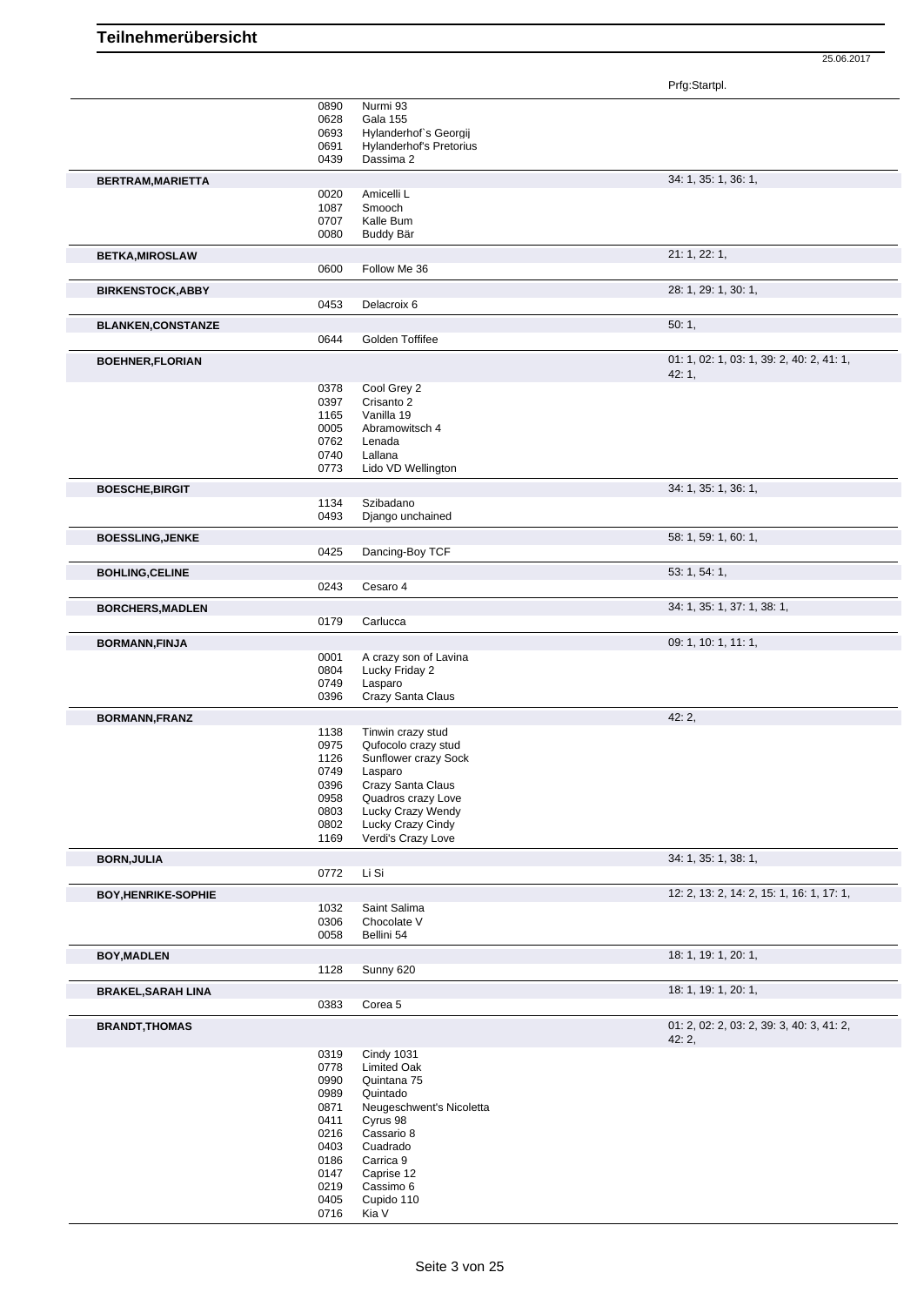| 0890<br>Nurmi 93<br><b>Gala 155</b><br>0628<br>0693<br>Hylanderhof's Georgij<br>0691<br><b>Hylanderhof's Pretorius</b><br>0439<br>Dassima 2<br>34: 1, 35: 1, 36: 1,<br>BERTRAM, MARIETTA<br>0020<br>Amicelli L<br>Smooch<br>1087<br>0707<br>Kalle Bum<br>0080<br>Buddy Bär<br>21: 1, 22: 1,<br><b>BETKA, MIROSLAW</b><br>0600<br>Follow Me 36<br>28: 1, 29: 1, 30: 1,<br><b>BIRKENSTOCK, ABBY</b><br>0453<br>Delacroix 6<br>50:1,<br><b>BLANKEN, CONSTANZE</b><br>0644<br>Golden Toffifee<br>01: 1, 02: 1, 03: 1, 39: 2, 40: 2, 41: 1,<br><b>BOEHNER, FLORIAN</b><br>42:1,<br>0378<br>Cool Grey 2<br>0397<br>Crisanto 2<br>Vanilla 19<br>1165<br>0005<br>Abramowitsch 4<br>0762<br>Lenada<br>0740<br>Lallana<br>0773<br>Lido VD Wellington<br>34: 1, 35: 1, 36: 1,<br><b>BOESCHE, BIRGIT</b><br>Szibadano<br>1134<br>0493<br>Django unchained<br>58: 1, 59: 1, 60: 1,<br><b>BOESSLING, JENKE</b><br>0425<br>Dancing-Boy TCF<br>53: 1, 54: 1,<br><b>BOHLING, CELINE</b><br>0243<br>Cesaro 4<br>34: 1, 35: 1, 37: 1, 38: 1,<br><b>BORCHERS, MADLEN</b><br>0179<br>Carlucca<br>09: 1, 10: 1, 11: 1,<br><b>BORMANN, FINJA</b><br>0001<br>A crazy son of Lavina<br>Lucky Friday 2<br>0804 |  |
|--------------------------------------------------------------------------------------------------------------------------------------------------------------------------------------------------------------------------------------------------------------------------------------------------------------------------------------------------------------------------------------------------------------------------------------------------------------------------------------------------------------------------------------------------------------------------------------------------------------------------------------------------------------------------------------------------------------------------------------------------------------------------------------------------------------------------------------------------------------------------------------------------------------------------------------------------------------------------------------------------------------------------------------------------------------------------------------------------------------------------------------------------------------------------------------|--|
|                                                                                                                                                                                                                                                                                                                                                                                                                                                                                                                                                                                                                                                                                                                                                                                                                                                                                                                                                                                                                                                                                                                                                                                      |  |
|                                                                                                                                                                                                                                                                                                                                                                                                                                                                                                                                                                                                                                                                                                                                                                                                                                                                                                                                                                                                                                                                                                                                                                                      |  |
|                                                                                                                                                                                                                                                                                                                                                                                                                                                                                                                                                                                                                                                                                                                                                                                                                                                                                                                                                                                                                                                                                                                                                                                      |  |
|                                                                                                                                                                                                                                                                                                                                                                                                                                                                                                                                                                                                                                                                                                                                                                                                                                                                                                                                                                                                                                                                                                                                                                                      |  |
|                                                                                                                                                                                                                                                                                                                                                                                                                                                                                                                                                                                                                                                                                                                                                                                                                                                                                                                                                                                                                                                                                                                                                                                      |  |
|                                                                                                                                                                                                                                                                                                                                                                                                                                                                                                                                                                                                                                                                                                                                                                                                                                                                                                                                                                                                                                                                                                                                                                                      |  |
|                                                                                                                                                                                                                                                                                                                                                                                                                                                                                                                                                                                                                                                                                                                                                                                                                                                                                                                                                                                                                                                                                                                                                                                      |  |
|                                                                                                                                                                                                                                                                                                                                                                                                                                                                                                                                                                                                                                                                                                                                                                                                                                                                                                                                                                                                                                                                                                                                                                                      |  |
|                                                                                                                                                                                                                                                                                                                                                                                                                                                                                                                                                                                                                                                                                                                                                                                                                                                                                                                                                                                                                                                                                                                                                                                      |  |
|                                                                                                                                                                                                                                                                                                                                                                                                                                                                                                                                                                                                                                                                                                                                                                                                                                                                                                                                                                                                                                                                                                                                                                                      |  |
|                                                                                                                                                                                                                                                                                                                                                                                                                                                                                                                                                                                                                                                                                                                                                                                                                                                                                                                                                                                                                                                                                                                                                                                      |  |
|                                                                                                                                                                                                                                                                                                                                                                                                                                                                                                                                                                                                                                                                                                                                                                                                                                                                                                                                                                                                                                                                                                                                                                                      |  |
|                                                                                                                                                                                                                                                                                                                                                                                                                                                                                                                                                                                                                                                                                                                                                                                                                                                                                                                                                                                                                                                                                                                                                                                      |  |
|                                                                                                                                                                                                                                                                                                                                                                                                                                                                                                                                                                                                                                                                                                                                                                                                                                                                                                                                                                                                                                                                                                                                                                                      |  |
|                                                                                                                                                                                                                                                                                                                                                                                                                                                                                                                                                                                                                                                                                                                                                                                                                                                                                                                                                                                                                                                                                                                                                                                      |  |
|                                                                                                                                                                                                                                                                                                                                                                                                                                                                                                                                                                                                                                                                                                                                                                                                                                                                                                                                                                                                                                                                                                                                                                                      |  |
|                                                                                                                                                                                                                                                                                                                                                                                                                                                                                                                                                                                                                                                                                                                                                                                                                                                                                                                                                                                                                                                                                                                                                                                      |  |
|                                                                                                                                                                                                                                                                                                                                                                                                                                                                                                                                                                                                                                                                                                                                                                                                                                                                                                                                                                                                                                                                                                                                                                                      |  |
|                                                                                                                                                                                                                                                                                                                                                                                                                                                                                                                                                                                                                                                                                                                                                                                                                                                                                                                                                                                                                                                                                                                                                                                      |  |
|                                                                                                                                                                                                                                                                                                                                                                                                                                                                                                                                                                                                                                                                                                                                                                                                                                                                                                                                                                                                                                                                                                                                                                                      |  |
|                                                                                                                                                                                                                                                                                                                                                                                                                                                                                                                                                                                                                                                                                                                                                                                                                                                                                                                                                                                                                                                                                                                                                                                      |  |
|                                                                                                                                                                                                                                                                                                                                                                                                                                                                                                                                                                                                                                                                                                                                                                                                                                                                                                                                                                                                                                                                                                                                                                                      |  |
|                                                                                                                                                                                                                                                                                                                                                                                                                                                                                                                                                                                                                                                                                                                                                                                                                                                                                                                                                                                                                                                                                                                                                                                      |  |
|                                                                                                                                                                                                                                                                                                                                                                                                                                                                                                                                                                                                                                                                                                                                                                                                                                                                                                                                                                                                                                                                                                                                                                                      |  |
|                                                                                                                                                                                                                                                                                                                                                                                                                                                                                                                                                                                                                                                                                                                                                                                                                                                                                                                                                                                                                                                                                                                                                                                      |  |
|                                                                                                                                                                                                                                                                                                                                                                                                                                                                                                                                                                                                                                                                                                                                                                                                                                                                                                                                                                                                                                                                                                                                                                                      |  |
|                                                                                                                                                                                                                                                                                                                                                                                                                                                                                                                                                                                                                                                                                                                                                                                                                                                                                                                                                                                                                                                                                                                                                                                      |  |
|                                                                                                                                                                                                                                                                                                                                                                                                                                                                                                                                                                                                                                                                                                                                                                                                                                                                                                                                                                                                                                                                                                                                                                                      |  |
|                                                                                                                                                                                                                                                                                                                                                                                                                                                                                                                                                                                                                                                                                                                                                                                                                                                                                                                                                                                                                                                                                                                                                                                      |  |
|                                                                                                                                                                                                                                                                                                                                                                                                                                                                                                                                                                                                                                                                                                                                                                                                                                                                                                                                                                                                                                                                                                                                                                                      |  |
|                                                                                                                                                                                                                                                                                                                                                                                                                                                                                                                                                                                                                                                                                                                                                                                                                                                                                                                                                                                                                                                                                                                                                                                      |  |
|                                                                                                                                                                                                                                                                                                                                                                                                                                                                                                                                                                                                                                                                                                                                                                                                                                                                                                                                                                                                                                                                                                                                                                                      |  |
|                                                                                                                                                                                                                                                                                                                                                                                                                                                                                                                                                                                                                                                                                                                                                                                                                                                                                                                                                                                                                                                                                                                                                                                      |  |
|                                                                                                                                                                                                                                                                                                                                                                                                                                                                                                                                                                                                                                                                                                                                                                                                                                                                                                                                                                                                                                                                                                                                                                                      |  |
|                                                                                                                                                                                                                                                                                                                                                                                                                                                                                                                                                                                                                                                                                                                                                                                                                                                                                                                                                                                                                                                                                                                                                                                      |  |
|                                                                                                                                                                                                                                                                                                                                                                                                                                                                                                                                                                                                                                                                                                                                                                                                                                                                                                                                                                                                                                                                                                                                                                                      |  |
|                                                                                                                                                                                                                                                                                                                                                                                                                                                                                                                                                                                                                                                                                                                                                                                                                                                                                                                                                                                                                                                                                                                                                                                      |  |
|                                                                                                                                                                                                                                                                                                                                                                                                                                                                                                                                                                                                                                                                                                                                                                                                                                                                                                                                                                                                                                                                                                                                                                                      |  |
|                                                                                                                                                                                                                                                                                                                                                                                                                                                                                                                                                                                                                                                                                                                                                                                                                                                                                                                                                                                                                                                                                                                                                                                      |  |
|                                                                                                                                                                                                                                                                                                                                                                                                                                                                                                                                                                                                                                                                                                                                                                                                                                                                                                                                                                                                                                                                                                                                                                                      |  |
|                                                                                                                                                                                                                                                                                                                                                                                                                                                                                                                                                                                                                                                                                                                                                                                                                                                                                                                                                                                                                                                                                                                                                                                      |  |
|                                                                                                                                                                                                                                                                                                                                                                                                                                                                                                                                                                                                                                                                                                                                                                                                                                                                                                                                                                                                                                                                                                                                                                                      |  |
|                                                                                                                                                                                                                                                                                                                                                                                                                                                                                                                                                                                                                                                                                                                                                                                                                                                                                                                                                                                                                                                                                                                                                                                      |  |
|                                                                                                                                                                                                                                                                                                                                                                                                                                                                                                                                                                                                                                                                                                                                                                                                                                                                                                                                                                                                                                                                                                                                                                                      |  |
|                                                                                                                                                                                                                                                                                                                                                                                                                                                                                                                                                                                                                                                                                                                                                                                                                                                                                                                                                                                                                                                                                                                                                                                      |  |
|                                                                                                                                                                                                                                                                                                                                                                                                                                                                                                                                                                                                                                                                                                                                                                                                                                                                                                                                                                                                                                                                                                                                                                                      |  |
|                                                                                                                                                                                                                                                                                                                                                                                                                                                                                                                                                                                                                                                                                                                                                                                                                                                                                                                                                                                                                                                                                                                                                                                      |  |
|                                                                                                                                                                                                                                                                                                                                                                                                                                                                                                                                                                                                                                                                                                                                                                                                                                                                                                                                                                                                                                                                                                                                                                                      |  |
|                                                                                                                                                                                                                                                                                                                                                                                                                                                                                                                                                                                                                                                                                                                                                                                                                                                                                                                                                                                                                                                                                                                                                                                      |  |
|                                                                                                                                                                                                                                                                                                                                                                                                                                                                                                                                                                                                                                                                                                                                                                                                                                                                                                                                                                                                                                                                                                                                                                                      |  |
|                                                                                                                                                                                                                                                                                                                                                                                                                                                                                                                                                                                                                                                                                                                                                                                                                                                                                                                                                                                                                                                                                                                                                                                      |  |
|                                                                                                                                                                                                                                                                                                                                                                                                                                                                                                                                                                                                                                                                                                                                                                                                                                                                                                                                                                                                                                                                                                                                                                                      |  |
|                                                                                                                                                                                                                                                                                                                                                                                                                                                                                                                                                                                                                                                                                                                                                                                                                                                                                                                                                                                                                                                                                                                                                                                      |  |
|                                                                                                                                                                                                                                                                                                                                                                                                                                                                                                                                                                                                                                                                                                                                                                                                                                                                                                                                                                                                                                                                                                                                                                                      |  |
|                                                                                                                                                                                                                                                                                                                                                                                                                                                                                                                                                                                                                                                                                                                                                                                                                                                                                                                                                                                                                                                                                                                                                                                      |  |
|                                                                                                                                                                                                                                                                                                                                                                                                                                                                                                                                                                                                                                                                                                                                                                                                                                                                                                                                                                                                                                                                                                                                                                                      |  |
| 0749<br>Lasparo                                                                                                                                                                                                                                                                                                                                                                                                                                                                                                                                                                                                                                                                                                                                                                                                                                                                                                                                                                                                                                                                                                                                                                      |  |
|                                                                                                                                                                                                                                                                                                                                                                                                                                                                                                                                                                                                                                                                                                                                                                                                                                                                                                                                                                                                                                                                                                                                                                                      |  |
| 0396<br>Crazy Santa Claus                                                                                                                                                                                                                                                                                                                                                                                                                                                                                                                                                                                                                                                                                                                                                                                                                                                                                                                                                                                                                                                                                                                                                            |  |
| 42:2,                                                                                                                                                                                                                                                                                                                                                                                                                                                                                                                                                                                                                                                                                                                                                                                                                                                                                                                                                                                                                                                                                                                                                                                |  |
| <b>BORMANN, FRANZ</b>                                                                                                                                                                                                                                                                                                                                                                                                                                                                                                                                                                                                                                                                                                                                                                                                                                                                                                                                                                                                                                                                                                                                                                |  |
| 1138<br>Tinwin crazy stud                                                                                                                                                                                                                                                                                                                                                                                                                                                                                                                                                                                                                                                                                                                                                                                                                                                                                                                                                                                                                                                                                                                                                            |  |
| 0975<br>Qufocolo crazy stud                                                                                                                                                                                                                                                                                                                                                                                                                                                                                                                                                                                                                                                                                                                                                                                                                                                                                                                                                                                                                                                                                                                                                          |  |
| 1126<br>Sunflower crazy Sock                                                                                                                                                                                                                                                                                                                                                                                                                                                                                                                                                                                                                                                                                                                                                                                                                                                                                                                                                                                                                                                                                                                                                         |  |
|                                                                                                                                                                                                                                                                                                                                                                                                                                                                                                                                                                                                                                                                                                                                                                                                                                                                                                                                                                                                                                                                                                                                                                                      |  |
| 0749<br>Lasparo                                                                                                                                                                                                                                                                                                                                                                                                                                                                                                                                                                                                                                                                                                                                                                                                                                                                                                                                                                                                                                                                                                                                                                      |  |
| 0396<br>Crazy Santa Claus                                                                                                                                                                                                                                                                                                                                                                                                                                                                                                                                                                                                                                                                                                                                                                                                                                                                                                                                                                                                                                                                                                                                                            |  |
| 0958                                                                                                                                                                                                                                                                                                                                                                                                                                                                                                                                                                                                                                                                                                                                                                                                                                                                                                                                                                                                                                                                                                                                                                                 |  |
| Quadros crazy Love                                                                                                                                                                                                                                                                                                                                                                                                                                                                                                                                                                                                                                                                                                                                                                                                                                                                                                                                                                                                                                                                                                                                                                   |  |
| Lucky Crazy Wendy<br>0803                                                                                                                                                                                                                                                                                                                                                                                                                                                                                                                                                                                                                                                                                                                                                                                                                                                                                                                                                                                                                                                                                                                                                            |  |
| Lucky Crazy Cindy<br>0802                                                                                                                                                                                                                                                                                                                                                                                                                                                                                                                                                                                                                                                                                                                                                                                                                                                                                                                                                                                                                                                                                                                                                            |  |
| Verdi's Crazy Love<br>1169                                                                                                                                                                                                                                                                                                                                                                                                                                                                                                                                                                                                                                                                                                                                                                                                                                                                                                                                                                                                                                                                                                                                                           |  |
|                                                                                                                                                                                                                                                                                                                                                                                                                                                                                                                                                                                                                                                                                                                                                                                                                                                                                                                                                                                                                                                                                                                                                                                      |  |
| 34: 1, 35: 1, 38: 1,                                                                                                                                                                                                                                                                                                                                                                                                                                                                                                                                                                                                                                                                                                                                                                                                                                                                                                                                                                                                                                                                                                                                                                 |  |
| <b>BORN, JULIA</b>                                                                                                                                                                                                                                                                                                                                                                                                                                                                                                                                                                                                                                                                                                                                                                                                                                                                                                                                                                                                                                                                                                                                                                   |  |
| Li Si<br>0772                                                                                                                                                                                                                                                                                                                                                                                                                                                                                                                                                                                                                                                                                                                                                                                                                                                                                                                                                                                                                                                                                                                                                                        |  |
|                                                                                                                                                                                                                                                                                                                                                                                                                                                                                                                                                                                                                                                                                                                                                                                                                                                                                                                                                                                                                                                                                                                                                                                      |  |
| 12: 2, 13: 2, 14: 2, 15: 1, 16: 1, 17: 1,<br>BOY, HENRIKE-SOPHIE                                                                                                                                                                                                                                                                                                                                                                                                                                                                                                                                                                                                                                                                                                                                                                                                                                                                                                                                                                                                                                                                                                                     |  |
| Saint Salima<br>1032                                                                                                                                                                                                                                                                                                                                                                                                                                                                                                                                                                                                                                                                                                                                                                                                                                                                                                                                                                                                                                                                                                                                                                 |  |
| Chocolate V                                                                                                                                                                                                                                                                                                                                                                                                                                                                                                                                                                                                                                                                                                                                                                                                                                                                                                                                                                                                                                                                                                                                                                          |  |
| 0306                                                                                                                                                                                                                                                                                                                                                                                                                                                                                                                                                                                                                                                                                                                                                                                                                                                                                                                                                                                                                                                                                                                                                                                 |  |
| 0058<br>Bellini 54                                                                                                                                                                                                                                                                                                                                                                                                                                                                                                                                                                                                                                                                                                                                                                                                                                                                                                                                                                                                                                                                                                                                                                   |  |
|                                                                                                                                                                                                                                                                                                                                                                                                                                                                                                                                                                                                                                                                                                                                                                                                                                                                                                                                                                                                                                                                                                                                                                                      |  |
|                                                                                                                                                                                                                                                                                                                                                                                                                                                                                                                                                                                                                                                                                                                                                                                                                                                                                                                                                                                                                                                                                                                                                                                      |  |
| 18: 1, 19: 1, 20: 1,                                                                                                                                                                                                                                                                                                                                                                                                                                                                                                                                                                                                                                                                                                                                                                                                                                                                                                                                                                                                                                                                                                                                                                 |  |
|                                                                                                                                                                                                                                                                                                                                                                                                                                                                                                                                                                                                                                                                                                                                                                                                                                                                                                                                                                                                                                                                                                                                                                                      |  |
| 1128<br>Sunny 620                                                                                                                                                                                                                                                                                                                                                                                                                                                                                                                                                                                                                                                                                                                                                                                                                                                                                                                                                                                                                                                                                                                                                                    |  |
|                                                                                                                                                                                                                                                                                                                                                                                                                                                                                                                                                                                                                                                                                                                                                                                                                                                                                                                                                                                                                                                                                                                                                                                      |  |
| 18: 1, 19: 1, 20: 1,                                                                                                                                                                                                                                                                                                                                                                                                                                                                                                                                                                                                                                                                                                                                                                                                                                                                                                                                                                                                                                                                                                                                                                 |  |
| Corea 5<br>0383                                                                                                                                                                                                                                                                                                                                                                                                                                                                                                                                                                                                                                                                                                                                                                                                                                                                                                                                                                                                                                                                                                                                                                      |  |
|                                                                                                                                                                                                                                                                                                                                                                                                                                                                                                                                                                                                                                                                                                                                                                                                                                                                                                                                                                                                                                                                                                                                                                                      |  |
| 01: 2, 02: 2, 03: 2, 39: 3, 40: 3, 41: 2,                                                                                                                                                                                                                                                                                                                                                                                                                                                                                                                                                                                                                                                                                                                                                                                                                                                                                                                                                                                                                                                                                                                                            |  |
|                                                                                                                                                                                                                                                                                                                                                                                                                                                                                                                                                                                                                                                                                                                                                                                                                                                                                                                                                                                                                                                                                                                                                                                      |  |
| 42:2,                                                                                                                                                                                                                                                                                                                                                                                                                                                                                                                                                                                                                                                                                                                                                                                                                                                                                                                                                                                                                                                                                                                                                                                |  |
| 0319<br><b>Cindy 1031</b>                                                                                                                                                                                                                                                                                                                                                                                                                                                                                                                                                                                                                                                                                                                                                                                                                                                                                                                                                                                                                                                                                                                                                            |  |
| 0778<br>Limited Oak                                                                                                                                                                                                                                                                                                                                                                                                                                                                                                                                                                                                                                                                                                                                                                                                                                                                                                                                                                                                                                                                                                                                                                  |  |
|                                                                                                                                                                                                                                                                                                                                                                                                                                                                                                                                                                                                                                                                                                                                                                                                                                                                                                                                                                                                                                                                                                                                                                                      |  |
| 0990<br>Quintana 75                                                                                                                                                                                                                                                                                                                                                                                                                                                                                                                                                                                                                                                                                                                                                                                                                                                                                                                                                                                                                                                                                                                                                                  |  |
| 0989<br>Quintado                                                                                                                                                                                                                                                                                                                                                                                                                                                                                                                                                                                                                                                                                                                                                                                                                                                                                                                                                                                                                                                                                                                                                                     |  |
|                                                                                                                                                                                                                                                                                                                                                                                                                                                                                                                                                                                                                                                                                                                                                                                                                                                                                                                                                                                                                                                                                                                                                                                      |  |
| 0871<br>Neugeschwent's Nicoletta                                                                                                                                                                                                                                                                                                                                                                                                                                                                                                                                                                                                                                                                                                                                                                                                                                                                                                                                                                                                                                                                                                                                                     |  |
| 0411<br>Cyrus 98                                                                                                                                                                                                                                                                                                                                                                                                                                                                                                                                                                                                                                                                                                                                                                                                                                                                                                                                                                                                                                                                                                                                                                     |  |
| Cassario 8<br>0216                                                                                                                                                                                                                                                                                                                                                                                                                                                                                                                                                                                                                                                                                                                                                                                                                                                                                                                                                                                                                                                                                                                                                                   |  |
|                                                                                                                                                                                                                                                                                                                                                                                                                                                                                                                                                                                                                                                                                                                                                                                                                                                                                                                                                                                                                                                                                                                                                                                      |  |
| 0403<br>Cuadrado                                                                                                                                                                                                                                                                                                                                                                                                                                                                                                                                                                                                                                                                                                                                                                                                                                                                                                                                                                                                                                                                                                                                                                     |  |
| 0186<br>Carrica 9                                                                                                                                                                                                                                                                                                                                                                                                                                                                                                                                                                                                                                                                                                                                                                                                                                                                                                                                                                                                                                                                                                                                                                    |  |
| 0147<br>Caprise 12                                                                                                                                                                                                                                                                                                                                                                                                                                                                                                                                                                                                                                                                                                                                                                                                                                                                                                                                                                                                                                                                                                                                                                   |  |
|                                                                                                                                                                                                                                                                                                                                                                                                                                                                                                                                                                                                                                                                                                                                                                                                                                                                                                                                                                                                                                                                                                                                                                                      |  |
| 0219<br>Cassimo 6                                                                                                                                                                                                                                                                                                                                                                                                                                                                                                                                                                                                                                                                                                                                                                                                                                                                                                                                                                                                                                                                                                                                                                    |  |
| <b>BOY, MADLEN</b><br><b>BRAKEL, SARAH LINA</b><br><b>BRANDT, THOMAS</b><br>0405<br>Cupido 110<br>0716<br>Kia V                                                                                                                                                                                                                                                                                                                                                                                                                                                                                                                                                                                                                                                                                                                                                                                                                                                                                                                                                                                                                                                                      |  |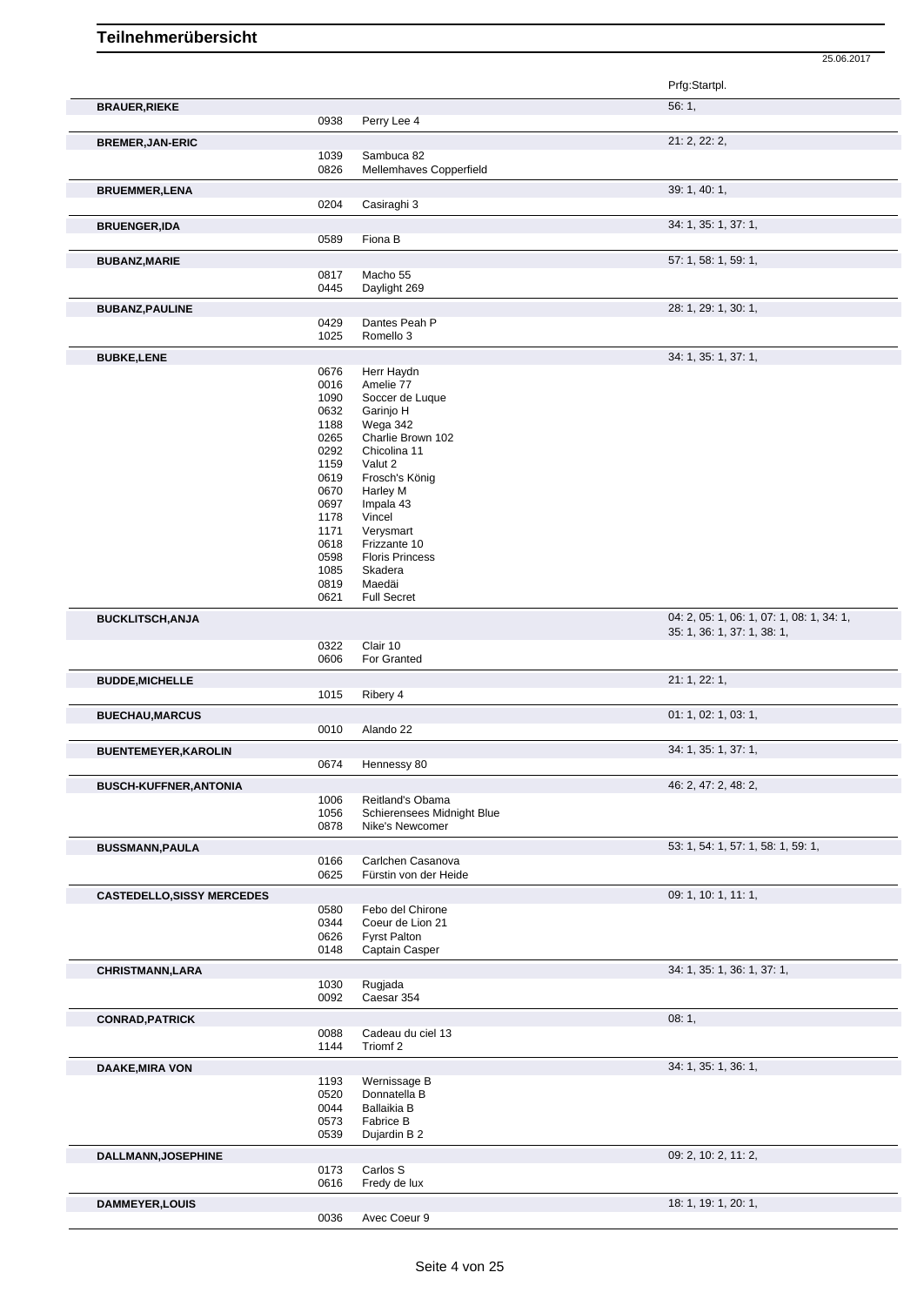|                                   |              |                                            | Prfg:Startpl.                                                            |
|-----------------------------------|--------------|--------------------------------------------|--------------------------------------------------------------------------|
| <b>BRAUER, RIEKE</b>              | 0938         | Perry Lee 4                                | 56:1,                                                                    |
|                                   |              |                                            | 21: 2, 22: 2,                                                            |
| <b>BREMER, JAN-ERIC</b>           | 1039         | Sambuca 82                                 |                                                                          |
|                                   | 0826         | Mellemhaves Copperfield                    |                                                                          |
| <b>BRUEMMER,LENA</b>              |              |                                            | 39: 1, 40: 1,                                                            |
|                                   | 0204         | Casiraghi 3                                |                                                                          |
| <b>BRUENGER, IDA</b>              | 0589         | Fiona B                                    | 34: 1, 35: 1, 37: 1,                                                     |
| <b>BUBANZ, MARIE</b>              |              |                                            | 57: 1, 58: 1, 59: 1,                                                     |
|                                   | 0817         | Macho 55                                   |                                                                          |
|                                   | 0445         | Daylight 269                               |                                                                          |
| <b>BUBANZ, PAULINE</b>            | 0429         | Dantes Peah P                              | 28: 1, 29: 1, 30: 1,                                                     |
|                                   | 1025         | Romello 3                                  |                                                                          |
| <b>BUBKE,LENE</b>                 |              |                                            | 34: 1, 35: 1, 37: 1,                                                     |
|                                   | 0676         | Herr Haydn                                 |                                                                          |
|                                   | 0016         | Amelie 77                                  |                                                                          |
|                                   | 1090<br>0632 | Soccer de Luque<br>Garinjo H               |                                                                          |
|                                   | 1188         | Wega 342                                   |                                                                          |
|                                   | 0265         | Charlie Brown 102                          |                                                                          |
|                                   | 0292         | Chicolina 11                               |                                                                          |
|                                   | 1159         | Valut 2                                    |                                                                          |
|                                   | 0619         | Frosch's König                             |                                                                          |
|                                   | 0670         | Harley M                                   |                                                                          |
|                                   | 0697<br>1178 | Impala 43<br>Vincel                        |                                                                          |
|                                   | 1171         | Verysmart                                  |                                                                          |
|                                   | 0618         | Frizzante 10                               |                                                                          |
|                                   | 0598         | <b>Floris Princess</b>                     |                                                                          |
|                                   | 1085         | Skadera                                    |                                                                          |
|                                   | 0819         | Maedäi                                     |                                                                          |
|                                   | 0621         | <b>Full Secret</b>                         |                                                                          |
| <b>BUCKLITSCH, ANJA</b>           |              |                                            | 04: 2, 05: 1, 06: 1, 07: 1, 08: 1, 34: 1,<br>35: 1, 36: 1, 37: 1, 38: 1, |
|                                   | 0322         | Clair 10                                   |                                                                          |
|                                   | 0606         | For Granted                                |                                                                          |
| <b>BUDDE, MICHELLE</b>            | 1015         | Ribery 4                                   | 21: 1, 22: 1,                                                            |
| <b>BUECHAU, MARCUS</b>            |              |                                            | 01: 1, 02: 1, 03: 1,                                                     |
|                                   | 0010         | Alando 22                                  |                                                                          |
| <b>BUENTEMEYER, KAROLIN</b>       |              |                                            | 34: 1, 35: 1, 37: 1,                                                     |
|                                   |              | 0674 Hennessy 80                           |                                                                          |
| <b>BUSCH-KUFFNER, ANTONIA</b>     | 1006         | Reitland's Obama                           | 46: 2, 47: 2, 48: 2,                                                     |
|                                   | 1056         | Schierensees Midnight Blue                 |                                                                          |
|                                   | 0878         | Nike's Newcomer                            |                                                                          |
| <b>BUSSMANN, PAULA</b>            |              |                                            | 53: 1, 54: 1, 57: 1, 58: 1, 59: 1,                                       |
|                                   | 0166<br>0625 | Carlchen Casanova<br>Fürstin von der Heide |                                                                          |
| <b>CASTEDELLO, SISSY MERCEDES</b> |              |                                            | 09: 1, 10: 1, 11: 1,                                                     |
|                                   | 0580         | Febo del Chirone                           |                                                                          |
|                                   | 0344         | Coeur de Lion 21                           |                                                                          |
|                                   | 0626         | <b>Fyrst Palton</b>                        |                                                                          |
|                                   | 0148         | Captain Casper                             |                                                                          |
| <b>CHRISTMANN, LARA</b>           |              |                                            | 34: 1, 35: 1, 36: 1, 37: 1,                                              |
|                                   | 1030<br>0092 | Rugjada<br>Caesar 354                      |                                                                          |
| <b>CONRAD, PATRICK</b>            |              |                                            | 08:1,                                                                    |
|                                   | 0088         | Cadeau du ciel 13                          |                                                                          |
|                                   | 1144         | Triomf 2                                   |                                                                          |
| <b>DAAKE, MIRA VON</b>            |              |                                            | 34: 1, 35: 1, 36: 1,                                                     |
|                                   | 1193<br>0520 | Wernissage B<br>Donnatella B               |                                                                          |
|                                   | 0044         | Ballaikia B                                |                                                                          |
|                                   | 0573         | Fabrice B                                  |                                                                          |
|                                   | 0539         | Dujardin B 2                               |                                                                          |
| <b>DALLMANN, JOSEPHINE</b>        |              |                                            | 09: 2, 10: 2, 11: 2,                                                     |
|                                   | 0173<br>0616 | Carlos S<br>Fredy de lux                   |                                                                          |
| <b>DAMMEYER,LOUIS</b>             |              |                                            | 18: 1, 19: 1, 20: 1,                                                     |
|                                   |              |                                            |                                                                          |

Avec Coeur 9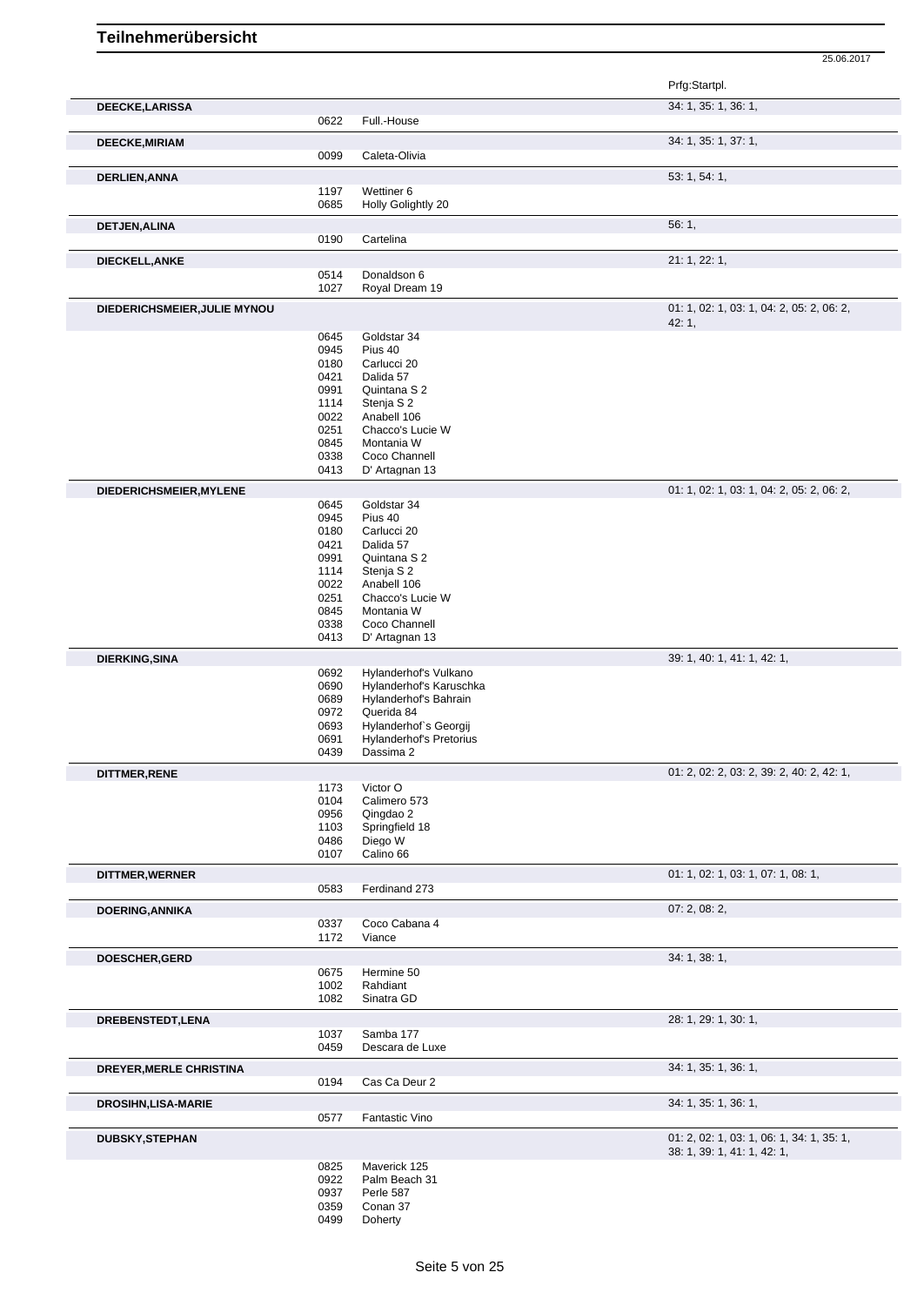Prfg:Startpl. **DEECKE,LARISSA** 34: 1, 35: 1, 36: 1, 0622 Full.-House **DEECKE, MIRIAM** 34: 1, 35: 1, 37: 1, 0099 Caleta-Olivia **DERLIEN,ANNA** 53: 1, 54: 1, 54: 1, 54: 1, 54: 1, 54: 1, 54: 1, 55: 1, 54: 1, 54: 1, 54: 1, 54: 1, 54: 1, 54: 1, 54: 1, 54: 1, 54: 1, 54: 1, 54: 1, 54: 1, 54: 1, 54: 1, 54: 1, 54: 1, 54: 1, 54: 1, 54: 1, 54: 1, 54: 1, 54: 1197 Wettiner 6<br>0685 Holly Golig Holly Golightly 20 **DETJEN,ALINA** 56: 1, 56: 1, 56: 1, 56: 1, 56: 1, 56: 1, 56: 1, 56: 1, 56: 1, 56: 1, 56: 1, 56: 1, 56: 1, 56: 1, 56: 1, 56: 1, 56: 1, 56: 1, 56: 1, 56: 1, 56: 1, 56: 1, 56: 1, 56: 1, 56: 1, 56: 1, 56: 1, 56: 1, 56: 1, 56: Cartelina **DIECKELL,ANKE** 21: 1, 22: 1, 0514 Donaldson 6<br>1027 Royal Dream Royal Dream 19 **DIEDERICHSMEIER, JULIE MYNOU 01: 1, 02: 1, 03: 1, 04: 2, 05: 2, 06: 2,** 06: 2, 06: 2, 06: 2, 06: 2, 06: 2, 06: 2, 06: 2, 06: 2, 06: 2, 06: 2, 06: 2, 06: 2, 06: 2, 06: 2, 06: 2, 06: 2, 06: 2, 06: 2, 06: 2, 06: 2, 06: 2, 42: 1, 0645 Goldstar 34 0945 Pius 40<br>0180 Carlucc Carlucci 20 0421 Dalida 57 0991 Quintana S 2 1114 Stenja S 2 0022 Anabell 106<br>0251 Chacco's Lu 0251 Chacco's Lucie W<br>0845 Montania W Montania W 0338 Coco Channell<br>0413 D' Artagnan 13 D' Artagnan 13 **DIEDERICHSMEIER, MYLENE** 0645 0645 0645 06 0645 06 0645 07: 1, 02: 1, 03: 1, 04: 2, 05: 2, 06: 2, 06: 2, 06: 2, 06: 2, 06: 2, 06: 2, 05: 2, 06: 2, 05: 2, 06: 2, 05: 2, 06: 2, 05: 2, 06: 2, 05: 2, 06: 2, 05: 2, 06: 2, 05: Goldstar 34 0945 Pius 40<br>0180 Carlucci 0180 Carlucci 20<br>0421 Dalida 57 0421 Dalida 57<br>0991 Quintana 0991 Quintana S 2<br>1114 Stenja S 2 Stenja S 2 0022 Anabell 106<br>0251 Chacco's Lu 0251 Chacco's Lucie W<br>0845 Montania W Montania W 0338 Coco Channell 0413 D' Artagnan 13 **DIERKING,SINA** 39: 1, 40: 1, 41: 1, 42: 1, 0692 Hylanderhof's Vulkano 0690 Hylanderhof's Karuschka 0689 Hylanderhof's Bahrain 0972 Querida 84<br>0693 Hylanderho Hylanderhof`s Georgij 0691 Hylanderhof's Pretorius<br>0439 Dassima 2 Dassima 2 **DITTMER,RENE 01: 2, 02: 2, 03: 2, 39: 2, 40: 2, 42: 1,**  $0.2$ , 2, 42: 1,  $0.3$ 1173 Victor O<br>0104 Calimero 0104 Calimero 573<br>0956 Qingdao 2 0956 Qingdao 2<br>1103 Springfield Springfield 18 0486 Diego W<br>0107 Calino 66 Calino 66 **DITTMER, WERNER** 01: 1, 02: 1, 03: 1, 07: 1, 08: 1, 08: 1, 08: 1, 08: 1, 08: 1, 08: 1, 08: 1, 08: 1, 08: 1, 08: 1, Ferdinand 273 **DOERING,ANNIKA** 07: 2, 08: 2, Coco Cabana 4 1172 Viance **DOESCHER,GERD** 34: 1, 38: 1, 0675 Hermine 50 1002 Rahdiant 1082 Sinatra GD **DREBENSTEDT,LENA** 28: 1, 29: 1, 30: 1, 1037 Samba 177 0459 Descara de Luxe **DREYER, MERLE CHRISTINA** 34: 1, 36: 1, 36: 1, 36: 1, 36: 1, 36: 1, 36: 1, 36: 1, 36: 1, 36: 1, 36: 1, 36: 1, 36: 1, 36: 1, 36: 1, 36: 1, 36: 1, 36: 1, 36: 1, 36: 1, 36: 1, 36: 1, 36: 1, 36: 1, 36: 1, 36: 1, 36: 1, 36: 1, 0194 Cas Ca Deur 2 **DROSIHN,LISA-MARIE** 34: 1, 35: 1, 36: 1, 0577 Fantastic Vino **DUBSKY,STEPHAN** 01: 2, 02: 1, 03: 1, 06: 1, 34: 1, 35: 1, 38: 1, 39: 1, 41: 1, 42: 1,

25.06.2017

0825 Maverick 125<br>0922 Palm Beach 3 0922 Palm Beach 31<br>0937 Perle 587 0937 Perle 587<br>0359 Conan 37 0359 Conan 37<br>0499 Doherty Doherty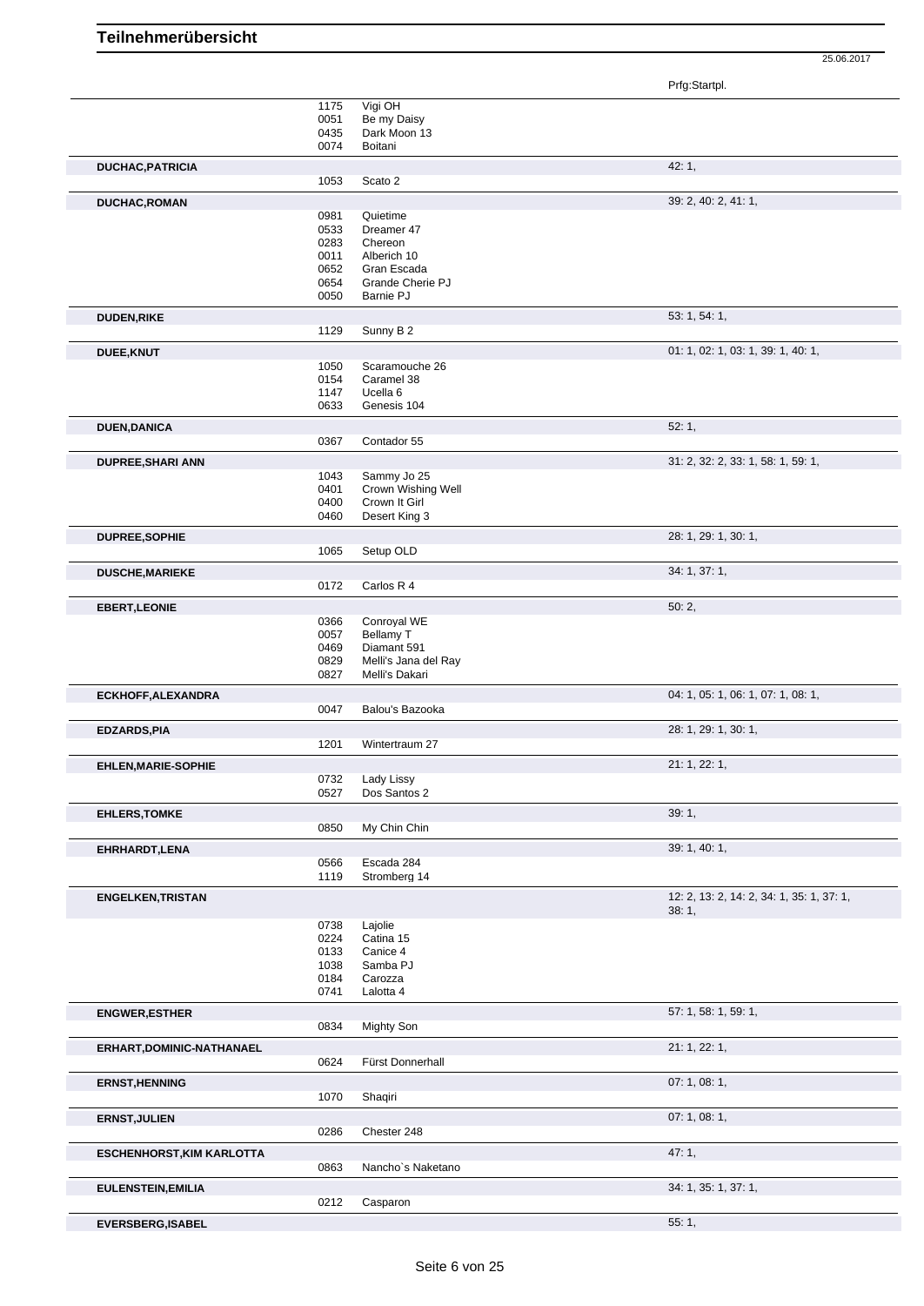Prfg:Startpl.

|                                  | 1175 | Vigi OH              |                                           |
|----------------------------------|------|----------------------|-------------------------------------------|
|                                  | 0051 | Be my Daisy          |                                           |
|                                  | 0435 | Dark Moon 13         |                                           |
|                                  | 0074 | Boitani              |                                           |
|                                  |      |                      |                                           |
| <b>DUCHAC, PATRICIA</b>          |      |                      | 42:1,                                     |
|                                  | 1053 | Scato 2              |                                           |
| <b>DUCHAC, ROMAN</b>             |      |                      | 39: 2, 40: 2, 41: 1,                      |
|                                  | 0981 | Quietime             |                                           |
|                                  | 0533 | Dreamer 47           |                                           |
|                                  | 0283 | Chereon              |                                           |
|                                  | 0011 | Alberich 10          |                                           |
|                                  |      |                      |                                           |
|                                  | 0652 | Gran Escada          |                                           |
|                                  | 0654 | Grande Cherie PJ     |                                           |
|                                  | 0050 | Barnie PJ            |                                           |
| <b>DUDEN,RIKE</b>                |      |                      | 53: 1, 54: 1,                             |
|                                  | 1129 | Sunny B 2            |                                           |
| DUEE, KNUT                       |      |                      | 01: 1, 02: 1, 03: 1, 39: 1, 40: 1,        |
|                                  | 1050 | Scaramouche 26       |                                           |
|                                  | 0154 | Caramel 38           |                                           |
|                                  | 1147 | Ucella <sub>6</sub>  |                                           |
|                                  |      |                      |                                           |
|                                  | 0633 | Genesis 104          |                                           |
| <b>DUEN, DANICA</b>              |      |                      | 52:1,                                     |
|                                  | 0367 | Contador 55          |                                           |
| <b>DUPREE, SHARI ANN</b>         |      |                      | 31: 2, 32: 2, 33: 1, 58: 1, 59: 1,        |
|                                  | 1043 | Sammy Jo 25          |                                           |
|                                  | 0401 | Crown Wishing Well   |                                           |
|                                  | 0400 | Crown It Girl        |                                           |
|                                  | 0460 | Desert King 3        |                                           |
|                                  |      |                      |                                           |
| DUPREE, SOPHIE                   | 1065 |                      | 28: 1, 29: 1, 30: 1,                      |
|                                  |      | Setup OLD            |                                           |
| <b>DUSCHE, MARIEKE</b>           |      |                      | 34: 1, 37: 1,                             |
|                                  | 0172 | Carlos R 4           |                                           |
| <b>EBERT, LEONIE</b>             |      |                      | 50:2,                                     |
|                                  | 0366 | Conroyal WE          |                                           |
|                                  | 0057 | Bellamy T            |                                           |
|                                  |      |                      |                                           |
|                                  | 0469 | Diamant 591          |                                           |
|                                  | 0829 | Melli's Jana del Ray |                                           |
|                                  | 0827 | Melli's Dakari       |                                           |
| ECKHOFF, ALEXANDRA               |      |                      | 04: 1, 05: 1, 06: 1, 07: 1, 08: 1,        |
|                                  | 0047 | Balou's Bazooka      |                                           |
| <b>EDZARDS, PIA</b>              |      |                      | 28: 1, 29: 1, 30: 1,                      |
|                                  | 1201 | Wintertraum 27       |                                           |
| <b>EHLEN, MARIE-SOPHIE</b>       |      |                      | 21: 1, 22: 1,                             |
|                                  | 0732 | Lady Lissy           |                                           |
|                                  | 0527 | Dos Santos 2         |                                           |
| <b>EHLERS, TOMKE</b>             |      |                      | 39:1,                                     |
|                                  | 0850 | My Chin Chin         |                                           |
|                                  |      |                      | 39: 1, 40: 1,                             |
| EHRHARDT, LENA                   | 0566 | Escada 284           |                                           |
|                                  | 1119 | Stromberg 14         |                                           |
|                                  |      |                      | 12: 2, 13: 2, 14: 2, 34: 1, 35: 1, 37: 1, |
| <b>ENGELKEN, TRISTAN</b>         |      |                      | 38:1,                                     |
|                                  | 0738 | Lajolie              |                                           |
|                                  | 0224 | Catina 15            |                                           |
|                                  |      |                      |                                           |
|                                  | 0133 | Canice 4             |                                           |
|                                  | 1038 | Samba PJ             |                                           |
|                                  | 0184 | Carozza              |                                           |
|                                  | 0741 | Lalotta 4            |                                           |
| <b>ENGWER, ESTHER</b>            |      |                      | 57: 1, 58: 1, 59: 1,                      |
|                                  | 0834 | Mighty Son           |                                           |
|                                  |      |                      | 21: 1, 22: 1,                             |
| ERHART, DOMINIC-NATHANAEL        | 0624 | Fürst Donnerhall     |                                           |
|                                  |      |                      |                                           |
| <b>ERNST, HENNING</b>            |      |                      | 07:1,08:1,                                |
|                                  | 1070 | Shaqiri              |                                           |
| <b>ERNST, JULIEN</b>             |      |                      | 07: 1, 08: 1,                             |
|                                  | 0286 | Chester 248          |                                           |
| <b>ESCHENHORST, KIM KARLOTTA</b> |      |                      | 47:1,                                     |
|                                  | 0863 | Nancho's Naketano    |                                           |
| <b>EULENSTEIN, EMILIA</b>        |      |                      | 34: 1, 35: 1, 37: 1,                      |
|                                  | 0212 | Casparon             |                                           |
| <b>EVERSBERG, ISABEL</b>         |      |                      | 55:1,                                     |
|                                  |      |                      |                                           |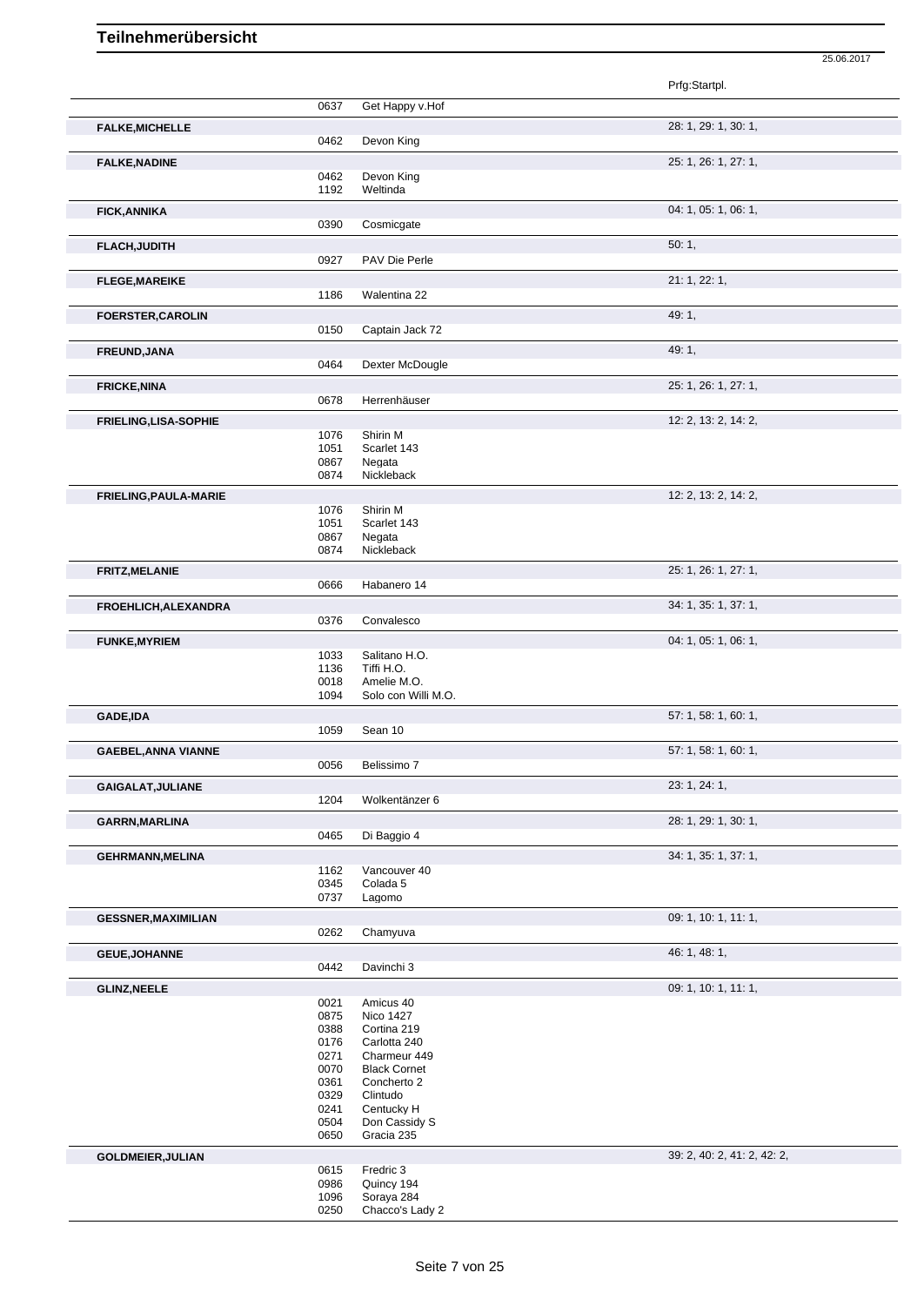|                              |              |                                     | Prfg:Startpl.               |
|------------------------------|--------------|-------------------------------------|-----------------------------|
|                              | 0637         | Get Happy v.Hof                     |                             |
|                              |              |                                     |                             |
| <b>FALKE, MICHELLE</b>       | 0462         | Devon King                          | 28: 1, 29: 1, 30: 1,        |
|                              |              |                                     |                             |
| <b>FALKE, NADINE</b>         |              |                                     | 25: 1, 26: 1, 27: 1,        |
|                              | 0462<br>1192 | Devon King<br>Weltinda              |                             |
|                              |              |                                     |                             |
| <b>FICK, ANNIKA</b>          | 0390         | Cosmicgate                          | 04: 1, 05: 1, 06: 1,        |
|                              |              |                                     |                             |
| <b>FLACH, JUDITH</b>         | 0927         | PAV Die Perle                       | 50:1,                       |
|                              |              |                                     |                             |
| <b>FLEGE, MAREIKE</b>        | 1186         | Walentina 22                        | 21: 1, 22: 1,               |
|                              |              |                                     |                             |
| <b>FOERSTER, CAROLIN</b>     | 0150         | Captain Jack 72                     | 49: 1,                      |
|                              |              |                                     |                             |
| FREUND, JANA                 | 0464         | Dexter McDougle                     | 49: 1,                      |
|                              |              |                                     |                             |
| <b>FRICKE, NINA</b>          | 0678         | Herrenhäuser                        | 25: 1, 26: 1, 27: 1,        |
|                              |              |                                     |                             |
| <b>FRIELING, LISA-SOPHIE</b> |              |                                     | 12: 2, 13: 2, 14: 2,        |
|                              | 1076<br>1051 | Shirin M<br>Scarlet 143             |                             |
|                              | 0867         | Negata                              |                             |
|                              | 0874         | Nickleback                          |                             |
| FRIELING, PAULA-MARIE        |              |                                     | 12: 2, 13: 2, 14: 2,        |
|                              | 1076         | Shirin M                            |                             |
|                              | 1051<br>0867 | Scarlet 143<br>Negata               |                             |
|                              | 0874         | Nickleback                          |                             |
| <b>FRITZ, MELANIE</b>        |              |                                     | 25: 1, 26: 1, 27: 1,        |
|                              | 0666         | Habanero 14                         |                             |
| FROEHLICH, ALEXANDRA         |              |                                     | 34: 1, 35: 1, 37: 1,        |
|                              | 0376         | Convalesco                          |                             |
| <b>FUNKE, MYRIEM</b>         |              |                                     | 04: 1, 05: 1, 06: 1,        |
|                              | 1033         | Salitano H.O.                       |                             |
|                              | 1136         | Tiffi H.O.                          |                             |
|                              | 0018         | Amelie M.O.                         |                             |
|                              | 1094         | Solo con Willi M.O.                 |                             |
| <b>GADE,IDA</b>              |              |                                     | 57: 1, 58: 1, 60: 1,        |
|                              | 1059         | Sean 10                             |                             |
| <b>GAEBEL, ANNA VIANNE</b>   |              |                                     | 57: 1, 58: 1, 60: 1,        |
|                              | 0056         | Belissimo 7                         |                             |
| GAIGALAT, JULIANE            |              |                                     | 23: 1, 24: 1,               |
|                              | 1204         | Wolkentänzer 6                      |                             |
| <b>GARRN, MARLINA</b>        |              |                                     | 28: 1, 29: 1, 30: 1,        |
|                              | 0465         | Di Baggio 4                         |                             |
| <b>GEHRMANN, MELINA</b>      |              |                                     | 34: 1, 35: 1, 37: 1,        |
|                              | 1162<br>0345 | Vancouver 40<br>Colada <sub>5</sub> |                             |
|                              | 0737         | Lagomo                              |                             |
| <b>GESSNER, MAXIMILIAN</b>   |              |                                     | 09: 1, 10: 1, 11: 1,        |
|                              | 0262         | Chamyuva                            |                             |
|                              |              |                                     | 46: 1, 48: 1,               |
| <b>GEUE, JOHANNE</b>         | 0442         | Davinchi 3                          |                             |
|                              |              |                                     | 09: 1, 10: 1, 11: 1,        |
| <b>GLINZ, NEELE</b>          | 0021         | Amicus 40                           |                             |
|                              | 0875         | Nico 1427                           |                             |
|                              | 0388         | Cortina 219                         |                             |
|                              | 0176<br>0271 | Carlotta 240<br>Charmeur 449        |                             |
|                              | 0070         | <b>Black Cornet</b>                 |                             |
|                              | 0361         | Concherto 2                         |                             |
|                              | 0329         | Clintudo                            |                             |
|                              | 0241<br>0504 | Centucky H<br>Don Cassidy S         |                             |
|                              | 0650         | Gracia 235                          |                             |
| <b>GOLDMEIER, JULIAN</b>     |              |                                     | 39: 2, 40: 2, 41: 2, 42: 2, |
|                              | 0615         | Fredric 3                           |                             |
|                              | 0986         | Quincy 194                          |                             |
|                              | 1096<br>0250 | Soraya 284<br>Chacco's Lady 2       |                             |
|                              |              |                                     |                             |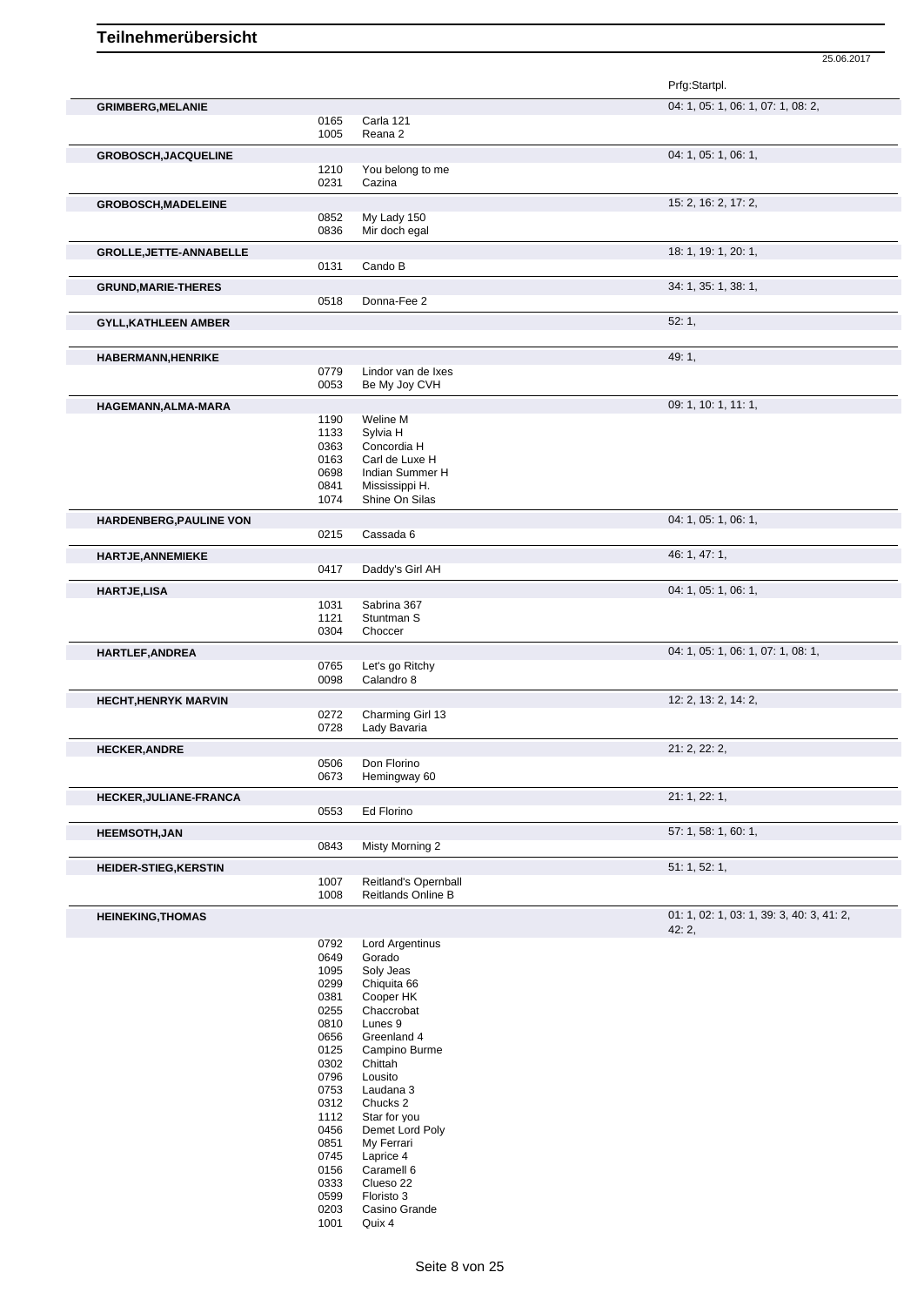|                                |              |                                     | Prfg:Startpl.                             |
|--------------------------------|--------------|-------------------------------------|-------------------------------------------|
| <b>GRIMBERG, MELANIE</b>       |              |                                     | 04: 1, 05: 1, 06: 1, 07: 1, 08: 2,        |
|                                | 0165         | Carla 121                           |                                           |
|                                | 1005         | Reana 2                             |                                           |
| GROBOSCH, JACQUELINE           |              |                                     | 04: 1, 05: 1, 06: 1,                      |
|                                | 1210         | You belong to me                    |                                           |
|                                | 0231         | Cazina                              |                                           |
| <b>GROBOSCH, MADELEINE</b>     |              |                                     | 15: 2, 16: 2, 17: 2,                      |
|                                | 0852<br>0836 | My Lady 150<br>Mir doch egal        |                                           |
|                                |              |                                     |                                           |
| <b>GROLLE, JETTE-ANNABELLE</b> | 0131         | Cando B                             | 18: 1, 19: 1, 20: 1,                      |
|                                |              |                                     |                                           |
| <b>GRUND, MARIE-THERES</b>     |              |                                     | 34: 1, 35: 1, 38: 1,                      |
|                                | 0518         | Donna-Fee 2                         |                                           |
| <b>GYLL, KATHLEEN AMBER</b>    |              |                                     | 52:1,                                     |
|                                |              |                                     |                                           |
| <b>HABERMANN, HENRIKE</b>      |              |                                     | 49:1,                                     |
|                                | 0779<br>0053 | Lindor van de Ixes<br>Be My Joy CVH |                                           |
|                                |              |                                     |                                           |
| HAGEMANN, ALMA-MARA            | 1190         | Weline M                            | 09: 1, 10: 1, 11: 1,                      |
|                                | 1133         | Sylvia H                            |                                           |
|                                | 0363         | Concordia H                         |                                           |
|                                | 0163         | Carl de Luxe H                      |                                           |
|                                | 0698         | Indian Summer H                     |                                           |
|                                | 0841         | Mississippi H.<br>Shine On Silas    |                                           |
|                                | 1074         |                                     |                                           |
| HARDENBERG, PAULINE VON        |              |                                     | 04: 1, 05: 1, 06: 1,                      |
|                                | 0215         | Cassada 6                           |                                           |
| <b>HARTJE, ANNEMIEKE</b>       |              |                                     | 46: 1, 47: 1,                             |
|                                | 0417         | Daddy's Girl AH                     |                                           |
| <b>HARTJE,LISA</b>             |              |                                     | 04: 1, 05: 1, 06: 1,                      |
|                                | 1031<br>1121 | Sabrina 367<br>Stuntman S           |                                           |
|                                | 0304         | Choccer                             |                                           |
|                                |              |                                     |                                           |
| HARTLEF, ANDREA                | 0765         | Let's go Ritchy                     | 04: 1, 05: 1, 06: 1, 07: 1, 08: 1,        |
|                                | 0098         | Calandro 8                          |                                           |
| <b>HECHT, HENRYK MARVIN</b>    |              |                                     | 12: 2, 13: 2, 14: 2,                      |
|                                | 0272         | Charming Girl 13                    |                                           |
|                                | 0728         | Lady Bavaria                        |                                           |
| <b>HECKER, ANDRE</b>           |              |                                     | 21: 2, 22: 2,                             |
|                                | 0506         | Don Florino                         |                                           |
|                                | 0673         | Hemingway 60                        |                                           |
| <b>HECKER, JULIANE-FRANCA</b>  |              |                                     | 21: 1, 22: 1,                             |
|                                | 0553         | Ed Florino                          |                                           |
| <b>HEEMSOTH,JAN</b>            |              |                                     | 57: 1, 58: 1, 60: 1,                      |
|                                | 0843         | Misty Morning 2                     |                                           |
| <b>HEIDER-STIEG, KERSTIN</b>   |              |                                     | 51: 1, 52: 1,                             |
|                                | 1007         | Reitland's Opernball                |                                           |
|                                | 1008         | Reitlands Online B                  |                                           |
| <b>HEINEKING, THOMAS</b>       |              |                                     | 01: 1, 02: 1, 03: 1, 39: 3, 40: 3, 41: 2, |
|                                |              |                                     | 42:2,                                     |
|                                | 0792         | Lord Argentinus                     |                                           |
|                                | 0649<br>1095 | Gorado<br>Soly Jeas                 |                                           |
|                                | 0299         | Chiquita 66                         |                                           |
|                                | 0381         | Cooper HK                           |                                           |
|                                | 0255         | Chaccrobat                          |                                           |
|                                | 0810         | Lunes 9                             |                                           |
|                                | 0656         | Greenland 4                         |                                           |
|                                | 0125         | Campino Burme                       |                                           |
|                                | 0302         | Chittah                             |                                           |
|                                | 0796<br>0753 | Lousito<br>Laudana 3                |                                           |
|                                | 0312         | Chucks 2                            |                                           |
|                                | 1112         | Star for you                        |                                           |
|                                | 0456         | Demet Lord Poly                     |                                           |
|                                | 0851         | My Ferrari                          |                                           |
|                                | 0745         | Laprice 4                           |                                           |
|                                | 0156         | Caramell 6                          |                                           |
|                                | 0333<br>0599 | Clueso 22<br>Floristo 3             |                                           |
|                                | 0203         | Casino Grande                       |                                           |
|                                | 1001         | Quix 4                              |                                           |
|                                |              |                                     |                                           |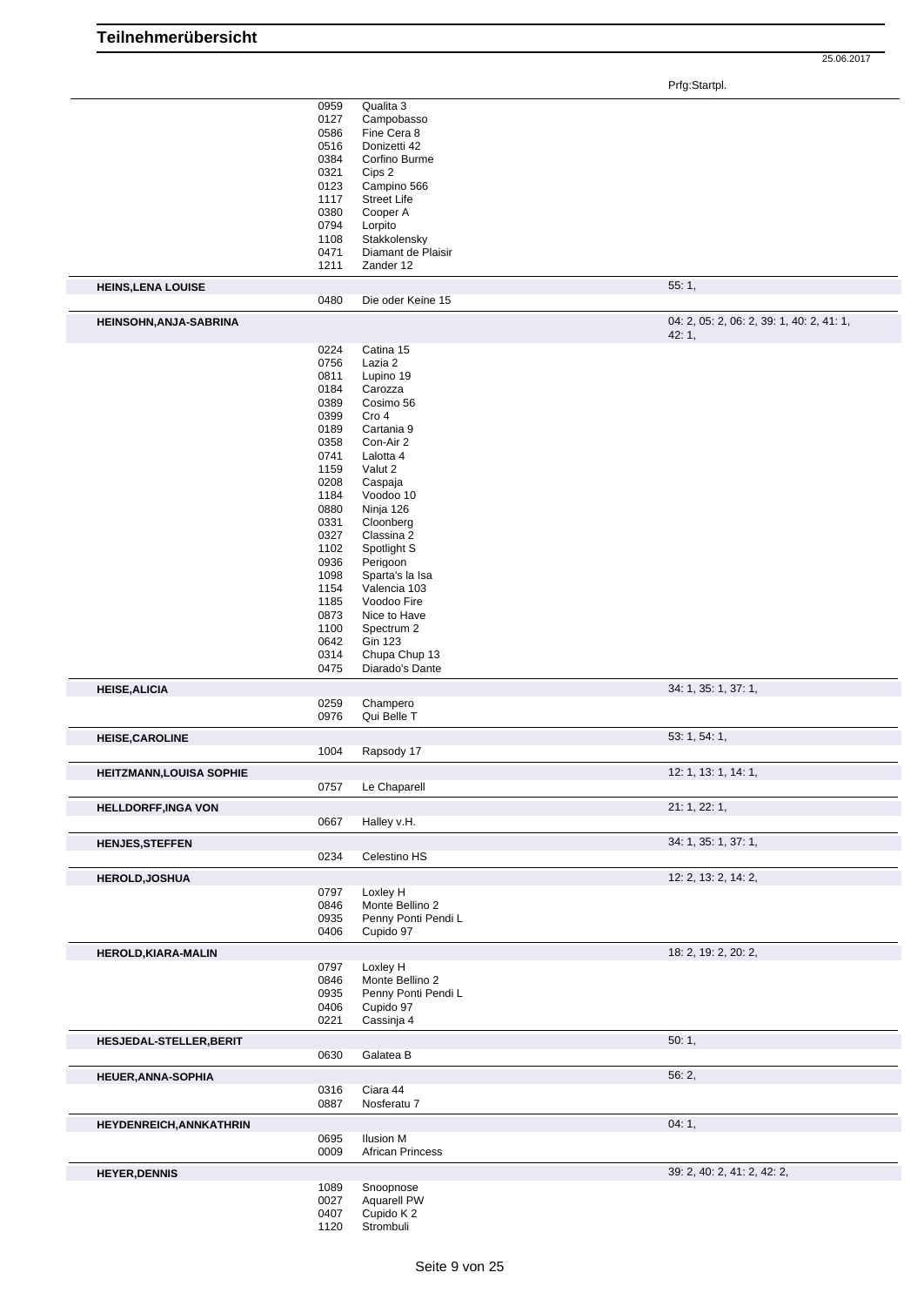|                                 | 0959         | Qualita 3              |                                           |
|---------------------------------|--------------|------------------------|-------------------------------------------|
|                                 | 0127         | Campobasso             |                                           |
|                                 | 0586         | Fine Cera 8            |                                           |
|                                 | 0516         | Donizetti 42           |                                           |
|                                 |              |                        |                                           |
|                                 | 0384         | Corfino Burme          |                                           |
|                                 | 0321         | Cips 2                 |                                           |
|                                 | 0123         | Campino 566            |                                           |
|                                 | 1117         | <b>Street Life</b>     |                                           |
|                                 | 0380         | Cooper A               |                                           |
|                                 |              |                        |                                           |
|                                 | 0794         | Lorpito                |                                           |
|                                 | 1108         | Stakkolensky           |                                           |
|                                 | 0471         | Diamant de Plaisir     |                                           |
|                                 | 1211         | Zander 12              |                                           |
|                                 |              |                        |                                           |
| <b>HEINS, LENA LOUISE</b>       |              |                        | 55:1,                                     |
|                                 | 0480         | Die oder Keine 15      |                                           |
| HEINSOHN, ANJA-SABRINA          |              |                        | 04: 2, 05: 2, 06: 2, 39: 1, 40: 2, 41: 1, |
|                                 |              |                        | 42:1,                                     |
|                                 | 0224         | Catina 15              |                                           |
|                                 | 0756         | Lazia 2                |                                           |
|                                 | 0811         | Lupino 19              |                                           |
|                                 |              |                        |                                           |
|                                 | 0184         | Carozza                |                                           |
|                                 | 0389         | Cosimo 56              |                                           |
|                                 | 0399         | Cro 4                  |                                           |
|                                 | 0189         | Cartania 9             |                                           |
|                                 |              |                        |                                           |
|                                 | 0358         | Con-Air 2              |                                           |
|                                 | 0741         | Lalotta 4              |                                           |
|                                 | 1159         | Valut 2                |                                           |
|                                 | 0208         | Caspaja                |                                           |
|                                 | 1184         | Voodoo 10              |                                           |
|                                 |              |                        |                                           |
|                                 | 0880         | Ninja 126              |                                           |
|                                 | 0331         | Cloonberg              |                                           |
|                                 | 0327         | Classina 2             |                                           |
|                                 | 1102         | Spotlight S            |                                           |
|                                 | 0936         |                        |                                           |
|                                 |              | Perigoon               |                                           |
|                                 | 1098         | Sparta's la Isa        |                                           |
|                                 | 1154         | Valencia 103           |                                           |
|                                 | 1185         | Voodoo Fire            |                                           |
|                                 | 0873         | Nice to Have           |                                           |
|                                 |              |                        |                                           |
|                                 | 1100         | Spectrum 2             |                                           |
|                                 | 0642         | <b>Gin 123</b>         |                                           |
|                                 | 0314         | Chupa Chup 13          |                                           |
|                                 | 0475         | Diarado's Dante        |                                           |
|                                 |              |                        |                                           |
|                                 |              |                        |                                           |
| <b>HEISE, ALICIA</b>            |              |                        | 34: 1, 35: 1, 37: 1,                      |
|                                 | 0259         | Champero               |                                           |
|                                 | 0976         | Qui Belle T            |                                           |
|                                 |              |                        |                                           |
| <b>HEISE, CAROLINE</b>          |              |                        | 53: 1, 54: 1,                             |
|                                 | 1004         | Rapsody 17             |                                           |
|                                 |              |                        |                                           |
| <b>HEITZMANN, LOUISA SOPHIE</b> |              |                        | 12: 1, 13: 1, 14: 1,                      |
|                                 | 0757         | Le Chaparell           |                                           |
|                                 |              |                        |                                           |
| <b>HELLDORFF, INGA VON</b>      |              |                        | 21: 1, 22: 1,                             |
|                                 | 0667         | Halley v.H.            |                                           |
| <b>HENJES, STEFFEN</b>          |              |                        | 34: 1, 35: 1, 37: 1,                      |
|                                 | 0234         | Celestino HS           |                                           |
|                                 |              |                        | 12: 2, 13: 2, 14: 2,                      |
| <b>HEROLD, JOSHUA</b>           |              |                        |                                           |
|                                 | 0797         | Loxley H               |                                           |
|                                 | 0846         | Monte Bellino 2        |                                           |
|                                 | 0935         | Penny Ponti Pendi L    |                                           |
|                                 | 0406         | Cupido 97              |                                           |
|                                 |              |                        |                                           |
| HEROLD, KIARA-MALIN             |              |                        | 18: 2, 19: 2, 20: 2,                      |
|                                 | 0797         | Loxley H               |                                           |
|                                 | 0846         | Monte Bellino 2        |                                           |
|                                 | 0935         | Penny Ponti Pendi L    |                                           |
|                                 | 0406         | Cupido 97              |                                           |
|                                 |              |                        |                                           |
|                                 | 0221         | Cassinja 4             |                                           |
| HESJEDAL-STELLER, BERIT         |              |                        | 50:1,                                     |
|                                 | 0630         | Galatea B              |                                           |
|                                 |              |                        |                                           |
| <b>HEUER, ANNA-SOPHIA</b>       |              |                        | 56:2,                                     |
|                                 | 0316         | Ciara 44               |                                           |
|                                 | 0887         | Nosferatu 7            |                                           |
| <b>HEYDENREICH, ANNKATHRIN</b>  |              |                        | 04:1,                                     |
|                                 | 0695         | <b>Ilusion M</b>       |                                           |
|                                 | 0009         | African Princess       |                                           |
| <b>HEYER, DENNIS</b>            |              |                        | 39: 2, 40: 2, 41: 2, 42: 2,               |
|                                 | 1089         | Snoopnose              |                                           |
|                                 | 0027         |                        |                                           |
|                                 |              | Aquarell PW            |                                           |
|                                 | 0407<br>1120 | Cupido K2<br>Strombuli |                                           |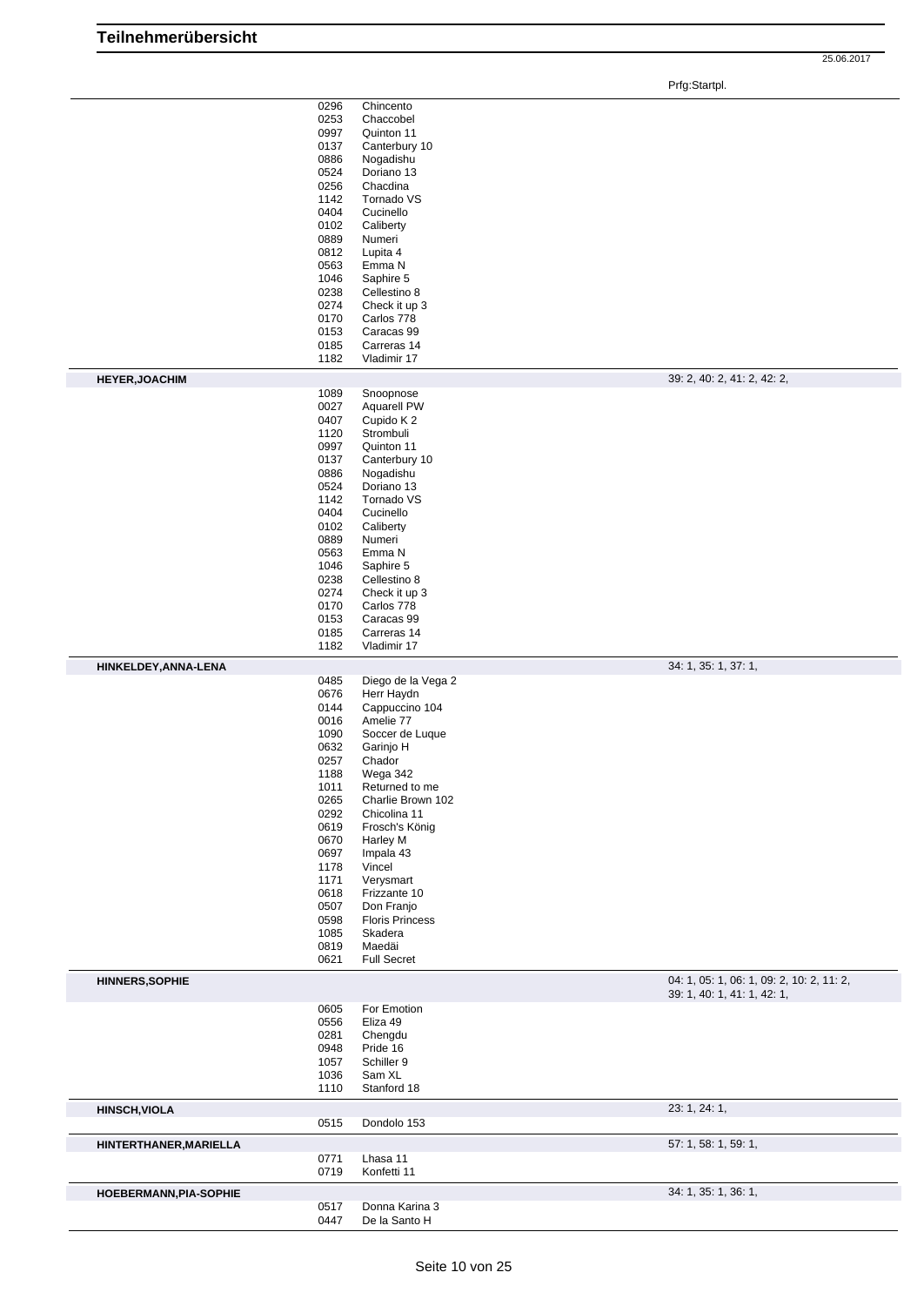|                        | 0296<br>0253<br>0997<br>0137<br>0886<br>0524<br>0256<br>1142<br>0404<br>0102<br>0889<br>0812<br>0563<br>1046<br>0238<br>0274<br>0170<br>0153<br>0185                         | Chincento<br>Chaccobel<br>Quinton 11<br>Canterbury 10<br>Nogadishu<br>Doriano 13<br>Chacdina<br>Tornado VS<br>Cucinello<br>Caliberty<br>Numeri<br>Lupita 4<br>Emma N<br>Saphire 5<br>Cellestino 8<br>Check it up 3<br>Carlos 778<br>Caracas 99<br>Carreras 14                                                                                     |                                                                          |
|------------------------|------------------------------------------------------------------------------------------------------------------------------------------------------------------------------|---------------------------------------------------------------------------------------------------------------------------------------------------------------------------------------------------------------------------------------------------------------------------------------------------------------------------------------------------|--------------------------------------------------------------------------|
|                        | 1182                                                                                                                                                                         | Vladimir 17                                                                                                                                                                                                                                                                                                                                       |                                                                          |
| <b>HEYER, JOACHIM</b>  |                                                                                                                                                                              |                                                                                                                                                                                                                                                                                                                                                   | 39: 2, 40: 2, 41: 2, 42: 2,                                              |
|                        | 1089<br>0027<br>0407<br>1120<br>0997<br>0137<br>0886<br>0524<br>1142<br>0404<br>0102<br>0889<br>0563<br>1046<br>0238<br>0274<br>0170<br>0153<br>0185<br>1182                 | Snoopnose<br>Aquarell PW<br>Cupido K 2<br>Strombuli<br>Quinton 11<br>Canterbury 10<br>Nogadishu<br>Doriano 13<br>Tornado VS<br>Cucinello<br>Caliberty<br>Numeri<br>Emma N<br>Saphire 5<br>Cellestino 8<br>Check it up 3<br>Carlos 778<br>Caracas 99<br>Carreras 14<br>Vladimir 17                                                                 |                                                                          |
|                        |                                                                                                                                                                              |                                                                                                                                                                                                                                                                                                                                                   | 34: 1, 35: 1, 37: 1,                                                     |
| HINKELDEY, ANNA-LENA   | 0485<br>0676<br>0144<br>0016<br>1090<br>0632<br>0257<br>1188<br>1011<br>0265<br>0292<br>0619<br>0670<br>0697<br>1178<br>1171<br>0618<br>0507<br>0598<br>1085<br>0819<br>0621 | Diego de la Vega 2<br>Herr Haydn<br>Cappuccino 104<br>Amelie 77<br>Soccer de Luque<br>Garinjo H<br>Chador<br>Wega 342<br>Returned to me<br>Charlie Brown 102<br>Chicolina 11<br>Frosch's König<br>Harley M<br>Impala 43<br>Vincel<br>Verysmart<br>Frizzante 10<br>Don Franjo<br><b>Floris Princess</b><br>Skadera<br>Maedäi<br><b>Full Secret</b> |                                                                          |
| <b>HINNERS, SOPHIE</b> |                                                                                                                                                                              |                                                                                                                                                                                                                                                                                                                                                   | 04: 1, 05: 1, 06: 1, 09: 2, 10: 2, 11: 2,<br>39: 1, 40: 1, 41: 1, 42: 1, |
|                        | 0605<br>0556<br>0281<br>0948<br>1057<br>1036<br>1110                                                                                                                         | For Emotion<br>Eliza 49<br>Chengdu<br>Pride 16<br>Schiller 9<br>Sam XL<br>Stanford 18                                                                                                                                                                                                                                                             |                                                                          |
| <b>HINSCH, VIOLA</b>   | 0515                                                                                                                                                                         | Dondolo 153                                                                                                                                                                                                                                                                                                                                       | 23: 1, 24: 1,                                                            |
| HINTERTHANER, MARIELLA |                                                                                                                                                                              |                                                                                                                                                                                                                                                                                                                                                   | 57: 1, 58: 1, 59: 1,                                                     |
|                        | 0771<br>0719                                                                                                                                                                 | Lhasa 11<br>Konfetti 11                                                                                                                                                                                                                                                                                                                           |                                                                          |
| HOEBERMANN, PIA-SOPHIE | 0517<br>0447                                                                                                                                                                 | Donna Karina 3<br>De la Santo H                                                                                                                                                                                                                                                                                                                   | 34: 1, 35: 1, 36: 1,                                                     |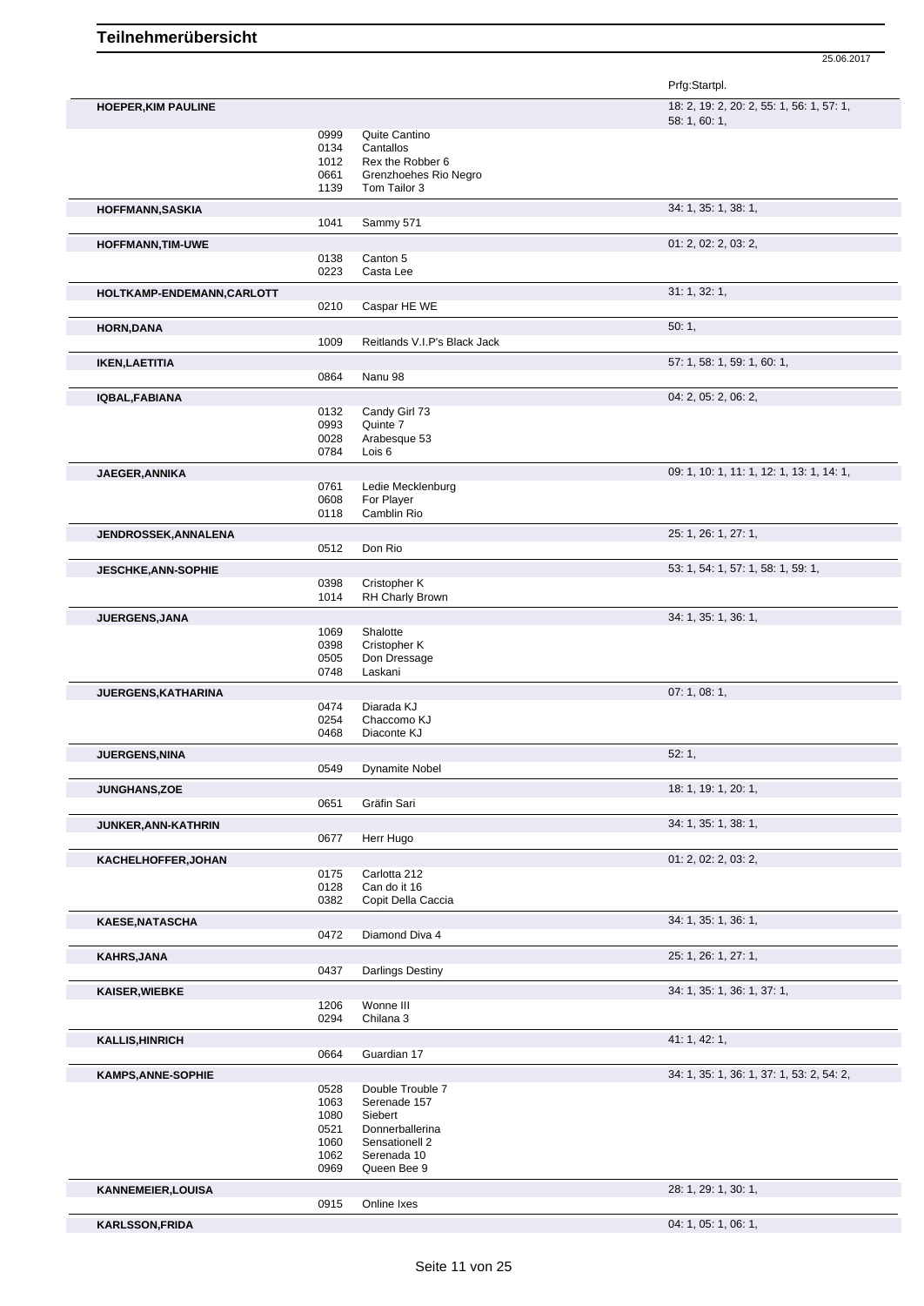|                            |              |                                       | Prfg:Startpl.                                              |
|----------------------------|--------------|---------------------------------------|------------------------------------------------------------|
| <b>HOEPER, KIM PAULINE</b> |              |                                       | 18: 2, 19: 2, 20: 2, 55: 1, 56: 1, 57: 1,<br>58: 1, 60: 1, |
|                            | 0999         | Quite Cantino                         |                                                            |
|                            | 0134         | Cantallos                             |                                                            |
|                            | 1012<br>0661 | Rex the Robber 6                      |                                                            |
|                            | 1139         | Grenzhoehes Rio Negro<br>Tom Tailor 3 |                                                            |
| <b>HOFFMANN, SASKIA</b>    |              |                                       | 34: 1, 35: 1, 38: 1,                                       |
|                            | 1041         | Sammy 571                             |                                                            |
| <b>HOFFMANN, TIM-UWE</b>   | 0138         | Canton 5                              | 01: 2, 02: 2, 03: 2,                                       |
|                            | 0223         | Casta Lee                             |                                                            |
| HOLTKAMP-ENDEMANN,CARLOTT  |              |                                       | 31: 1, 32: 1,                                              |
|                            | 0210         | Caspar HE WE                          |                                                            |
| <b>HORN, DANA</b>          |              |                                       | 50:1,                                                      |
|                            | 1009         | Reitlands V.I.P's Black Jack          | 57: 1, 58: 1, 59: 1, 60: 1,                                |
| <b>IKEN, LAETITIA</b>      | 0864         | Nanu 98                               |                                                            |
| IQBAL, FABIANA             |              |                                       | 04: 2, 05: 2, 06: 2,                                       |
|                            | 0132         | Candy Girl 73                         |                                                            |
|                            | 0993         | Quinte 7                              |                                                            |
|                            | 0028<br>0784 | Arabesque 53<br>Lois <sub>6</sub>     |                                                            |
| JAEGER, ANNIKA             |              |                                       | 09: 1, 10: 1, 11: 1, 12: 1, 13: 1, 14: 1,                  |
|                            | 0761         | Ledie Mecklenburg                     |                                                            |
|                            | 0608         | For Player                            |                                                            |
|                            | 0118         | Camblin Rio                           |                                                            |
| JENDROSSEK, ANNALENA       | 0512         | Don Rio                               | 25: 1, 26: 1, 27: 1,                                       |
| <b>JESCHKE, ANN-SOPHIE</b> |              |                                       | 53: 1, 54: 1, 57: 1, 58: 1, 59: 1,                         |
|                            | 0398         | Cristopher K                          |                                                            |
|                            | 1014         | <b>RH Charly Brown</b>                |                                                            |
| JUERGENS, JANA             |              |                                       | 34: 1, 35: 1, 36: 1,                                       |
|                            | 1069         | Shalotte                              |                                                            |
|                            | 0398         | Cristopher K                          |                                                            |
|                            | 0505<br>0748 | Don Dressage<br>Laskani               |                                                            |
| JUERGENS, KATHARINA        |              |                                       | 07: 1, 08: 1,                                              |
|                            | 0474         | Diarada KJ                            |                                                            |
|                            | 0254         | Chaccomo KJ                           |                                                            |
|                            | 0468         | Diaconte KJ                           |                                                            |
| <b>JUERGENS, NINA</b>      |              | 0549 Dynamite Nobel                   | 52:1,                                                      |
| <b>JUNGHANS,ZOE</b>        |              |                                       | 18: 1, 19: 1, 20: 1,                                       |
|                            | 0651         | Gräfin Sari                           |                                                            |
| <b>JUNKER, ANN-KATHRIN</b> |              |                                       | 34: 1, 35: 1, 38: 1,                                       |
|                            | 0677         | Herr Hugo                             |                                                            |
| KACHELHOFFER, JOHAN        |              |                                       | 01: 2, 02: 2, 03: 2,                                       |
|                            | 0175<br>0128 | Carlotta 212<br>Can do it 16          |                                                            |
|                            | 0382         | Copit Della Caccia                    |                                                            |
| <b>KAESE, NATASCHA</b>     |              |                                       | 34: 1, 35: 1, 36: 1,                                       |
|                            | 0472         | Diamond Diva 4                        |                                                            |
| <b>KAHRS, JANA</b>         | 0437         | Darlings Destiny                      | 25: 1, 26: 1, 27: 1,                                       |
| <b>KAISER, WIEBKE</b>      |              |                                       | 34: 1, 35: 1, 36: 1, 37: 1,                                |
|                            | 1206         | Wonne III                             |                                                            |
|                            | 0294         | Chilana 3                             |                                                            |
| <b>KALLIS, HINRICH</b>     | 0664         | Guardian 17                           | 41: 1, 42: 1,                                              |
|                            |              |                                       |                                                            |
| <b>KAMPS, ANNE-SOPHIE</b>  | 0528         | Double Trouble 7                      | 34: 1, 35: 1, 36: 1, 37: 1, 53: 2, 54: 2,                  |
|                            | 1063         | Serenade 157                          |                                                            |
|                            | 1080         | Siebert                               |                                                            |
|                            | 0521         | Donnerballerina                       |                                                            |
|                            | 1060<br>1062 | Sensationell 2<br>Serenada 10         |                                                            |
|                            | 0969         | Queen Bee 9                           |                                                            |
| <b>KANNEMEIER, LOUISA</b>  |              |                                       | 28: 1, 29: 1, 30: 1,                                       |
|                            | 0915         | Online Ixes                           |                                                            |
| <b>KARLSSON, FRIDA</b>     |              |                                       | 04: 1, 05: 1, 06: 1,                                       |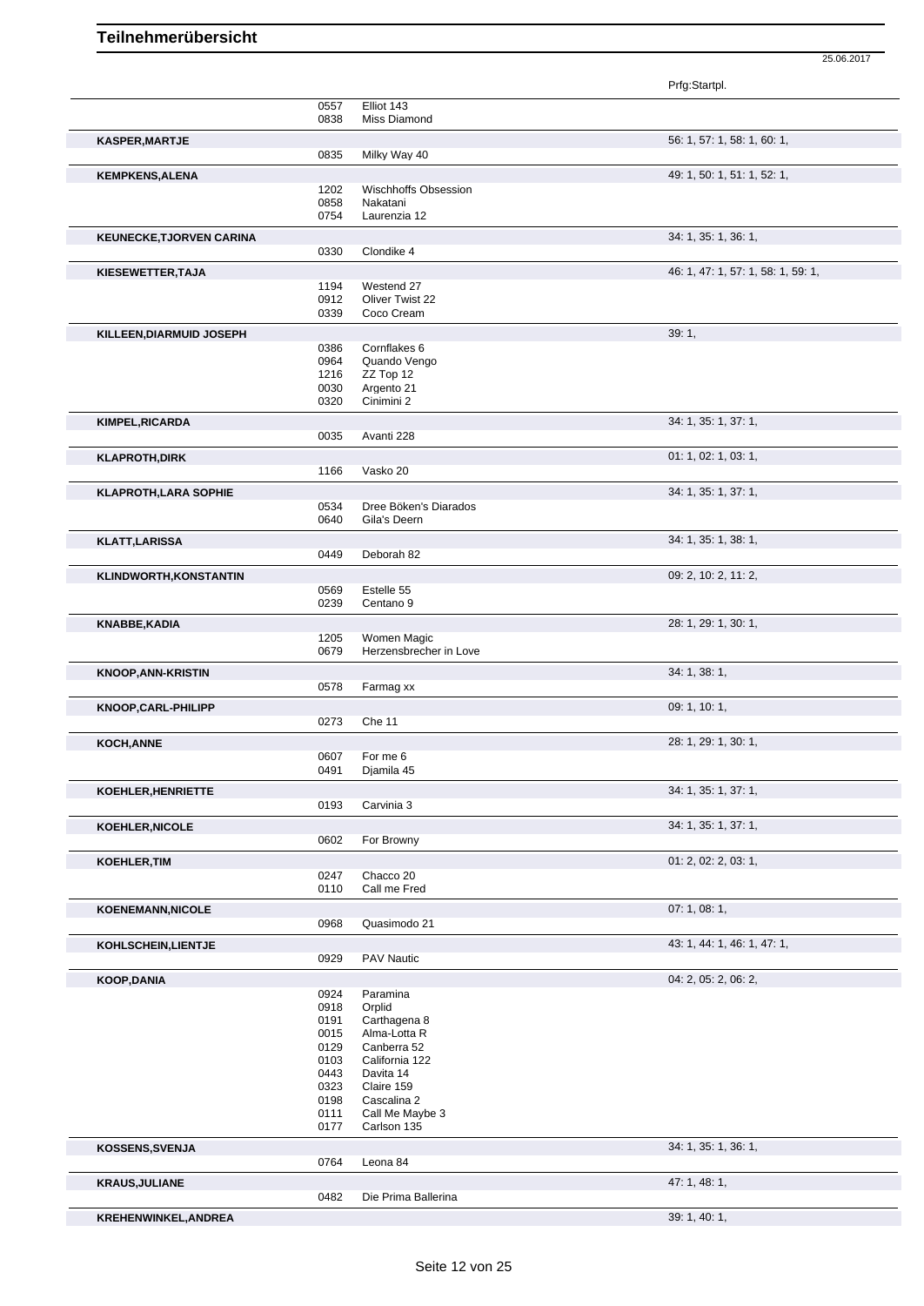|                                 |              |                                         | Prfg:Startpl.                      |
|---------------------------------|--------------|-----------------------------------------|------------------------------------|
|                                 | 0557         | Elliot 143                              |                                    |
|                                 | 0838         | Miss Diamond                            |                                    |
| KASPER, MARTJE                  |              |                                         | 56: 1, 57: 1, 58: 1, 60: 1,        |
|                                 | 0835         | Milky Way 40                            |                                    |
|                                 |              |                                         |                                    |
| <b>KEMPKENS, ALENA</b>          |              |                                         | 49: 1, 50: 1, 51: 1, 52: 1,        |
|                                 | 1202<br>0858 | <b>Wischhoffs Obsession</b><br>Nakatani |                                    |
|                                 | 0754         | Laurenzia 12                            |                                    |
|                                 |              |                                         |                                    |
| <b>KEUNECKE, TJORVEN CARINA</b> |              |                                         | 34: 1, 35: 1, 36: 1,               |
|                                 | 0330         | Clondike 4                              |                                    |
| KIESEWETTER, TAJA               |              |                                         | 46: 1, 47: 1, 57: 1, 58: 1, 59: 1, |
|                                 | 1194         | Westend 27                              |                                    |
|                                 | 0912         | Oliver Twist 22                         |                                    |
|                                 | 0339         | Coco Cream                              |                                    |
| KILLEEN, DIARMUID JOSEPH        |              |                                         | 39:1,                              |
|                                 | 0386         | Cornflakes 6                            |                                    |
|                                 | 0964         | Quando Vengo                            |                                    |
|                                 | 1216<br>0030 | ZZ Top 12<br>Argento 21                 |                                    |
|                                 | 0320         | Cinimini 2                              |                                    |
|                                 |              |                                         |                                    |
| <b>KIMPEL, RICARDA</b>          |              |                                         | 34: 1, 35: 1, 37: 1,               |
|                                 | 0035         | Avanti 228                              |                                    |
| <b>KLAPROTH, DIRK</b>           |              |                                         | 01: 1, 02: 1, 03: 1,               |
|                                 | 1166         | Vasko 20                                |                                    |
| <b>KLAPROTH, LARA SOPHIE</b>    |              |                                         | 34: 1, 35: 1, 37: 1,               |
|                                 | 0534         | Dree Böken's Diarados                   |                                    |
|                                 | 0640         | Gila's Deern                            |                                    |
| <b>KLATT, LARISSA</b>           |              |                                         | 34: 1, 35: 1, 38: 1,               |
|                                 | 0449         | Deborah 82                              |                                    |
|                                 |              |                                         |                                    |
| <b>KLINDWORTH,KONSTANTIN</b>    |              | Estelle 55                              | 09: 2, 10: 2, 11: 2,               |
|                                 | 0569<br>0239 | Centano <sub>9</sub>                    |                                    |
|                                 |              |                                         |                                    |
| KNABBE, KADIA                   |              |                                         | 28: 1, 29: 1, 30: 1,               |
|                                 | 1205         | Women Magic                             |                                    |
|                                 | 0679         | Herzensbrecher in Love                  |                                    |
| <b>KNOOP, ANN-KRISTIN</b>       |              |                                         | 34:1, 38:1,                        |
|                                 | 0578         | Farmag xx                               |                                    |
| KNOOP, CARL-PHILIPP             |              |                                         | 09: 1, 10: 1,                      |
|                                 | 0273         | Che 11                                  |                                    |
| <b>KOCH, ANNE</b>               |              |                                         | 28: 1, 29: 1, 30: 1,               |
|                                 | 0607         | For me 6                                |                                    |
|                                 | 0491         | Djamila 45                              |                                    |
| KOEHLER, HENRIETTE              |              |                                         | 34: 1, 35: 1, 37: 1,               |
|                                 | 0193         | Carvinia 3                              |                                    |
|                                 |              |                                         |                                    |
| <b>KOEHLER, NICOLE</b>          |              |                                         | 34: 1, 35: 1, 37: 1,               |
|                                 | 0602         | For Browny                              |                                    |
| KOEHLER, TIM                    |              |                                         | 01: 2, 02: 2, 03: 1,               |
|                                 | 0247         | Chacco 20                               |                                    |
|                                 | 0110         | Call me Fred                            |                                    |
| <b>KOENEMANN, NICOLE</b>        |              |                                         | 07: 1, 08: 1,                      |
|                                 | 0968         | Quasimodo 21                            |                                    |
| KOHLSCHEIN, LIENTJE             |              |                                         | 43: 1, 44: 1, 46: 1, 47: 1,        |
|                                 | 0929         | <b>PAV Nautic</b>                       |                                    |
|                                 |              |                                         |                                    |
| <b>KOOP,DANIA</b>               | 0924         | Paramina                                | 04: 2, 05: 2, 06: 2,               |
|                                 | 0918         | Orplid                                  |                                    |
|                                 | 0191         | Carthagena 8                            |                                    |
|                                 | 0015         | Alma-Lotta R                            |                                    |
|                                 | 0129         | Canberra 52                             |                                    |
|                                 | 0103         | California 122                          |                                    |
|                                 | 0443         | Davita 14                               |                                    |
|                                 | 0323<br>0198 | Claire 159<br>Cascalina 2               |                                    |
|                                 | 0111         | Call Me Maybe 3                         |                                    |
|                                 | 0177         | Carlson 135                             |                                    |
|                                 |              |                                         |                                    |
| KOSSENS, SVENJA                 | 0764         | Leona 84                                | 34: 1, 35: 1, 36: 1,               |
|                                 |              |                                         |                                    |
| <b>KRAUS, JULIANE</b>           |              |                                         | 47: 1, 48: 1,                      |
|                                 | 0482         | Die Prima Ballerina                     |                                    |

25.06.2017

**KREHENWINKEL,ANDREA** 39: 1, 40: 1,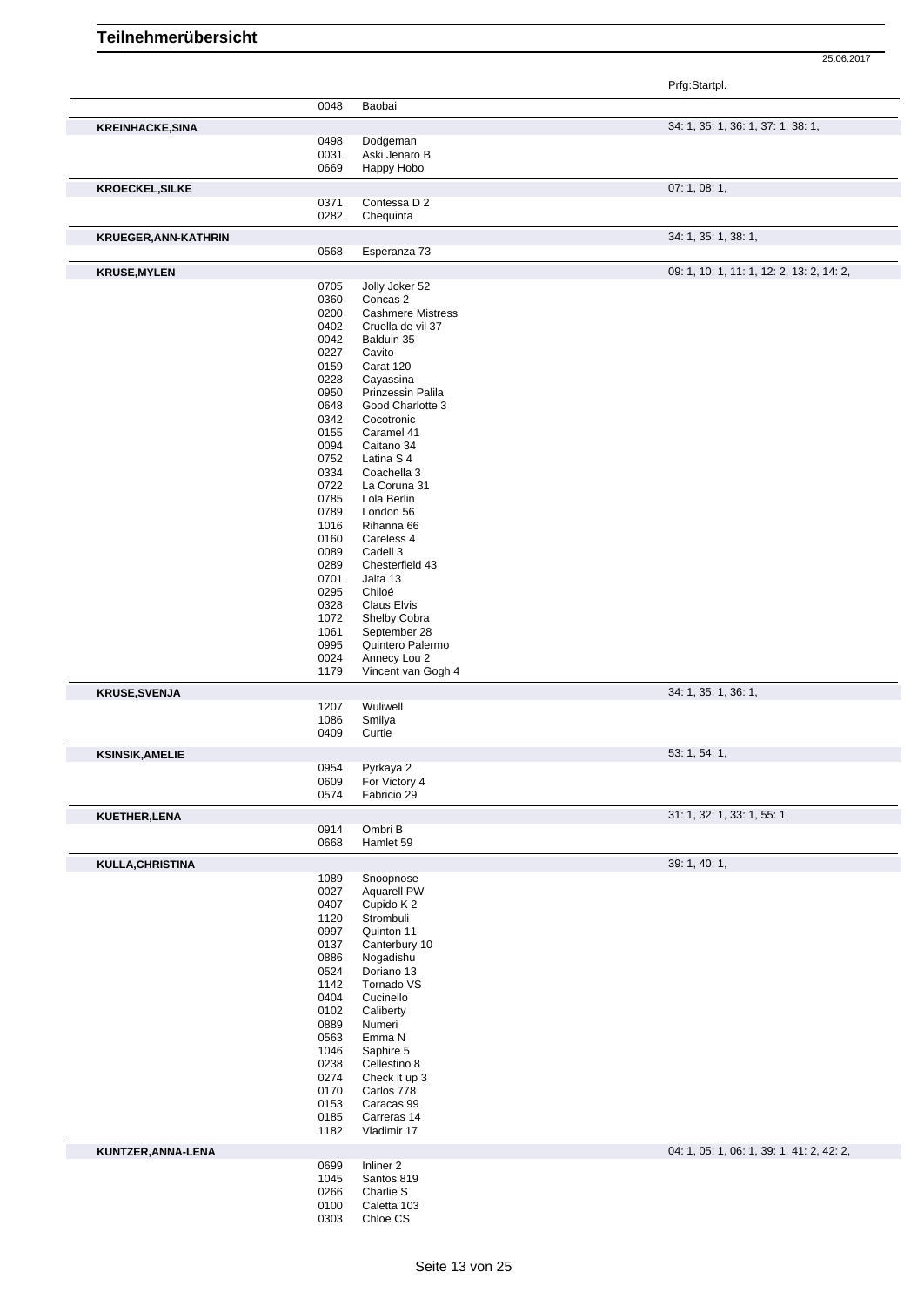|                         |              |                                      | Prfg:Startpl.                             |
|-------------------------|--------------|--------------------------------------|-------------------------------------------|
|                         | 0048         | Baobai                               |                                           |
| <b>KREINHACKE, SINA</b> | 0498         | Dodgeman                             | 34: 1, 35: 1, 36: 1, 37: 1, 38: 1,        |
|                         | 0031         | Aski Jenaro B                        |                                           |
|                         | 0669         | Happy Hobo                           |                                           |
| <b>KROECKEL, SILKE</b>  |              |                                      | 07:1,08:1,                                |
|                         | 0371         | Contessa D 2                         |                                           |
|                         | 0282         | Chequinta                            |                                           |
| KRUEGER, ANN-KATHRIN    |              |                                      | 34: 1, 35: 1, 38: 1,                      |
|                         | 0568         | Esperanza 73                         |                                           |
| <b>KRUSE, MYLEN</b>     |              |                                      | 09: 1, 10: 1, 11: 1, 12: 2, 13: 2, 14: 2, |
|                         | 0705         | Jolly Joker 52                       |                                           |
|                         | 0360<br>0200 | Concas 2<br><b>Cashmere Mistress</b> |                                           |
|                         | 0402         | Cruella de vil 37                    |                                           |
|                         | 0042         | Balduin 35                           |                                           |
|                         | 0227         | Cavito                               |                                           |
|                         | 0159<br>0228 | Carat 120<br>Cayassina               |                                           |
|                         | 0950         | Prinzessin Palila                    |                                           |
|                         | 0648         | Good Charlotte 3                     |                                           |
|                         | 0342         | Cocotronic                           |                                           |
|                         | 0155         | Caramel 41                           |                                           |
|                         | 0094<br>0752 | Caitano 34<br>Latina S 4             |                                           |
|                         | 0334         | Coachella 3                          |                                           |
|                         | 0722         | La Coruna 31                         |                                           |
|                         | 0785         | Lola Berlin                          |                                           |
|                         | 0789<br>1016 | London 56<br>Rihanna 66              |                                           |
|                         | 0160         | Careless 4                           |                                           |
|                         | 0089         | Cadell 3                             |                                           |
|                         | 0289         | Chesterfield 43                      |                                           |
|                         | 0701<br>0295 | Jalta 13<br>Chiloé                   |                                           |
|                         | 0328         | Claus Elvis                          |                                           |
|                         | 1072         | Shelby Cobra                         |                                           |
|                         | 1061         | September 28                         |                                           |
|                         | 0995<br>0024 | Quintero Palermo<br>Annecy Lou 2     |                                           |
|                         | 1179         | Vincent van Gogh 4                   |                                           |
| <b>KRUSE, SVENJA</b>    |              |                                      | 34: 1, 35: 1, 36: 1,                      |
|                         | 1207         | Wuliwell                             |                                           |
|                         | 1086         | Smilya                               |                                           |
|                         | 0409         | Curtie                               |                                           |
| <b>KSINSIK, AMELIE</b>  |              |                                      | 53: 1, 54: 1,                             |
|                         | 0954<br>0609 | Pyrkaya 2<br>For Victory 4           |                                           |
|                         | 0574         | Fabricio 29                          |                                           |
| KUETHER, LENA           |              |                                      | 31: 1, 32: 1, 33: 1, 55: 1,               |
|                         | 0914         | Ombri B                              |                                           |
|                         | 0668         | Hamlet 59                            |                                           |
| KULLA, CHRISTINA        |              |                                      | 39: 1, 40: 1,                             |
|                         | 1089<br>0027 | Snoopnose<br>Aquarell PW             |                                           |
|                         | 0407         | Cupido K2                            |                                           |
|                         | 1120         | Strombuli                            |                                           |
|                         | 0997         | Quinton 11                           |                                           |
|                         | 0137<br>0886 | Canterbury 10<br>Nogadishu           |                                           |
|                         | 0524         | Doriano 13                           |                                           |
|                         | 1142         | Tornado VS                           |                                           |
|                         | 0404         | Cucinello                            |                                           |
|                         | 0102         | Caliberty                            |                                           |
|                         | 0889<br>0563 | Numeri<br>Emma N                     |                                           |
|                         | 1046         | Saphire 5                            |                                           |
|                         | 0238         | Cellestino 8                         |                                           |
|                         | 0274         | Check it up 3                        |                                           |
|                         | 0170         | Carlos 778                           |                                           |
|                         | 0153<br>0185 | Caracas 99<br>Carreras 14            |                                           |
|                         | 1182         | Vladimir 17                          |                                           |
| KUNTZER, ANNA-LENA      |              |                                      | 04: 1, 05: 1, 06: 1, 39: 1, 41: 2, 42: 2, |
|                         | 0699         | Inliner <sub>2</sub>                 |                                           |
|                         | 1045         | Santos 819<br>Charlie S              |                                           |
|                         | 0266<br>0100 | Caletta 103                          |                                           |
|                         |              |                                      |                                           |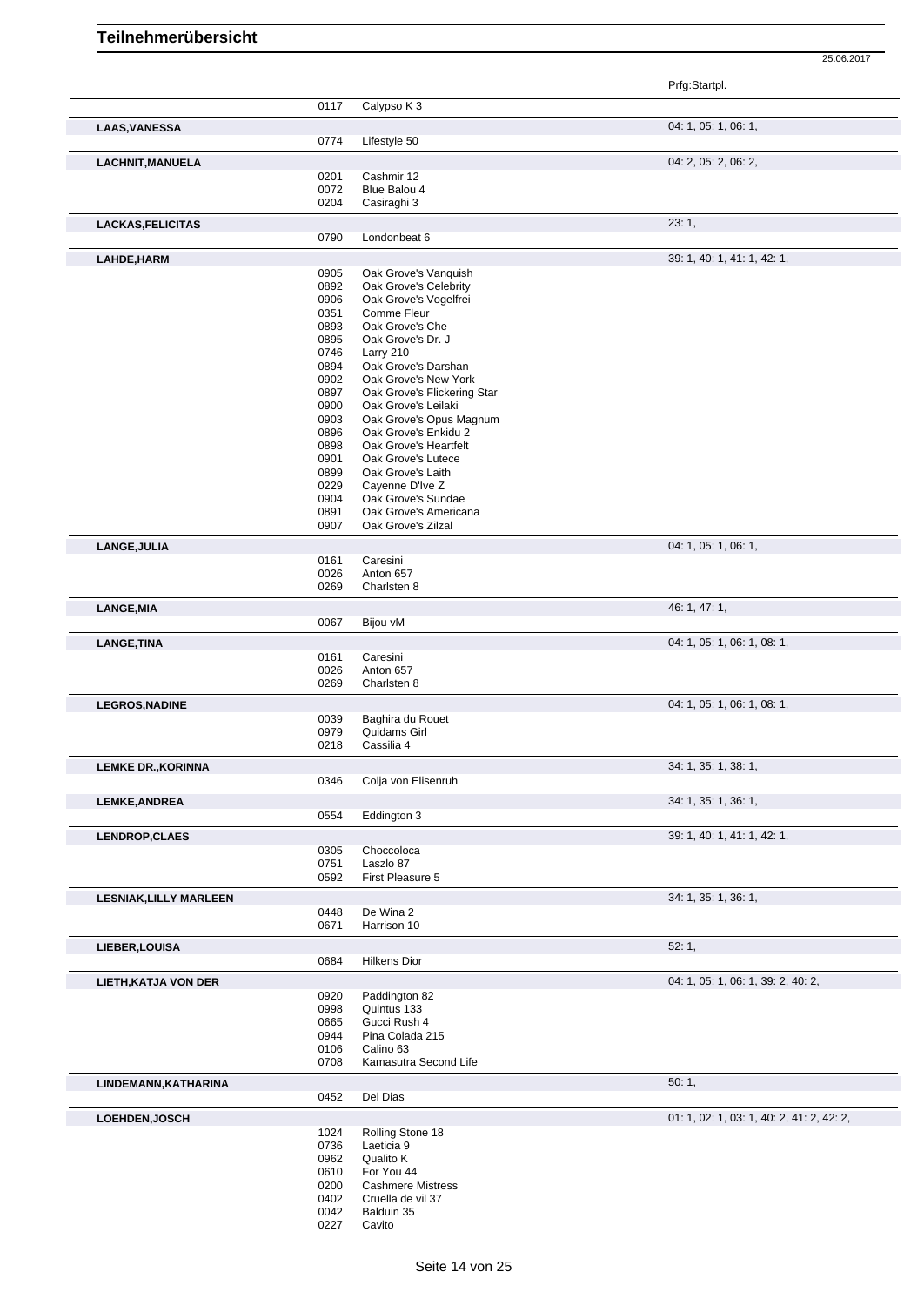| 0117<br>Calypso K 3<br>04: 1, 05: 1, 06: 1,<br><b>LAAS, VANESSA</b><br>0774<br>Lifestyle 50<br>04: 2, 05: 2, 06: 2,<br><b>LACHNIT, MANUELA</b><br>0201<br>Cashmir 12<br>0072<br>Blue Balou 4<br>0204<br>Casiraghi 3<br>23:1,<br><b>LACKAS, FELICITAS</b><br>0790<br>Londonbeat 6<br>39: 1, 40: 1, 41: 1, 42: 1,<br>LAHDE, HARM<br>0905<br>Oak Grove's Vanquish<br>0892<br>Oak Grove's Celebrity<br>0906<br>Oak Grove's Vogelfrei<br>0351<br>Comme Fleur<br>0893<br>Oak Grove's Che<br>0895<br>Oak Grove's Dr. J<br>0746<br>Larry 210<br>0894<br>Oak Grove's Darshan<br>Oak Grove's New York<br>0902<br>0897<br>Oak Grove's Flickering Star<br>0900<br>Oak Grove's Leilaki<br>0903<br>Oak Grove's Opus Magnum<br>Oak Grove's Enkidu 2<br>0896<br>0898<br>Oak Grove's Heartfelt<br>0901<br>Oak Grove's Lutece<br>0899<br>Oak Grove's Laith<br>0229<br>Cayenne D'Ive Z<br>0904<br>Oak Grove's Sundae<br>0891<br>Oak Grove's Americana<br>0907<br>Oak Grove's Zilzal<br>04: 1, 05: 1, 06: 1,<br>LANGE, JULIA<br>0161<br>Caresini<br>0026<br>Anton 657<br>0269<br>Charlsten 8<br>46: 1, 47: 1,<br><b>LANGE, MIA</b><br>0067<br>Bijou vM<br>04: 1, 05: 1, 06: 1, 08: 1,<br>LANGE, TINA<br>Caresini<br>0161<br>0026<br>Anton 657<br>0269<br>Charlsten 8<br>04: 1, 05: 1, 06: 1, 08: 1,<br><b>LEGROS, NADINE</b><br>0039<br>Baghira du Rouet<br>0979<br>Quidams Girl<br>0218<br>Cassilia 4<br>34: 1, 35: 1, 38: 1,<br><b>LEMKE DR., KORINNA</b><br>0346<br>Colja von Elisenruh<br>34: 1, 35: 1, 36: 1,<br><b>LEMKE, ANDREA</b><br>0554<br>Eddington 3<br>39: 1, 40: 1, 41: 1, 42: 1,<br><b>LENDROP, CLAES</b><br>0305<br>Choccoloca<br>0751<br>Laszlo 87<br>First Pleasure 5<br>0592<br>34: 1, 35: 1, 36: 1,<br><b>LESNIAK, LILLY MARLEEN</b><br>0448<br>De Wina 2<br>0671<br>Harrison 10<br>52:1,<br>LIEBER, LOUISA<br>0684<br>Hilkens Dior<br>04: 1, 05: 1, 06: 1, 39: 2, 40: 2,<br><b>LIETH, KATJA VON DER</b><br>0920<br>Paddington 82<br>0998<br>Quintus 133<br>0665<br>Gucci Rush 4<br>Pina Colada 215<br>0944<br>Calino 63<br>0106<br>0708<br>Kamasutra Second Life<br>50:1,<br>LINDEMANN, KATHARINA<br>0452<br>Del Dias<br>01: 1, 02: 1, 03: 1, 40: 2, 41: 2, 42: 2,<br>LOEHDEN, JOSCH<br>1024<br>Rolling Stone 18<br>0736<br>Laeticia 9<br>0962<br>Qualito K<br>0610<br>For You 44<br>0200<br><b>Cashmere Mistress</b><br>Cruella de vil 37<br>0402<br>0042<br>Balduin 35 |  | Prfg:Startpl. |
|----------------------------------------------------------------------------------------------------------------------------------------------------------------------------------------------------------------------------------------------------------------------------------------------------------------------------------------------------------------------------------------------------------------------------------------------------------------------------------------------------------------------------------------------------------------------------------------------------------------------------------------------------------------------------------------------------------------------------------------------------------------------------------------------------------------------------------------------------------------------------------------------------------------------------------------------------------------------------------------------------------------------------------------------------------------------------------------------------------------------------------------------------------------------------------------------------------------------------------------------------------------------------------------------------------------------------------------------------------------------------------------------------------------------------------------------------------------------------------------------------------------------------------------------------------------------------------------------------------------------------------------------------------------------------------------------------------------------------------------------------------------------------------------------------------------------------------------------------------------------------------------------------------------------------------------------------------------------------------------------------------------------------------------------------------------------------------------------------------------------------------------------------------------------------------------------------------------------------------------------------------------------------------------------------------------------------------------------------------------------------|--|---------------|
|                                                                                                                                                                                                                                                                                                                                                                                                                                                                                                                                                                                                                                                                                                                                                                                                                                                                                                                                                                                                                                                                                                                                                                                                                                                                                                                                                                                                                                                                                                                                                                                                                                                                                                                                                                                                                                                                                                                                                                                                                                                                                                                                                                                                                                                                                                                                                                            |  |               |
|                                                                                                                                                                                                                                                                                                                                                                                                                                                                                                                                                                                                                                                                                                                                                                                                                                                                                                                                                                                                                                                                                                                                                                                                                                                                                                                                                                                                                                                                                                                                                                                                                                                                                                                                                                                                                                                                                                                                                                                                                                                                                                                                                                                                                                                                                                                                                                            |  |               |
|                                                                                                                                                                                                                                                                                                                                                                                                                                                                                                                                                                                                                                                                                                                                                                                                                                                                                                                                                                                                                                                                                                                                                                                                                                                                                                                                                                                                                                                                                                                                                                                                                                                                                                                                                                                                                                                                                                                                                                                                                                                                                                                                                                                                                                                                                                                                                                            |  |               |
|                                                                                                                                                                                                                                                                                                                                                                                                                                                                                                                                                                                                                                                                                                                                                                                                                                                                                                                                                                                                                                                                                                                                                                                                                                                                                                                                                                                                                                                                                                                                                                                                                                                                                                                                                                                                                                                                                                                                                                                                                                                                                                                                                                                                                                                                                                                                                                            |  |               |
|                                                                                                                                                                                                                                                                                                                                                                                                                                                                                                                                                                                                                                                                                                                                                                                                                                                                                                                                                                                                                                                                                                                                                                                                                                                                                                                                                                                                                                                                                                                                                                                                                                                                                                                                                                                                                                                                                                                                                                                                                                                                                                                                                                                                                                                                                                                                                                            |  |               |
|                                                                                                                                                                                                                                                                                                                                                                                                                                                                                                                                                                                                                                                                                                                                                                                                                                                                                                                                                                                                                                                                                                                                                                                                                                                                                                                                                                                                                                                                                                                                                                                                                                                                                                                                                                                                                                                                                                                                                                                                                                                                                                                                                                                                                                                                                                                                                                            |  |               |
|                                                                                                                                                                                                                                                                                                                                                                                                                                                                                                                                                                                                                                                                                                                                                                                                                                                                                                                                                                                                                                                                                                                                                                                                                                                                                                                                                                                                                                                                                                                                                                                                                                                                                                                                                                                                                                                                                                                                                                                                                                                                                                                                                                                                                                                                                                                                                                            |  |               |
|                                                                                                                                                                                                                                                                                                                                                                                                                                                                                                                                                                                                                                                                                                                                                                                                                                                                                                                                                                                                                                                                                                                                                                                                                                                                                                                                                                                                                                                                                                                                                                                                                                                                                                                                                                                                                                                                                                                                                                                                                                                                                                                                                                                                                                                                                                                                                                            |  |               |
|                                                                                                                                                                                                                                                                                                                                                                                                                                                                                                                                                                                                                                                                                                                                                                                                                                                                                                                                                                                                                                                                                                                                                                                                                                                                                                                                                                                                                                                                                                                                                                                                                                                                                                                                                                                                                                                                                                                                                                                                                                                                                                                                                                                                                                                                                                                                                                            |  |               |
|                                                                                                                                                                                                                                                                                                                                                                                                                                                                                                                                                                                                                                                                                                                                                                                                                                                                                                                                                                                                                                                                                                                                                                                                                                                                                                                                                                                                                                                                                                                                                                                                                                                                                                                                                                                                                                                                                                                                                                                                                                                                                                                                                                                                                                                                                                                                                                            |  |               |
|                                                                                                                                                                                                                                                                                                                                                                                                                                                                                                                                                                                                                                                                                                                                                                                                                                                                                                                                                                                                                                                                                                                                                                                                                                                                                                                                                                                                                                                                                                                                                                                                                                                                                                                                                                                                                                                                                                                                                                                                                                                                                                                                                                                                                                                                                                                                                                            |  |               |
|                                                                                                                                                                                                                                                                                                                                                                                                                                                                                                                                                                                                                                                                                                                                                                                                                                                                                                                                                                                                                                                                                                                                                                                                                                                                                                                                                                                                                                                                                                                                                                                                                                                                                                                                                                                                                                                                                                                                                                                                                                                                                                                                                                                                                                                                                                                                                                            |  |               |
|                                                                                                                                                                                                                                                                                                                                                                                                                                                                                                                                                                                                                                                                                                                                                                                                                                                                                                                                                                                                                                                                                                                                                                                                                                                                                                                                                                                                                                                                                                                                                                                                                                                                                                                                                                                                                                                                                                                                                                                                                                                                                                                                                                                                                                                                                                                                                                            |  |               |
|                                                                                                                                                                                                                                                                                                                                                                                                                                                                                                                                                                                                                                                                                                                                                                                                                                                                                                                                                                                                                                                                                                                                                                                                                                                                                                                                                                                                                                                                                                                                                                                                                                                                                                                                                                                                                                                                                                                                                                                                                                                                                                                                                                                                                                                                                                                                                                            |  |               |
|                                                                                                                                                                                                                                                                                                                                                                                                                                                                                                                                                                                                                                                                                                                                                                                                                                                                                                                                                                                                                                                                                                                                                                                                                                                                                                                                                                                                                                                                                                                                                                                                                                                                                                                                                                                                                                                                                                                                                                                                                                                                                                                                                                                                                                                                                                                                                                            |  |               |
|                                                                                                                                                                                                                                                                                                                                                                                                                                                                                                                                                                                                                                                                                                                                                                                                                                                                                                                                                                                                                                                                                                                                                                                                                                                                                                                                                                                                                                                                                                                                                                                                                                                                                                                                                                                                                                                                                                                                                                                                                                                                                                                                                                                                                                                                                                                                                                            |  |               |
|                                                                                                                                                                                                                                                                                                                                                                                                                                                                                                                                                                                                                                                                                                                                                                                                                                                                                                                                                                                                                                                                                                                                                                                                                                                                                                                                                                                                                                                                                                                                                                                                                                                                                                                                                                                                                                                                                                                                                                                                                                                                                                                                                                                                                                                                                                                                                                            |  |               |
|                                                                                                                                                                                                                                                                                                                                                                                                                                                                                                                                                                                                                                                                                                                                                                                                                                                                                                                                                                                                                                                                                                                                                                                                                                                                                                                                                                                                                                                                                                                                                                                                                                                                                                                                                                                                                                                                                                                                                                                                                                                                                                                                                                                                                                                                                                                                                                            |  |               |
|                                                                                                                                                                                                                                                                                                                                                                                                                                                                                                                                                                                                                                                                                                                                                                                                                                                                                                                                                                                                                                                                                                                                                                                                                                                                                                                                                                                                                                                                                                                                                                                                                                                                                                                                                                                                                                                                                                                                                                                                                                                                                                                                                                                                                                                                                                                                                                            |  |               |
|                                                                                                                                                                                                                                                                                                                                                                                                                                                                                                                                                                                                                                                                                                                                                                                                                                                                                                                                                                                                                                                                                                                                                                                                                                                                                                                                                                                                                                                                                                                                                                                                                                                                                                                                                                                                                                                                                                                                                                                                                                                                                                                                                                                                                                                                                                                                                                            |  |               |
|                                                                                                                                                                                                                                                                                                                                                                                                                                                                                                                                                                                                                                                                                                                                                                                                                                                                                                                                                                                                                                                                                                                                                                                                                                                                                                                                                                                                                                                                                                                                                                                                                                                                                                                                                                                                                                                                                                                                                                                                                                                                                                                                                                                                                                                                                                                                                                            |  |               |
|                                                                                                                                                                                                                                                                                                                                                                                                                                                                                                                                                                                                                                                                                                                                                                                                                                                                                                                                                                                                                                                                                                                                                                                                                                                                                                                                                                                                                                                                                                                                                                                                                                                                                                                                                                                                                                                                                                                                                                                                                                                                                                                                                                                                                                                                                                                                                                            |  |               |
|                                                                                                                                                                                                                                                                                                                                                                                                                                                                                                                                                                                                                                                                                                                                                                                                                                                                                                                                                                                                                                                                                                                                                                                                                                                                                                                                                                                                                                                                                                                                                                                                                                                                                                                                                                                                                                                                                                                                                                                                                                                                                                                                                                                                                                                                                                                                                                            |  |               |
|                                                                                                                                                                                                                                                                                                                                                                                                                                                                                                                                                                                                                                                                                                                                                                                                                                                                                                                                                                                                                                                                                                                                                                                                                                                                                                                                                                                                                                                                                                                                                                                                                                                                                                                                                                                                                                                                                                                                                                                                                                                                                                                                                                                                                                                                                                                                                                            |  |               |
|                                                                                                                                                                                                                                                                                                                                                                                                                                                                                                                                                                                                                                                                                                                                                                                                                                                                                                                                                                                                                                                                                                                                                                                                                                                                                                                                                                                                                                                                                                                                                                                                                                                                                                                                                                                                                                                                                                                                                                                                                                                                                                                                                                                                                                                                                                                                                                            |  |               |
|                                                                                                                                                                                                                                                                                                                                                                                                                                                                                                                                                                                                                                                                                                                                                                                                                                                                                                                                                                                                                                                                                                                                                                                                                                                                                                                                                                                                                                                                                                                                                                                                                                                                                                                                                                                                                                                                                                                                                                                                                                                                                                                                                                                                                                                                                                                                                                            |  |               |
|                                                                                                                                                                                                                                                                                                                                                                                                                                                                                                                                                                                                                                                                                                                                                                                                                                                                                                                                                                                                                                                                                                                                                                                                                                                                                                                                                                                                                                                                                                                                                                                                                                                                                                                                                                                                                                                                                                                                                                                                                                                                                                                                                                                                                                                                                                                                                                            |  |               |
|                                                                                                                                                                                                                                                                                                                                                                                                                                                                                                                                                                                                                                                                                                                                                                                                                                                                                                                                                                                                                                                                                                                                                                                                                                                                                                                                                                                                                                                                                                                                                                                                                                                                                                                                                                                                                                                                                                                                                                                                                                                                                                                                                                                                                                                                                                                                                                            |  |               |
|                                                                                                                                                                                                                                                                                                                                                                                                                                                                                                                                                                                                                                                                                                                                                                                                                                                                                                                                                                                                                                                                                                                                                                                                                                                                                                                                                                                                                                                                                                                                                                                                                                                                                                                                                                                                                                                                                                                                                                                                                                                                                                                                                                                                                                                                                                                                                                            |  |               |
|                                                                                                                                                                                                                                                                                                                                                                                                                                                                                                                                                                                                                                                                                                                                                                                                                                                                                                                                                                                                                                                                                                                                                                                                                                                                                                                                                                                                                                                                                                                                                                                                                                                                                                                                                                                                                                                                                                                                                                                                                                                                                                                                                                                                                                                                                                                                                                            |  |               |
|                                                                                                                                                                                                                                                                                                                                                                                                                                                                                                                                                                                                                                                                                                                                                                                                                                                                                                                                                                                                                                                                                                                                                                                                                                                                                                                                                                                                                                                                                                                                                                                                                                                                                                                                                                                                                                                                                                                                                                                                                                                                                                                                                                                                                                                                                                                                                                            |  |               |
|                                                                                                                                                                                                                                                                                                                                                                                                                                                                                                                                                                                                                                                                                                                                                                                                                                                                                                                                                                                                                                                                                                                                                                                                                                                                                                                                                                                                                                                                                                                                                                                                                                                                                                                                                                                                                                                                                                                                                                                                                                                                                                                                                                                                                                                                                                                                                                            |  |               |
|                                                                                                                                                                                                                                                                                                                                                                                                                                                                                                                                                                                                                                                                                                                                                                                                                                                                                                                                                                                                                                                                                                                                                                                                                                                                                                                                                                                                                                                                                                                                                                                                                                                                                                                                                                                                                                                                                                                                                                                                                                                                                                                                                                                                                                                                                                                                                                            |  |               |
|                                                                                                                                                                                                                                                                                                                                                                                                                                                                                                                                                                                                                                                                                                                                                                                                                                                                                                                                                                                                                                                                                                                                                                                                                                                                                                                                                                                                                                                                                                                                                                                                                                                                                                                                                                                                                                                                                                                                                                                                                                                                                                                                                                                                                                                                                                                                                                            |  |               |
|                                                                                                                                                                                                                                                                                                                                                                                                                                                                                                                                                                                                                                                                                                                                                                                                                                                                                                                                                                                                                                                                                                                                                                                                                                                                                                                                                                                                                                                                                                                                                                                                                                                                                                                                                                                                                                                                                                                                                                                                                                                                                                                                                                                                                                                                                                                                                                            |  |               |
|                                                                                                                                                                                                                                                                                                                                                                                                                                                                                                                                                                                                                                                                                                                                                                                                                                                                                                                                                                                                                                                                                                                                                                                                                                                                                                                                                                                                                                                                                                                                                                                                                                                                                                                                                                                                                                                                                                                                                                                                                                                                                                                                                                                                                                                                                                                                                                            |  |               |
|                                                                                                                                                                                                                                                                                                                                                                                                                                                                                                                                                                                                                                                                                                                                                                                                                                                                                                                                                                                                                                                                                                                                                                                                                                                                                                                                                                                                                                                                                                                                                                                                                                                                                                                                                                                                                                                                                                                                                                                                                                                                                                                                                                                                                                                                                                                                                                            |  |               |
|                                                                                                                                                                                                                                                                                                                                                                                                                                                                                                                                                                                                                                                                                                                                                                                                                                                                                                                                                                                                                                                                                                                                                                                                                                                                                                                                                                                                                                                                                                                                                                                                                                                                                                                                                                                                                                                                                                                                                                                                                                                                                                                                                                                                                                                                                                                                                                            |  |               |
|                                                                                                                                                                                                                                                                                                                                                                                                                                                                                                                                                                                                                                                                                                                                                                                                                                                                                                                                                                                                                                                                                                                                                                                                                                                                                                                                                                                                                                                                                                                                                                                                                                                                                                                                                                                                                                                                                                                                                                                                                                                                                                                                                                                                                                                                                                                                                                            |  |               |
|                                                                                                                                                                                                                                                                                                                                                                                                                                                                                                                                                                                                                                                                                                                                                                                                                                                                                                                                                                                                                                                                                                                                                                                                                                                                                                                                                                                                                                                                                                                                                                                                                                                                                                                                                                                                                                                                                                                                                                                                                                                                                                                                                                                                                                                                                                                                                                            |  |               |
|                                                                                                                                                                                                                                                                                                                                                                                                                                                                                                                                                                                                                                                                                                                                                                                                                                                                                                                                                                                                                                                                                                                                                                                                                                                                                                                                                                                                                                                                                                                                                                                                                                                                                                                                                                                                                                                                                                                                                                                                                                                                                                                                                                                                                                                                                                                                                                            |  |               |
|                                                                                                                                                                                                                                                                                                                                                                                                                                                                                                                                                                                                                                                                                                                                                                                                                                                                                                                                                                                                                                                                                                                                                                                                                                                                                                                                                                                                                                                                                                                                                                                                                                                                                                                                                                                                                                                                                                                                                                                                                                                                                                                                                                                                                                                                                                                                                                            |  |               |
|                                                                                                                                                                                                                                                                                                                                                                                                                                                                                                                                                                                                                                                                                                                                                                                                                                                                                                                                                                                                                                                                                                                                                                                                                                                                                                                                                                                                                                                                                                                                                                                                                                                                                                                                                                                                                                                                                                                                                                                                                                                                                                                                                                                                                                                                                                                                                                            |  |               |
|                                                                                                                                                                                                                                                                                                                                                                                                                                                                                                                                                                                                                                                                                                                                                                                                                                                                                                                                                                                                                                                                                                                                                                                                                                                                                                                                                                                                                                                                                                                                                                                                                                                                                                                                                                                                                                                                                                                                                                                                                                                                                                                                                                                                                                                                                                                                                                            |  |               |
|                                                                                                                                                                                                                                                                                                                                                                                                                                                                                                                                                                                                                                                                                                                                                                                                                                                                                                                                                                                                                                                                                                                                                                                                                                                                                                                                                                                                                                                                                                                                                                                                                                                                                                                                                                                                                                                                                                                                                                                                                                                                                                                                                                                                                                                                                                                                                                            |  |               |
|                                                                                                                                                                                                                                                                                                                                                                                                                                                                                                                                                                                                                                                                                                                                                                                                                                                                                                                                                                                                                                                                                                                                                                                                                                                                                                                                                                                                                                                                                                                                                                                                                                                                                                                                                                                                                                                                                                                                                                                                                                                                                                                                                                                                                                                                                                                                                                            |  |               |
|                                                                                                                                                                                                                                                                                                                                                                                                                                                                                                                                                                                                                                                                                                                                                                                                                                                                                                                                                                                                                                                                                                                                                                                                                                                                                                                                                                                                                                                                                                                                                                                                                                                                                                                                                                                                                                                                                                                                                                                                                                                                                                                                                                                                                                                                                                                                                                            |  |               |
|                                                                                                                                                                                                                                                                                                                                                                                                                                                                                                                                                                                                                                                                                                                                                                                                                                                                                                                                                                                                                                                                                                                                                                                                                                                                                                                                                                                                                                                                                                                                                                                                                                                                                                                                                                                                                                                                                                                                                                                                                                                                                                                                                                                                                                                                                                                                                                            |  |               |
|                                                                                                                                                                                                                                                                                                                                                                                                                                                                                                                                                                                                                                                                                                                                                                                                                                                                                                                                                                                                                                                                                                                                                                                                                                                                                                                                                                                                                                                                                                                                                                                                                                                                                                                                                                                                                                                                                                                                                                                                                                                                                                                                                                                                                                                                                                                                                                            |  |               |
|                                                                                                                                                                                                                                                                                                                                                                                                                                                                                                                                                                                                                                                                                                                                                                                                                                                                                                                                                                                                                                                                                                                                                                                                                                                                                                                                                                                                                                                                                                                                                                                                                                                                                                                                                                                                                                                                                                                                                                                                                                                                                                                                                                                                                                                                                                                                                                            |  |               |
|                                                                                                                                                                                                                                                                                                                                                                                                                                                                                                                                                                                                                                                                                                                                                                                                                                                                                                                                                                                                                                                                                                                                                                                                                                                                                                                                                                                                                                                                                                                                                                                                                                                                                                                                                                                                                                                                                                                                                                                                                                                                                                                                                                                                                                                                                                                                                                            |  |               |
|                                                                                                                                                                                                                                                                                                                                                                                                                                                                                                                                                                                                                                                                                                                                                                                                                                                                                                                                                                                                                                                                                                                                                                                                                                                                                                                                                                                                                                                                                                                                                                                                                                                                                                                                                                                                                                                                                                                                                                                                                                                                                                                                                                                                                                                                                                                                                                            |  |               |
|                                                                                                                                                                                                                                                                                                                                                                                                                                                                                                                                                                                                                                                                                                                                                                                                                                                                                                                                                                                                                                                                                                                                                                                                                                                                                                                                                                                                                                                                                                                                                                                                                                                                                                                                                                                                                                                                                                                                                                                                                                                                                                                                                                                                                                                                                                                                                                            |  |               |
|                                                                                                                                                                                                                                                                                                                                                                                                                                                                                                                                                                                                                                                                                                                                                                                                                                                                                                                                                                                                                                                                                                                                                                                                                                                                                                                                                                                                                                                                                                                                                                                                                                                                                                                                                                                                                                                                                                                                                                                                                                                                                                                                                                                                                                                                                                                                                                            |  |               |
|                                                                                                                                                                                                                                                                                                                                                                                                                                                                                                                                                                                                                                                                                                                                                                                                                                                                                                                                                                                                                                                                                                                                                                                                                                                                                                                                                                                                                                                                                                                                                                                                                                                                                                                                                                                                                                                                                                                                                                                                                                                                                                                                                                                                                                                                                                                                                                            |  |               |
|                                                                                                                                                                                                                                                                                                                                                                                                                                                                                                                                                                                                                                                                                                                                                                                                                                                                                                                                                                                                                                                                                                                                                                                                                                                                                                                                                                                                                                                                                                                                                                                                                                                                                                                                                                                                                                                                                                                                                                                                                                                                                                                                                                                                                                                                                                                                                                            |  |               |
|                                                                                                                                                                                                                                                                                                                                                                                                                                                                                                                                                                                                                                                                                                                                                                                                                                                                                                                                                                                                                                                                                                                                                                                                                                                                                                                                                                                                                                                                                                                                                                                                                                                                                                                                                                                                                                                                                                                                                                                                                                                                                                                                                                                                                                                                                                                                                                            |  |               |
|                                                                                                                                                                                                                                                                                                                                                                                                                                                                                                                                                                                                                                                                                                                                                                                                                                                                                                                                                                                                                                                                                                                                                                                                                                                                                                                                                                                                                                                                                                                                                                                                                                                                                                                                                                                                                                                                                                                                                                                                                                                                                                                                                                                                                                                                                                                                                                            |  |               |
|                                                                                                                                                                                                                                                                                                                                                                                                                                                                                                                                                                                                                                                                                                                                                                                                                                                                                                                                                                                                                                                                                                                                                                                                                                                                                                                                                                                                                                                                                                                                                                                                                                                                                                                                                                                                                                                                                                                                                                                                                                                                                                                                                                                                                                                                                                                                                                            |  |               |
|                                                                                                                                                                                                                                                                                                                                                                                                                                                                                                                                                                                                                                                                                                                                                                                                                                                                                                                                                                                                                                                                                                                                                                                                                                                                                                                                                                                                                                                                                                                                                                                                                                                                                                                                                                                                                                                                                                                                                                                                                                                                                                                                                                                                                                                                                                                                                                            |  |               |
|                                                                                                                                                                                                                                                                                                                                                                                                                                                                                                                                                                                                                                                                                                                                                                                                                                                                                                                                                                                                                                                                                                                                                                                                                                                                                                                                                                                                                                                                                                                                                                                                                                                                                                                                                                                                                                                                                                                                                                                                                                                                                                                                                                                                                                                                                                                                                                            |  |               |
|                                                                                                                                                                                                                                                                                                                                                                                                                                                                                                                                                                                                                                                                                                                                                                                                                                                                                                                                                                                                                                                                                                                                                                                                                                                                                                                                                                                                                                                                                                                                                                                                                                                                                                                                                                                                                                                                                                                                                                                                                                                                                                                                                                                                                                                                                                                                                                            |  |               |
|                                                                                                                                                                                                                                                                                                                                                                                                                                                                                                                                                                                                                                                                                                                                                                                                                                                                                                                                                                                                                                                                                                                                                                                                                                                                                                                                                                                                                                                                                                                                                                                                                                                                                                                                                                                                                                                                                                                                                                                                                                                                                                                                                                                                                                                                                                                                                                            |  |               |
|                                                                                                                                                                                                                                                                                                                                                                                                                                                                                                                                                                                                                                                                                                                                                                                                                                                                                                                                                                                                                                                                                                                                                                                                                                                                                                                                                                                                                                                                                                                                                                                                                                                                                                                                                                                                                                                                                                                                                                                                                                                                                                                                                                                                                                                                                                                                                                            |  |               |
|                                                                                                                                                                                                                                                                                                                                                                                                                                                                                                                                                                                                                                                                                                                                                                                                                                                                                                                                                                                                                                                                                                                                                                                                                                                                                                                                                                                                                                                                                                                                                                                                                                                                                                                                                                                                                                                                                                                                                                                                                                                                                                                                                                                                                                                                                                                                                                            |  |               |
|                                                                                                                                                                                                                                                                                                                                                                                                                                                                                                                                                                                                                                                                                                                                                                                                                                                                                                                                                                                                                                                                                                                                                                                                                                                                                                                                                                                                                                                                                                                                                                                                                                                                                                                                                                                                                                                                                                                                                                                                                                                                                                                                                                                                                                                                                                                                                                            |  |               |
|                                                                                                                                                                                                                                                                                                                                                                                                                                                                                                                                                                                                                                                                                                                                                                                                                                                                                                                                                                                                                                                                                                                                                                                                                                                                                                                                                                                                                                                                                                                                                                                                                                                                                                                                                                                                                                                                                                                                                                                                                                                                                                                                                                                                                                                                                                                                                                            |  |               |
|                                                                                                                                                                                                                                                                                                                                                                                                                                                                                                                                                                                                                                                                                                                                                                                                                                                                                                                                                                                                                                                                                                                                                                                                                                                                                                                                                                                                                                                                                                                                                                                                                                                                                                                                                                                                                                                                                                                                                                                                                                                                                                                                                                                                                                                                                                                                                                            |  |               |
|                                                                                                                                                                                                                                                                                                                                                                                                                                                                                                                                                                                                                                                                                                                                                                                                                                                                                                                                                                                                                                                                                                                                                                                                                                                                                                                                                                                                                                                                                                                                                                                                                                                                                                                                                                                                                                                                                                                                                                                                                                                                                                                                                                                                                                                                                                                                                                            |  |               |
| 0227<br>Cavito                                                                                                                                                                                                                                                                                                                                                                                                                                                                                                                                                                                                                                                                                                                                                                                                                                                                                                                                                                                                                                                                                                                                                                                                                                                                                                                                                                                                                                                                                                                                                                                                                                                                                                                                                                                                                                                                                                                                                                                                                                                                                                                                                                                                                                                                                                                                                             |  |               |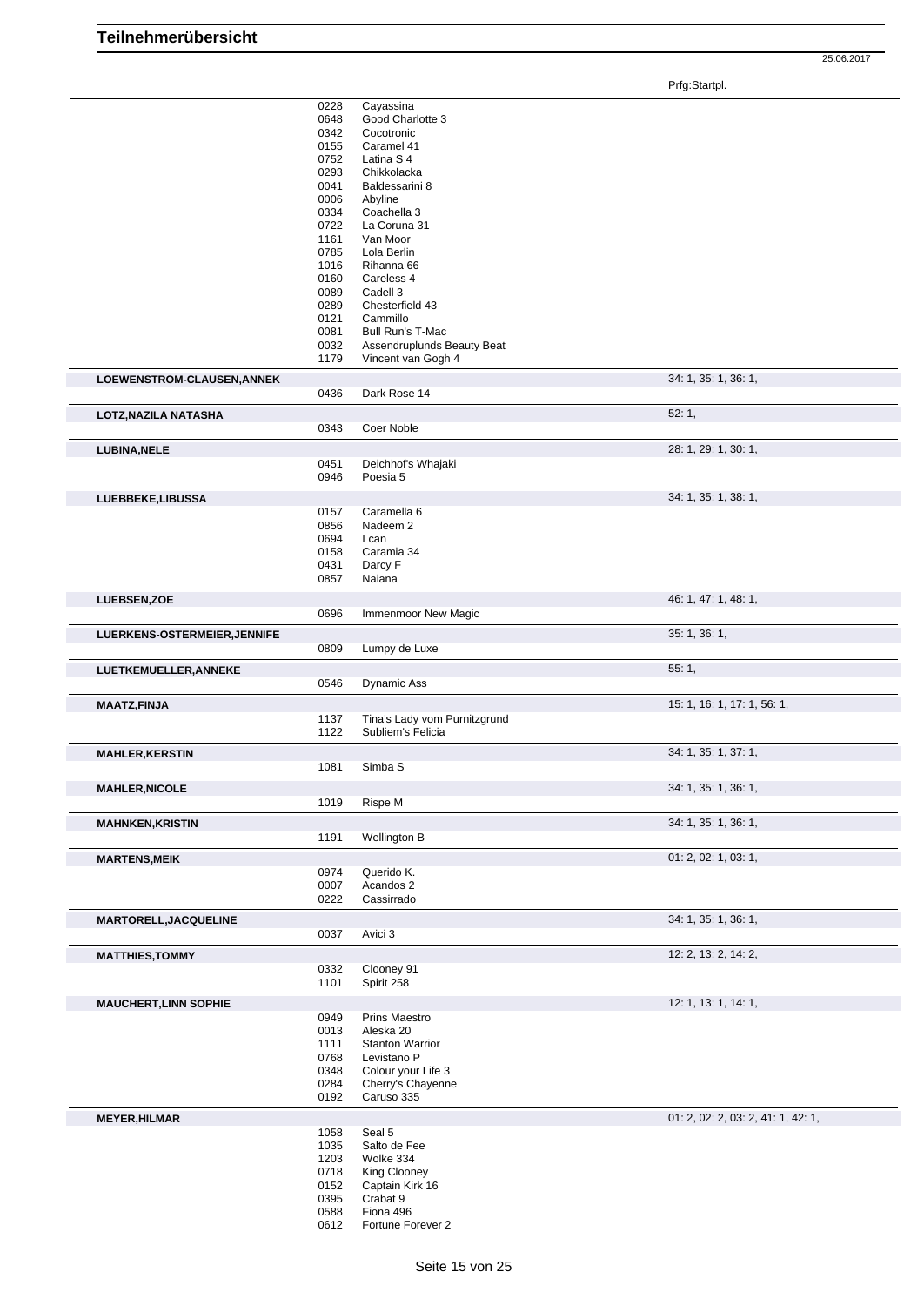|                                                                                                                                                                                                     | 0228         | Cayassina                      |                                    |
|-----------------------------------------------------------------------------------------------------------------------------------------------------------------------------------------------------|--------------|--------------------------------|------------------------------------|
|                                                                                                                                                                                                     | 0648<br>0342 | Good Charlotte 3<br>Cocotronic |                                    |
|                                                                                                                                                                                                     | 0155         | Caramel 41                     |                                    |
|                                                                                                                                                                                                     | 0752         | Latina S <sub>4</sub>          |                                    |
|                                                                                                                                                                                                     | 0293         | Chikkolacka                    |                                    |
|                                                                                                                                                                                                     | 0041         | Baldessarini 8                 |                                    |
|                                                                                                                                                                                                     | 0006         | Abyline                        |                                    |
|                                                                                                                                                                                                     | 0334         | Coachella 3                    |                                    |
|                                                                                                                                                                                                     | 0722         | La Coruna 31                   |                                    |
|                                                                                                                                                                                                     | 1161         | Van Moor                       |                                    |
|                                                                                                                                                                                                     | 0785         | Lola Berlin                    |                                    |
|                                                                                                                                                                                                     | 1016         | Rihanna 66                     |                                    |
|                                                                                                                                                                                                     | 0160         | Careless 4                     |                                    |
|                                                                                                                                                                                                     | 0089         | Cadell 3                       |                                    |
|                                                                                                                                                                                                     | 0289         | Chesterfield 43                |                                    |
|                                                                                                                                                                                                     | 0121         | Cammillo                       |                                    |
|                                                                                                                                                                                                     | 0081         | Bull Run's T-Mac               |                                    |
|                                                                                                                                                                                                     | 0032         | Assendruplunds Beauty Beat     |                                    |
|                                                                                                                                                                                                     | 1179         | Vincent van Gogh 4             |                                    |
| LOEWENSTROM-CLAUSEN, ANNEK                                                                                                                                                                          |              |                                | 34: 1, 35: 1, 36: 1,               |
|                                                                                                                                                                                                     | 0436         | Dark Rose 14                   |                                    |
|                                                                                                                                                                                                     |              |                                |                                    |
| LOTZ, NAZILA NATASHA                                                                                                                                                                                |              |                                | 52:1,                              |
|                                                                                                                                                                                                     | 0343         | Coer Noble                     |                                    |
| <b>LUBINA, NELE</b>                                                                                                                                                                                 |              |                                | 28: 1, 29: 1, 30: 1,               |
|                                                                                                                                                                                                     | 0451         | Deichhof's Whajaki             |                                    |
|                                                                                                                                                                                                     | 0946         | Poesia 5                       |                                    |
|                                                                                                                                                                                                     |              |                                | 34: 1, 35: 1, 38: 1,               |
| LUEBBEKE,LIBUSSA                                                                                                                                                                                    | 0157         | Caramella 6                    |                                    |
|                                                                                                                                                                                                     | 0856         | Nadeem <sub>2</sub>            |                                    |
|                                                                                                                                                                                                     | 0694         | I can                          |                                    |
|                                                                                                                                                                                                     | 0158         | Caramia 34                     |                                    |
|                                                                                                                                                                                                     | 0431         | Darcy F                        |                                    |
|                                                                                                                                                                                                     | 0857         | Naiana                         |                                    |
|                                                                                                                                                                                                     |              |                                |                                    |
| LUEBSEN, ZOE                                                                                                                                                                                        |              |                                | 46: 1, 47: 1, 48: 1,               |
|                                                                                                                                                                                                     | 0696         | Immenmoor New Magic            |                                    |
| LUERKENS-OSTERMEIER, JENNIFE                                                                                                                                                                        |              |                                | 35: 1, 36: 1,                      |
|                                                                                                                                                                                                     | 0809         | Lumpy de Luxe                  |                                    |
|                                                                                                                                                                                                     |              |                                | 55:1,                              |
|                                                                                                                                                                                                     |              |                                |                                    |
|                                                                                                                                                                                                     |              |                                |                                    |
|                                                                                                                                                                                                     | 0546         | <b>Dynamic Ass</b>             |                                    |
|                                                                                                                                                                                                     |              |                                | 15: 1, 16: 1, 17: 1, 56: 1,        |
|                                                                                                                                                                                                     | 1137         | Tina's Lady vom Purnitzgrund   |                                    |
|                                                                                                                                                                                                     | 1122         | Subliem's Felicia              |                                    |
|                                                                                                                                                                                                     |              |                                | 34: 1, 35: 1, 37: 1,               |
|                                                                                                                                                                                                     | 1081         | Simba <sub>S</sub>             |                                    |
|                                                                                                                                                                                                     |              |                                |                                    |
|                                                                                                                                                                                                     |              |                                | 34: 1, 35: 1, 36: 1,               |
|                                                                                                                                                                                                     | 1019         | Rispe M                        |                                    |
|                                                                                                                                                                                                     |              |                                | 34: 1, 35: 1, 36: 1,               |
|                                                                                                                                                                                                     | 1191         | Wellington B                   |                                    |
|                                                                                                                                                                                                     |              |                                | 01: 2, 02: 1, 03: 1,               |
|                                                                                                                                                                                                     | 0974         | Querido K.                     |                                    |
|                                                                                                                                                                                                     | 0007         | Acandos 2                      |                                    |
|                                                                                                                                                                                                     | 0222         | Cassirrado                     |                                    |
|                                                                                                                                                                                                     |              |                                |                                    |
|                                                                                                                                                                                                     |              |                                | 34: 1, 35: 1, 36: 1,               |
|                                                                                                                                                                                                     | 0037         | Avici 3                        |                                    |
|                                                                                                                                                                                                     |              |                                | 12: 2, 13: 2, 14: 2,               |
| LUETKEMUELLER, ANNEKE<br><b>MAATZ,FINJA</b><br><b>MAHLER, KERSTIN</b><br><b>MAHLER, NICOLE</b><br><b>MAHNKEN, KRISTIN</b><br><b>MARTENS,MEIK</b><br>MARTORELL, JACQUELINE<br><b>MATTHIES, TOMMY</b> | 0332         | Clooney 91                     |                                    |
|                                                                                                                                                                                                     | 1101         | Spirit 258                     |                                    |
|                                                                                                                                                                                                     |              |                                |                                    |
|                                                                                                                                                                                                     |              |                                | 12: 1, 13: 1, 14: 1,               |
|                                                                                                                                                                                                     | 0949<br>0013 | Prins Maestro<br>Aleska 20     |                                    |
|                                                                                                                                                                                                     | 1111         | <b>Stanton Warrior</b>         |                                    |
|                                                                                                                                                                                                     | 0768         | Levistano P                    |                                    |
|                                                                                                                                                                                                     | 0348         | Colour your Life 3             |                                    |
|                                                                                                                                                                                                     | 0284         | Cherry's Chayenne              |                                    |
|                                                                                                                                                                                                     | 0192         | Caruso 335                     |                                    |
|                                                                                                                                                                                                     |              |                                |                                    |
|                                                                                                                                                                                                     |              |                                | 01: 2, 02: 2, 03: 2, 41: 1, 42: 1, |
|                                                                                                                                                                                                     | 1058         | Seal 5                         |                                    |
|                                                                                                                                                                                                     | 1035         | Salto de Fee                   |                                    |
|                                                                                                                                                                                                     | 1203         | Wolke 334                      |                                    |
|                                                                                                                                                                                                     | 0718         | King Clooney                   |                                    |
|                                                                                                                                                                                                     | 0152         | Captain Kirk 16                |                                    |
| <b>MAUCHERT, LINN SOPHIE</b><br><b>MEYER, HILMAR</b>                                                                                                                                                | 0395         | Crabat 9                       |                                    |
|                                                                                                                                                                                                     | 0588<br>0612 | Fiona 496<br>Fortune Forever 2 |                                    |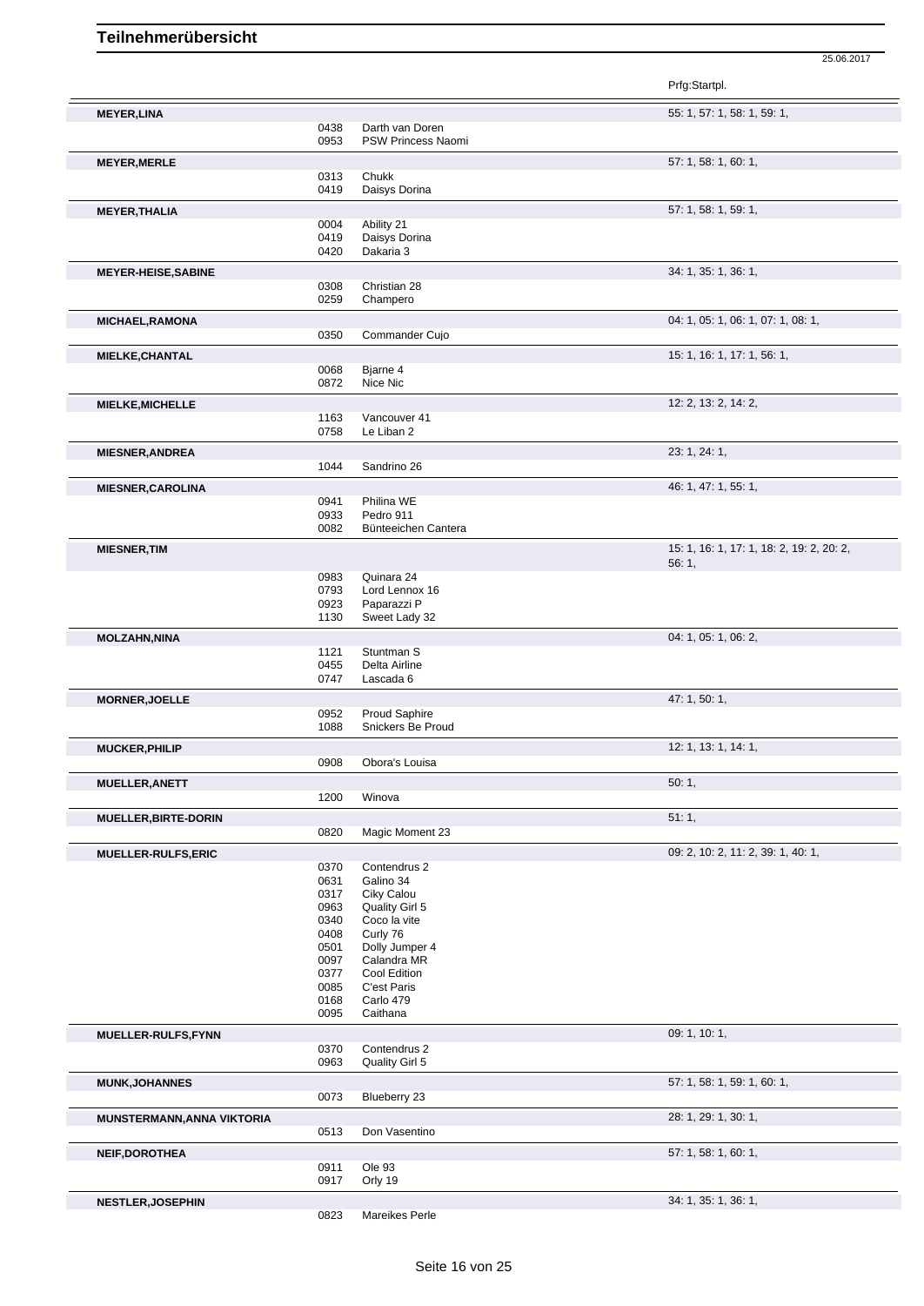|                             |              |                               | Prfg:Startpl.                             |
|-----------------------------|--------------|-------------------------------|-------------------------------------------|
| <b>MEYER, LINA</b>          |              |                               | 55: 1, 57: 1, 58: 1, 59: 1,               |
|                             | 0438         | Darth van Doren               |                                           |
|                             | 0953         | PSW Princess Naomi            |                                           |
| <b>MEYER, MERLE</b>         |              |                               | 57: 1, 58: 1, 60: 1,                      |
|                             | 0313         | Chukk                         |                                           |
|                             | 0419         | Daisys Dorina                 |                                           |
| <b>MEYER, THALIA</b>        |              |                               | 57: 1, 58: 1, 59: 1,                      |
|                             | 0004         | Ability 21                    |                                           |
|                             | 0419         | Daisys Dorina                 |                                           |
|                             | 0420         | Dakaria 3                     |                                           |
| <b>MEYER-HEISE, SABINE</b>  |              |                               | 34: 1, 35: 1, 36: 1,                      |
|                             | 0308         | Christian 28                  |                                           |
|                             | 0259         | Champero                      |                                           |
| <b>MICHAEL, RAMONA</b>      |              |                               | 04: 1, 05: 1, 06: 1, 07: 1, 08: 1,        |
|                             | 0350         | Commander Cujo                |                                           |
|                             |              |                               |                                           |
| <b>MIELKE, CHANTAL</b>      | 0068         | Bjarne 4                      | 15: 1, 16: 1, 17: 1, 56: 1,               |
|                             | 0872         | Nice Nic                      |                                           |
|                             |              |                               |                                           |
| <b>MIELKE, MICHELLE</b>     |              |                               | 12: 2, 13: 2, 14: 2,                      |
|                             | 1163<br>0758 | Vancouver 41<br>Le Liban 2    |                                           |
|                             |              |                               |                                           |
| <b>MIESNER, ANDREA</b>      |              |                               | 23: 1, 24: 1,                             |
|                             | 1044         | Sandrino 26                   |                                           |
| <b>MIESNER, CAROLINA</b>    |              |                               | 46: 1, 47: 1, 55: 1,                      |
|                             | 0941         | Philina WE                    |                                           |
|                             | 0933         | Pedro 911                     |                                           |
|                             | 0082         | Bünteeichen Cantera           |                                           |
| <b>MIESNER, TIM</b>         |              |                               | 15: 1, 16: 1, 17: 1, 18: 2, 19: 2, 20: 2, |
|                             |              |                               | 56:1,                                     |
|                             | 0983         | Quinara 24                    |                                           |
|                             | 0793<br>0923 | Lord Lennox 16<br>Paparazzi P |                                           |
|                             | 1130         | Sweet Lady 32                 |                                           |
|                             |              |                               |                                           |
| <b>MOLZAHN, NINA</b>        |              |                               | 04: 1, 05: 1, 06: 2,                      |
|                             | 1121<br>0455 | Stuntman S<br>Delta Airline   |                                           |
|                             | 0747         | Lascada 6                     |                                           |
|                             |              |                               |                                           |
| <b>MORNER, JOELLE</b>       | 0952         | Proud Saphire                 | 47: 1, 50: 1,                             |
|                             | 1088         | Snickers Be Proud             |                                           |
|                             |              |                               |                                           |
| <b>MUCKER, PHILIP</b>       | 0908         | Obora's Louisa                | 12: 1, 13: 1, 14: 1,                      |
|                             |              |                               |                                           |
| <b>MUELLER, ANETT</b>       |              |                               | 50:1,                                     |
|                             | 1200         | Winova                        |                                           |
| <b>MUELLER, BIRTE-DORIN</b> |              |                               | 51:1,                                     |
|                             | 0820         | Magic Moment 23               |                                           |
| <b>MUELLER-RULFS, ERIC</b>  |              |                               | 09: 2, 10: 2, 11: 2, 39: 1, 40: 1,        |
|                             | 0370         | Contendrus 2                  |                                           |
|                             | 0631         | Galino 34                     |                                           |
|                             | 0317         | Ciky Calou                    |                                           |
|                             | 0963         | Quality Girl 5                |                                           |
|                             | 0340         | Coco la vite                  |                                           |
|                             | 0408<br>0501 | Curly 76<br>Dolly Jumper 4    |                                           |
|                             | 0097         | Calandra MR                   |                                           |
|                             | 0377         | Cool Edition                  |                                           |
|                             | 0085         | C'est Paris                   |                                           |
|                             | 0168         | Carlo 479                     |                                           |
|                             | 0095         | Caithana                      |                                           |
| MUELLER-RULFS,FYNN          |              |                               | 09: 1, 10: 1,                             |
|                             | 0370         | Contendrus 2                  |                                           |
|                             | 0963         | Quality Girl 5                |                                           |
| <b>MUNK, JOHANNES</b>       |              |                               | 57: 1, 58: 1, 59: 1, 60: 1,               |
|                             | 0073         | Blueberry 23                  |                                           |
| MUNSTERMANN, ANNA VIKTORIA  |              |                               | 28: 1, 29: 1, 30: 1,                      |
|                             | 0513         | Don Vasentino                 |                                           |
|                             |              |                               |                                           |
| <b>NEIF, DOROTHEA</b>       |              |                               | 57: 1, 58: 1, 60: 1,                      |
|                             | 0911<br>0917 | Ole 93<br>Orly 19             |                                           |
|                             |              |                               |                                           |
| <b>NESTLER, JOSEPHIN</b>    |              |                               | 34: 1, 35: 1, 36: 1,                      |
|                             | 0823         | Mareikes Perle                |                                           |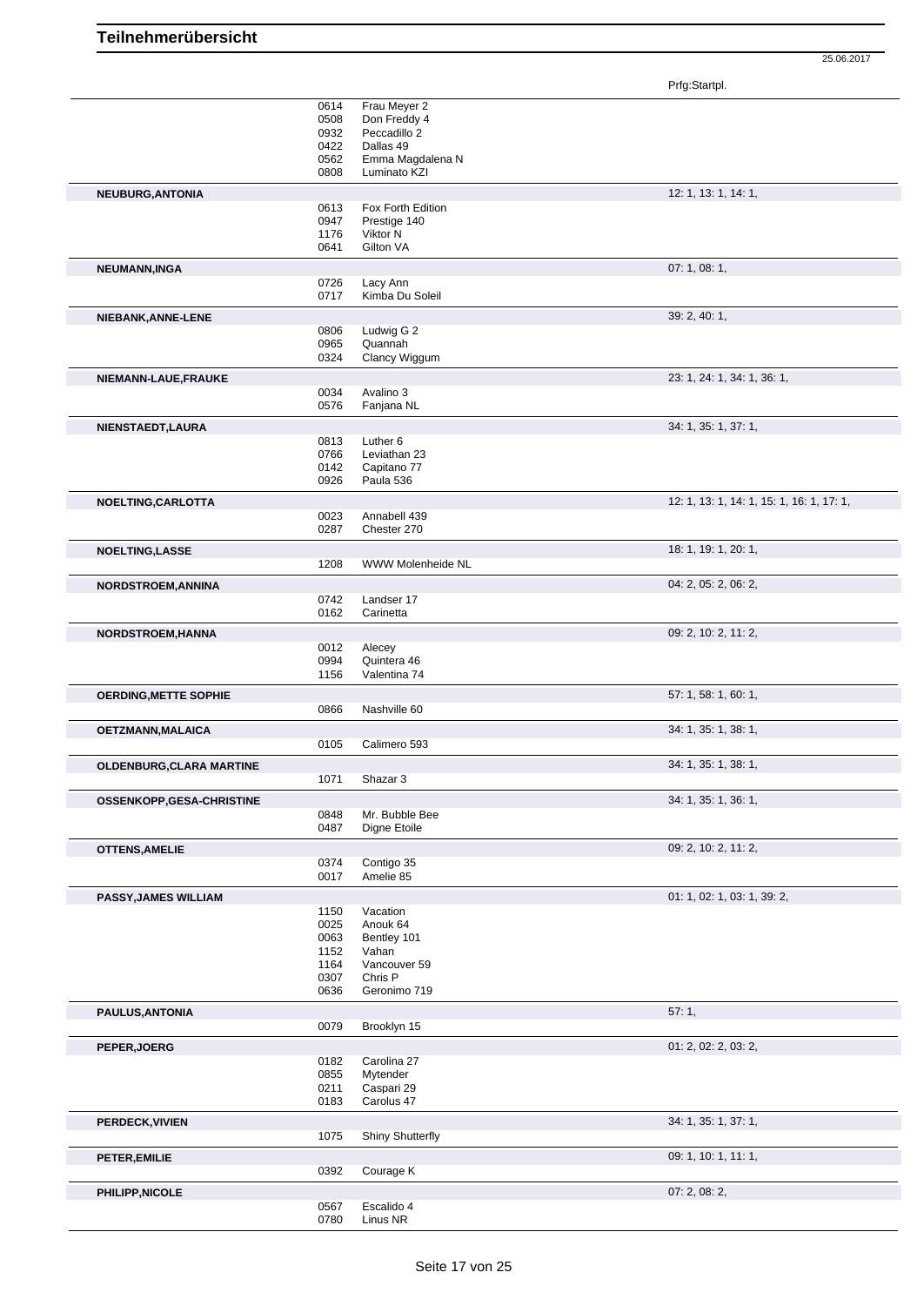|                              | 0614 | Frau Meyer 2            |                                           |
|------------------------------|------|-------------------------|-------------------------------------------|
|                              | 0508 | Don Freddy 4            |                                           |
|                              | 0932 | Peccadillo 2            |                                           |
|                              | 0422 | Dallas 49               |                                           |
|                              | 0562 | Emma Magdalena N        |                                           |
|                              | 0808 | Luminato KZI            |                                           |
| NEUBURG, ANTONIA             |      |                         | 12: 1, 13: 1, 14: 1,                      |
|                              | 0613 | Fox Forth Edition       |                                           |
|                              | 0947 | Prestige 140            |                                           |
|                              | 1176 | Viktor N                |                                           |
|                              | 0641 | Gilton VA               |                                           |
|                              |      |                         |                                           |
| NEUMANN, INGA                |      |                         | 07:1,08:1,                                |
|                              | 0726 | Lacy Ann                |                                           |
|                              | 0717 | Kimba Du Soleil         |                                           |
| NIEBANK, ANNE-LENE           |      |                         | 39: 2, 40: 1,                             |
|                              | 0806 | Ludwig G 2              |                                           |
|                              | 0965 | Quannah                 |                                           |
|                              | 0324 | Clancy Wiggum           |                                           |
|                              |      |                         |                                           |
| NIEMANN-LAUE, FRAUKE         |      |                         | 23: 1, 24: 1, 34: 1, 36: 1,               |
|                              | 0034 | Avalino 3               |                                           |
|                              | 0576 | Fanjana NL              |                                           |
|                              |      |                         |                                           |
| NIENSTAEDT, LAURA            |      |                         | 34: 1, 35: 1, 37: 1,                      |
|                              | 0813 | Luther <sub>6</sub>     |                                           |
|                              | 0766 | Leviathan 23            |                                           |
|                              | 0142 | Capitano 77             |                                           |
|                              | 0926 | Paula 536               |                                           |
| NOELTING, CARLOTTA           |      |                         | 12: 1, 13: 1, 14: 1, 15: 1, 16: 1, 17: 1, |
|                              | 0023 | Annabell 439            |                                           |
|                              | 0287 | Chester 270             |                                           |
|                              |      |                         |                                           |
| <b>NOELTING,LASSE</b>        |      |                         | 18: 1, 19: 1, 20: 1,                      |
|                              | 1208 | WWW Molenheide NL       |                                           |
| NORDSTROEM, ANNINA           |      |                         | 04: 2, 05: 2, 06: 2,                      |
|                              | 0742 | Landser 17              |                                           |
|                              | 0162 | Carinetta               |                                           |
|                              |      |                         |                                           |
| NORDSTROEM, HANNA            |      |                         | 09: 2, 10: 2, 11: 2,                      |
|                              | 0012 | Alecey                  |                                           |
|                              | 0994 | Quintera 46             |                                           |
|                              | 1156 | Valentina 74            |                                           |
|                              |      |                         | 57: 1, 58: 1, 60: 1,                      |
| <b>OERDING, METTE SOPHIE</b> | 0866 | Nashville 60            |                                           |
|                              |      |                         |                                           |
| OETZMANN, MALAICA            |      |                         | 34: 1, 35: 1, 38: 1,                      |
|                              | 0105 | Calimero 593            |                                           |
|                              |      |                         | 34: 1, 35: 1, 38: 1,                      |
| OLDENBURG, CLARA MARTINE     |      | Shazar 3                |                                           |
|                              | 1071 |                         |                                           |
| OSSENKOPP, GESA-CHRISTINE    |      |                         | 34: 1, 35: 1, 36: 1,                      |
|                              | 0848 | Mr. Bubble Bee          |                                           |
|                              | 0487 | Digne Etoile            |                                           |
|                              |      |                         |                                           |
| <b>OTTENS, AMELIE</b>        |      |                         | 09: 2, 10: 2, 11: 2,                      |
|                              | 0374 | Contigo 35              |                                           |
|                              | 0017 | Amelie 85               |                                           |
| <b>PASSY, JAMES WILLIAM</b>  |      |                         | 01: 1, 02: 1, 03: 1, 39: 2,               |
|                              | 1150 | Vacation                |                                           |
|                              | 0025 | Anouk 64                |                                           |
|                              | 0063 | Bentley 101             |                                           |
|                              |      |                         |                                           |
|                              | 1152 | Vahan                   |                                           |
|                              | 1164 | Vancouver 59<br>Chris P |                                           |
|                              | 0307 | Geronimo 719            |                                           |
|                              | 0636 |                         |                                           |
| PAULUS, ANTONIA              |      |                         | 57:1,                                     |
|                              | 0079 | Brooklyn 15             |                                           |
|                              |      |                         |                                           |
| PEPER, JOERG                 |      |                         | 01: 2, 02: 2, 03: 2,                      |
|                              | 0182 | Carolina 27             |                                           |
|                              | 0855 | Mytender                |                                           |
|                              | 0211 | Caspari 29              |                                           |
|                              | 0183 | Carolus 47              |                                           |
| PERDECK, VIVIEN              |      |                         | 34: 1, 35: 1, 37: 1,                      |
|                              | 1075 | <b>Shiny Shutterfly</b> |                                           |
|                              |      |                         |                                           |
| PETER, EMILIE                |      |                         | 09: 1, 10: 1, 11: 1,                      |
|                              | 0392 | Courage K               |                                           |
| PHILIPP, NICOLE              |      |                         | 07: 2, 08: 2,                             |
|                              | 0567 | Escalido 4              |                                           |
|                              | 0780 | Linus NR                |                                           |
|                              |      |                         |                                           |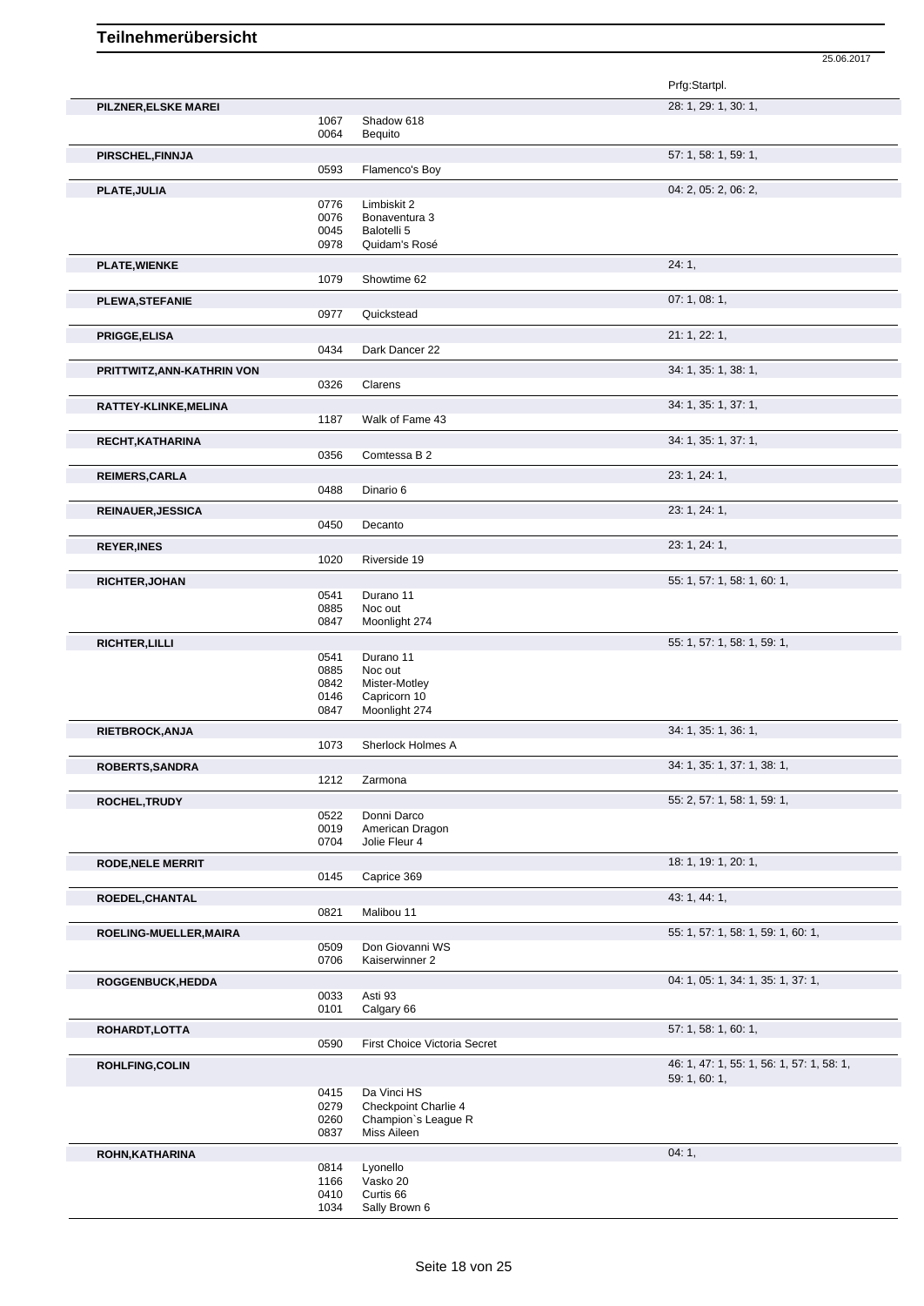|                            |              |                              | Prfg:Startpl.                             |
|----------------------------|--------------|------------------------------|-------------------------------------------|
| PILZNER, ELSKE MAREI       |              |                              | 28: 1, 29: 1, 30: 1,                      |
|                            | 1067         | Shadow 618                   |                                           |
|                            | 0064         | Bequito                      |                                           |
| PIRSCHEL, FINNJA           |              |                              | 57: 1, 58: 1, 59: 1,                      |
|                            | 0593         | Flamenco's Boy               |                                           |
| PLATE, JULIA               |              |                              | 04: 2, 05: 2, 06: 2,                      |
|                            | 0776         | Limbiskit 2                  |                                           |
|                            | 0076         | Bonaventura 3                |                                           |
|                            | 0045<br>0978 | Balotelli 5<br>Quidam's Rosé |                                           |
|                            |              |                              |                                           |
| <b>PLATE, WIENKE</b>       | 1079         | Showtime 62                  | 24:1,                                     |
|                            |              |                              |                                           |
| PLEWA, STEFANIE            |              |                              | 07:1,08:1,                                |
|                            | 0977         | Quickstead                   |                                           |
| <b>PRIGGE, ELISA</b>       |              |                              | 21: 1, 22: 1,                             |
|                            | 0434         | Dark Dancer 22               |                                           |
| PRITTWITZ, ANN-KATHRIN VON |              |                              | 34: 1, 35: 1, 38: 1,                      |
|                            | 0326         | Clarens                      |                                           |
| RATTEY-KLINKE, MELINA      |              |                              | 34: 1, 35: 1, 37: 1,                      |
|                            | 1187         | Walk of Fame 43              |                                           |
|                            |              |                              | 34: 1, 35: 1, 37: 1,                      |
| RECHT, KATHARINA           | 0356         | Comtessa B 2                 |                                           |
|                            |              |                              |                                           |
| <b>REIMERS, CARLA</b>      |              |                              | 23: 1, 24: 1,                             |
|                            | 0488         | Dinario 6                    |                                           |
| <b>REINAUER, JESSICA</b>   |              |                              | 23: 1, 24: 1,                             |
|                            | 0450         | Decanto                      |                                           |
| <b>REYER, INES</b>         |              |                              | 23: 1, 24: 1,                             |
|                            | 1020         | Riverside 19                 |                                           |
| <b>RICHTER, JOHAN</b>      |              |                              | 55: 1, 57: 1, 58: 1, 60: 1,               |
|                            | 0541         | Durano 11                    |                                           |
|                            | 0885         | Noc out                      |                                           |
|                            | 0847         | Moonlight 274                |                                           |
| <b>RICHTER, LILLI</b>      |              |                              | 55: 1, 57: 1, 58: 1, 59: 1,               |
|                            | 0541         | Durano 11                    |                                           |
|                            | 0885         | Noc out                      |                                           |
|                            | 0842         | Mister-Motley                |                                           |
|                            | 0146         | Capricorn 10                 |                                           |
|                            | 0847         | Moonlight 274                |                                           |
| RIETBROCK, ANJA            |              |                              | 34: 1, 35: 1, 36: 1,                      |
|                            | 1073         | Sherlock Holmes A            |                                           |
| ROBERTS, SANDRA            |              |                              | 34: 1, 35: 1, 37: 1, 38: 1,               |
|                            | 1212         | Zarmona                      |                                           |
|                            |              |                              | 55: 2, 57: 1, 58: 1, 59: 1,               |
| ROCHEL, TRUDY              | 0522         | Donni Darco                  |                                           |
|                            | 0019         | American Dragon              |                                           |
|                            | 0704         | Jolie Fleur 4                |                                           |
| <b>RODE, NELE MERRIT</b>   |              |                              | 18: 1, 19: 1, 20: 1,                      |
|                            | 0145         | Caprice 369                  |                                           |
|                            |              |                              |                                           |
| ROEDEL, CHANTAL            |              |                              | 43: 1, 44: 1,                             |
|                            | 0821         | Malibou 11                   |                                           |
| ROELING-MUELLER, MAIRA     |              |                              | 55: 1, 57: 1, 58: 1, 59: 1, 60: 1,        |
|                            | 0509         | Don Giovanni WS              |                                           |
|                            | 0706         | Kaiserwinner 2               |                                           |
| ROGGENBUCK, HEDDA          |              |                              | 04: 1, 05: 1, 34: 1, 35: 1, 37: 1,        |
|                            | 0033         | Asti 93                      |                                           |
|                            | 0101         | Calgary 66                   |                                           |
| ROHARDT, LOTTA             |              |                              | 57: 1, 58: 1, 60: 1,                      |
|                            | 0590         | First Choice Victoria Secret |                                           |
| <b>ROHLFING, COLIN</b>     |              |                              | 46: 1, 47: 1, 55: 1, 56: 1, 57: 1, 58: 1, |
|                            |              |                              | 59: 1, 60: 1,                             |
|                            | 0415         | Da Vinci HS                  |                                           |
|                            | 0279         | Checkpoint Charlie 4         |                                           |
|                            | 0260         | Champion's League R          |                                           |
|                            | 0837         | Miss Aileen                  |                                           |
| ROHN, KATHARINA            |              |                              | 04:1,                                     |
|                            | 0814         | Lyonello                     |                                           |
|                            | 1166         | Vasko 20                     |                                           |
|                            | 0410         | Curtis 66                    |                                           |

25.06.2017

Sally Brown 6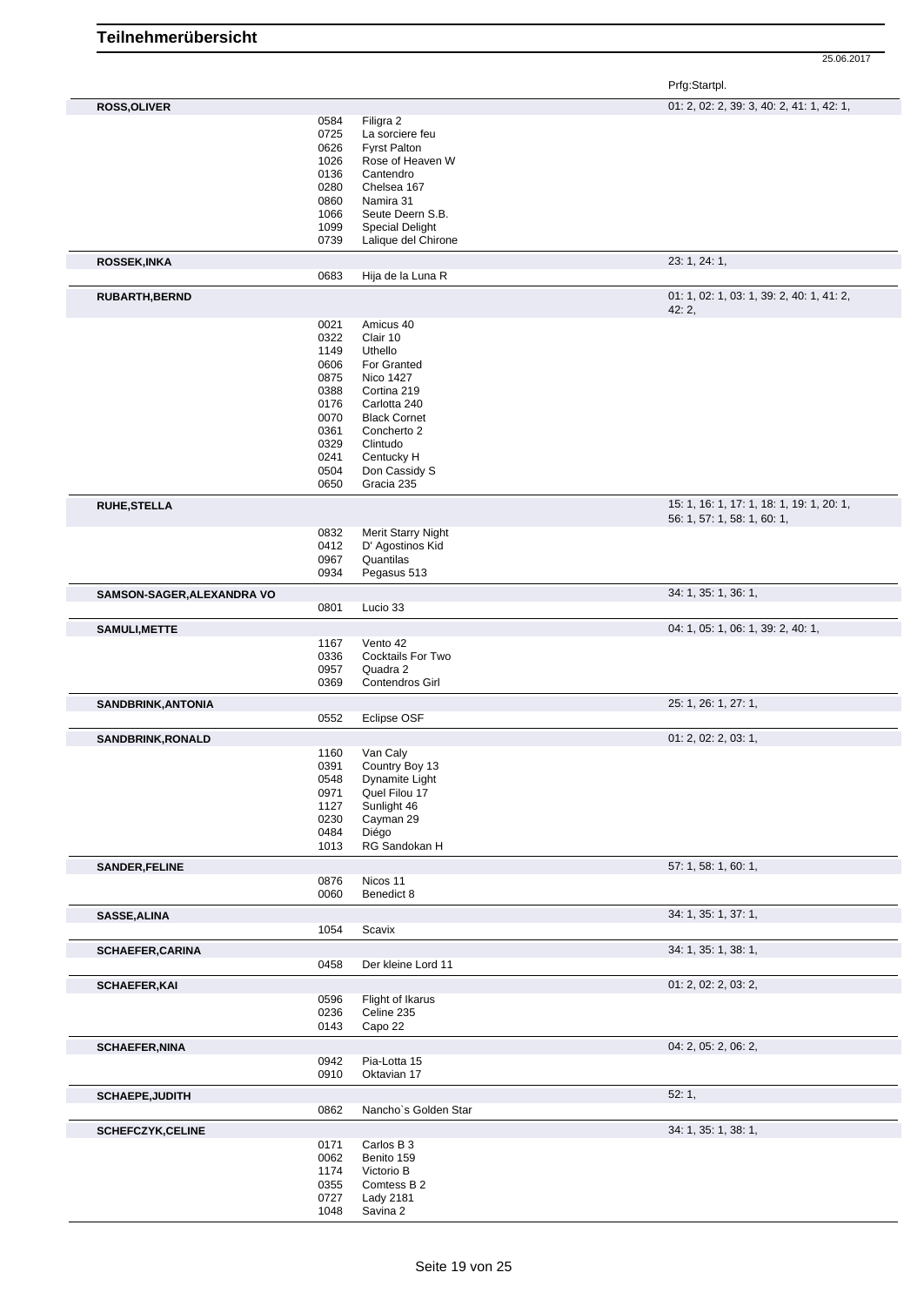25.06.2017

| <b>ROSS, OLIVER</b>        |              |                             | 01: 2, 02: 2, 39: 3, 40: 2, 41: 1, 42: 1,          |
|----------------------------|--------------|-----------------------------|----------------------------------------------------|
|                            | 0584         | Filigra 2                   |                                                    |
|                            | 0725         | La sorciere feu             |                                                    |
|                            | 0626         | <b>Fyrst Palton</b>         |                                                    |
|                            | 1026         | Rose of Heaven W            |                                                    |
|                            | 0136         | Cantendro                   |                                                    |
|                            |              |                             |                                                    |
|                            | 0280         | Chelsea 167                 |                                                    |
|                            | 0860         | Namira 31                   |                                                    |
|                            | 1066         | Seute Deern S.B.            |                                                    |
|                            | 1099         | <b>Special Delight</b>      |                                                    |
|                            | 0739         | Lalique del Chirone         |                                                    |
| <b>ROSSEK, INKA</b>        |              |                             | 23: 1, 24: 1,                                      |
|                            | 0683         | Hija de la Luna R           |                                                    |
| RUBARTH, BERND             |              |                             | 01: 1, 02: 1, 03: 1, 39: 2, 40: 1, 41: 2,<br>42:2, |
|                            | 0021         | Amicus 40                   |                                                    |
|                            | 0322         | Clair 10                    |                                                    |
|                            | 1149         | Uthello                     |                                                    |
|                            | 0606         | For Granted                 |                                                    |
|                            | 0875         | <b>Nico 1427</b>            |                                                    |
|                            | 0388         | Cortina 219                 |                                                    |
|                            |              |                             |                                                    |
|                            | 0176         | Carlotta 240                |                                                    |
|                            | 0070         | <b>Black Cornet</b>         |                                                    |
|                            | 0361         | Concherto 2                 |                                                    |
|                            | 0329         | Clintudo                    |                                                    |
|                            | 0241         | Centucky H                  |                                                    |
|                            | 0504         | Don Cassidy S               |                                                    |
|                            | 0650         | Gracia 235                  |                                                    |
| <b>RUHE, STELLA</b>        |              |                             | 15: 1, 16: 1, 17: 1, 18: 1, 19: 1, 20: 1,          |
|                            | 0832         | Merit Starry Night          | 56: 1, 57: 1, 58: 1, 60: 1,                        |
|                            | 0412         | D' Agostinos Kid            |                                                    |
|                            | 0967         | Quantilas                   |                                                    |
|                            | 0934         | Pegasus 513                 |                                                    |
| SAMSON-SAGER, ALEXANDRA VO |              |                             | 34: 1, 35: 1, 36: 1,                               |
|                            | 0801         | Lucio 33                    |                                                    |
| <b>SAMULI, METTE</b>       |              |                             | 04: 1, 05: 1, 06: 1, 39: 2, 40: 1,                 |
|                            | 1167         | Vento 42                    |                                                    |
|                            | 0336         | Cocktails For Two           |                                                    |
|                            | 0957         | Quadra 2                    |                                                    |
|                            | 0369         | Contendros Girl             |                                                    |
| SANDBRINK, ANTONIA         |              |                             | 25: 1, 26: 1, 27: 1,                               |
|                            | 0552         | Eclipse OSF                 |                                                    |
| SANDBRINK, RONALD          |              |                             | 01: 2, 02: 2, 03: 1,                               |
|                            | 1160         | Van Caly                    |                                                    |
|                            | 0391         | Country Boy 13              |                                                    |
|                            |              |                             |                                                    |
|                            | 0548         | Dynamite Light              |                                                    |
|                            | 0971         | Quel Filou 17               |                                                    |
|                            | 1127         | Sunlight 46                 |                                                    |
|                            | 0230         | Cayman 29                   |                                                    |
|                            | 0484         | Diégo                       |                                                    |
|                            | 1013         | RG Sandokan H               |                                                    |
| <b>SANDER, FELINE</b>      |              |                             | 57: 1, 58: 1, 60: 1,                               |
|                            | 0876<br>0060 | Nicos 11<br>Benedict 8      |                                                    |
|                            |              |                             |                                                    |
| SASSE, ALINA               | 1054         | Scavix                      | 34: 1, 35: 1, 37: 1,                               |
| <b>SCHAEFER, CARINA</b>    |              |                             | 34: 1, 35: 1, 38: 1,                               |
|                            | 0458         | Der kleine Lord 11          |                                                    |
| <b>SCHAEFER, KAI</b>       |              |                             | 01: 2, 02: 2, 03: 2,                               |
|                            | 0596         | Flight of Ikarus            |                                                    |
|                            | 0236         | Celine 235                  |                                                    |
|                            | 0143         | Capo 22                     |                                                    |
|                            |              |                             | 04: 2, 05: 2, 06: 2,                               |
| <b>SCHAEFER, NINA</b>      |              |                             |                                                    |
|                            | 0942<br>0910 | Pia-Lotta 15<br>Oktavian 17 |                                                    |
|                            |              |                             |                                                    |
| <b>SCHAEPE, JUDITH</b>     | 0862         | Nancho's Golden Star        | 52:1,                                              |
|                            |              |                             |                                                    |
| <b>SCHEFCZYK,CELINE</b>    |              |                             | 34: 1, 35: 1, 38: 1,                               |
|                            | 0171         | Carlos B 3                  |                                                    |
|                            | 0062         | Benito 159                  |                                                    |
|                            | 1174         | Victorio B                  |                                                    |
|                            | 0355         | Comtess B 2                 |                                                    |
|                            | 0727         | Lady 2181                   |                                                    |
|                            | 1048         | Savina 2                    |                                                    |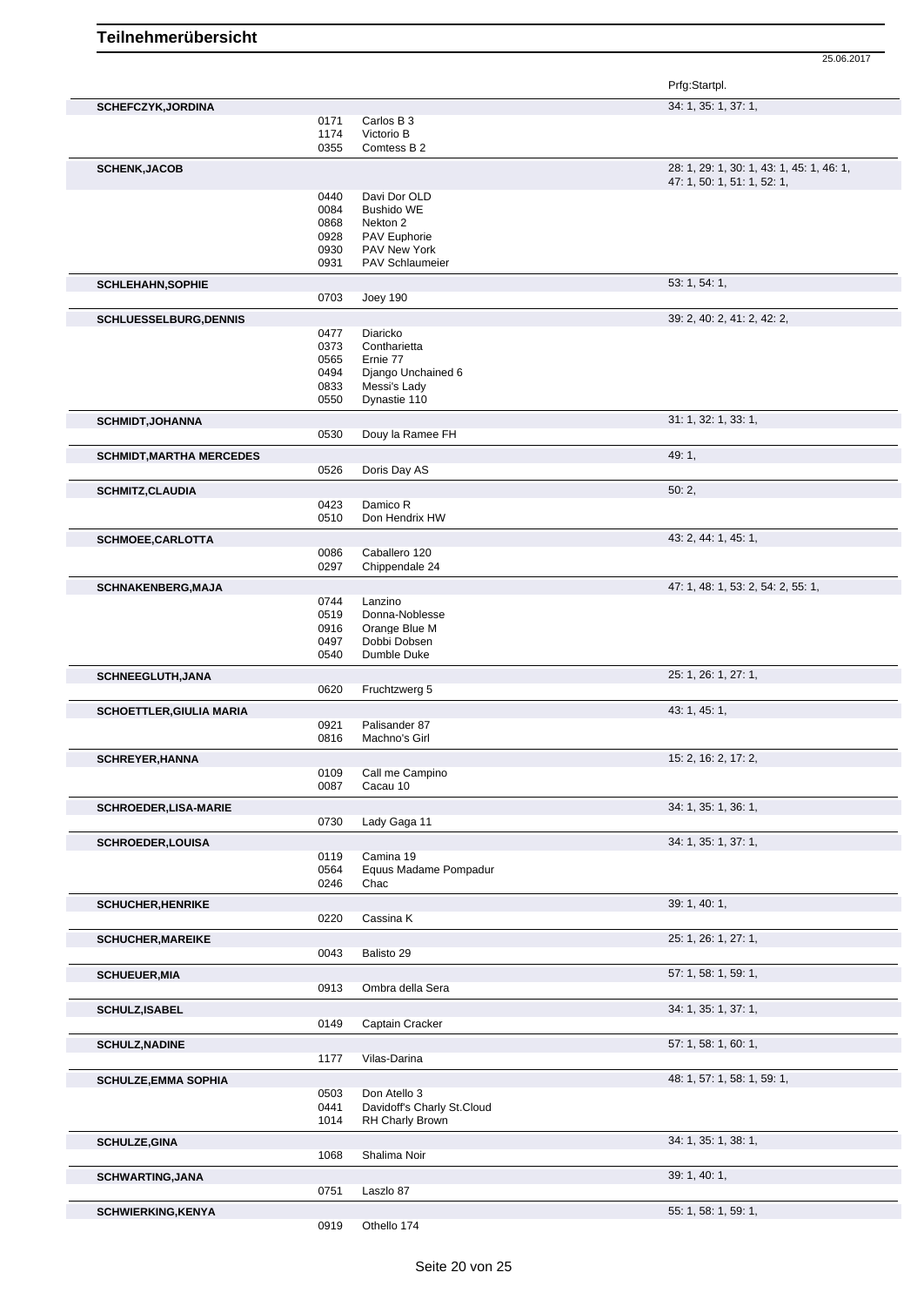|                                 |              |                                    | Prfg:Startpl.                             |
|---------------------------------|--------------|------------------------------------|-------------------------------------------|
| <b>SCHEFCZYK, JORDINA</b>       |              |                                    | 34: 1, 35: 1, 37: 1,                      |
|                                 | 0171         | Carlos B 3                         |                                           |
|                                 | 1174         | Victorio B                         |                                           |
|                                 | 0355         | Comtess B 2                        |                                           |
| <b>SCHENK, JACOB</b>            |              |                                    | 28: 1, 29: 1, 30: 1, 43: 1, 45: 1, 46: 1, |
|                                 | 0440         | Davi Dor OLD                       | 47: 1, 50: 1, 51: 1, 52: 1,               |
|                                 | 0084         | <b>Bushido WE</b>                  |                                           |
|                                 | 0868         | Nekton 2                           |                                           |
|                                 | 0928         | <b>PAV Euphorie</b>                |                                           |
|                                 | 0930         | PAV New York                       |                                           |
|                                 | 0931         | PAV Schlaumeier                    |                                           |
| <b>SCHLEHAHN, SOPHIE</b>        |              |                                    | 53: 1, 54: 1,                             |
|                                 | 0703         | <b>Joey 190</b>                    |                                           |
| <b>SCHLUESSELBURG, DENNIS</b>   |              |                                    | 39: 2, 40: 2, 41: 2, 42: 2,               |
|                                 | 0477         | Diaricko                           |                                           |
|                                 | 0373         | Contharietta                       |                                           |
|                                 | 0565         | Ernie 77                           |                                           |
|                                 | 0494         | Django Unchained 6                 |                                           |
|                                 | 0833         | Messi's Lady                       |                                           |
|                                 | 0550         | Dynastie 110                       |                                           |
| <b>SCHMIDT, JOHANNA</b>         |              |                                    | 31: 1, 32: 1, 33: 1,                      |
|                                 | 0530         | Douy la Ramee FH                   |                                           |
| <b>SCHMIDT, MARTHA MERCEDES</b> |              |                                    | 49:1,                                     |
|                                 | 0526         | Doris Day AS                       |                                           |
| <b>SCHMITZ, CLAUDIA</b>         |              |                                    | 50:2,                                     |
|                                 | 0423         | Damico R                           |                                           |
|                                 | 0510         | Don Hendrix HW                     |                                           |
| <b>SCHMOEE,CARLOTTA</b>         |              |                                    | 43: 2, 44: 1, 45: 1,                      |
|                                 | 0086         | Caballero 120                      |                                           |
|                                 | 0297         | Chippendale 24                     |                                           |
|                                 |              |                                    | 47: 1, 48: 1, 53: 2, 54: 2, 55: 1,        |
| <b>SCHNAKENBERG, MAJA</b>       | 0744         | Lanzino                            |                                           |
|                                 | 0519         | Donna-Noblesse                     |                                           |
|                                 | 0916         | Orange Blue M                      |                                           |
|                                 | 0497         | Dobbi Dobsen                       |                                           |
|                                 | 0540         | Dumble Duke                        |                                           |
|                                 |              |                                    |                                           |
| SCHNEEGLUTH, JANA               | 0620         |                                    | 25: 1, 26: 1, 27: 1,                      |
|                                 |              | Fruchtzwerg 5                      |                                           |
| <b>SCHOETTLER, GIULIA MARIA</b> |              |                                    | 43: 1, 45: 1,                             |
|                                 | 0921         | Palisander 87                      |                                           |
|                                 | 0816         | Machno's Girl                      |                                           |
| <b>SCHREYER, HANNA</b>          |              |                                    | 15: 2, 16: 2, 17: 2,                      |
|                                 | 0109         | Call me Campino                    |                                           |
|                                 | 0087         | Cacau 10                           |                                           |
| <b>SCHROEDER, LISA-MARIE</b>    |              |                                    | 34: 1, 35: 1, 36: 1,                      |
|                                 | 0730         | Lady Gaga 11                       |                                           |
|                                 |              |                                    |                                           |
| <b>SCHROEDER,LOUISA</b>         |              |                                    | 34: 1, 35: 1, 37: 1,                      |
|                                 | 0119<br>0564 | Camina 19<br>Equus Madame Pompadur |                                           |
|                                 | 0246         | Chac                               |                                           |
|                                 |              |                                    |                                           |
| <b>SCHUCHER, HENRIKE</b>        | 0220         | Cassina K                          | 39: 1, 40: 1,                             |
|                                 |              |                                    |                                           |
| <b>SCHUCHER, MAREIKE</b>        | 0043         | Balisto 29                         | 25: 1, 26: 1, 27: 1,                      |
|                                 |              |                                    |                                           |
| <b>SCHUEUER, MIA</b>            |              |                                    | 57: 1, 58: 1, 59: 1,                      |
|                                 | 0913         | Ombra della Sera                   |                                           |
| <b>SCHULZ, ISABEL</b>           |              |                                    | 34: 1, 35: 1, 37: 1,                      |
|                                 | 0149         | Captain Cracker                    |                                           |
| <b>SCHULZ, NADINE</b>           |              |                                    | 57: 1, 58: 1, 60: 1,                      |
|                                 | 1177         | Vilas-Darina                       |                                           |
| <b>SCHULZE, EMMA SOPHIA</b>     |              |                                    | 48: 1, 57: 1, 58: 1, 59: 1,               |
|                                 | 0503         | Don Atello 3                       |                                           |
|                                 | 0441         | Davidoff's Charly St.Cloud         |                                           |
|                                 | 1014         | RH Charly Brown                    |                                           |
|                                 |              |                                    | 34: 1, 35: 1, 38: 1,                      |
| <b>SCHULZE, GINA</b>            | 1068         | Shalima Noir                       |                                           |
|                                 |              |                                    |                                           |
| <b>SCHWARTING, JANA</b>         |              |                                    | 39: 1, 40: 1,                             |
|                                 | 0751         | Laszlo 87                          |                                           |
| <b>SCHWIERKING, KENYA</b>       |              |                                    | 55: 1, 58: 1, 59: 1,                      |
|                                 | 0919         | Othello 174                        |                                           |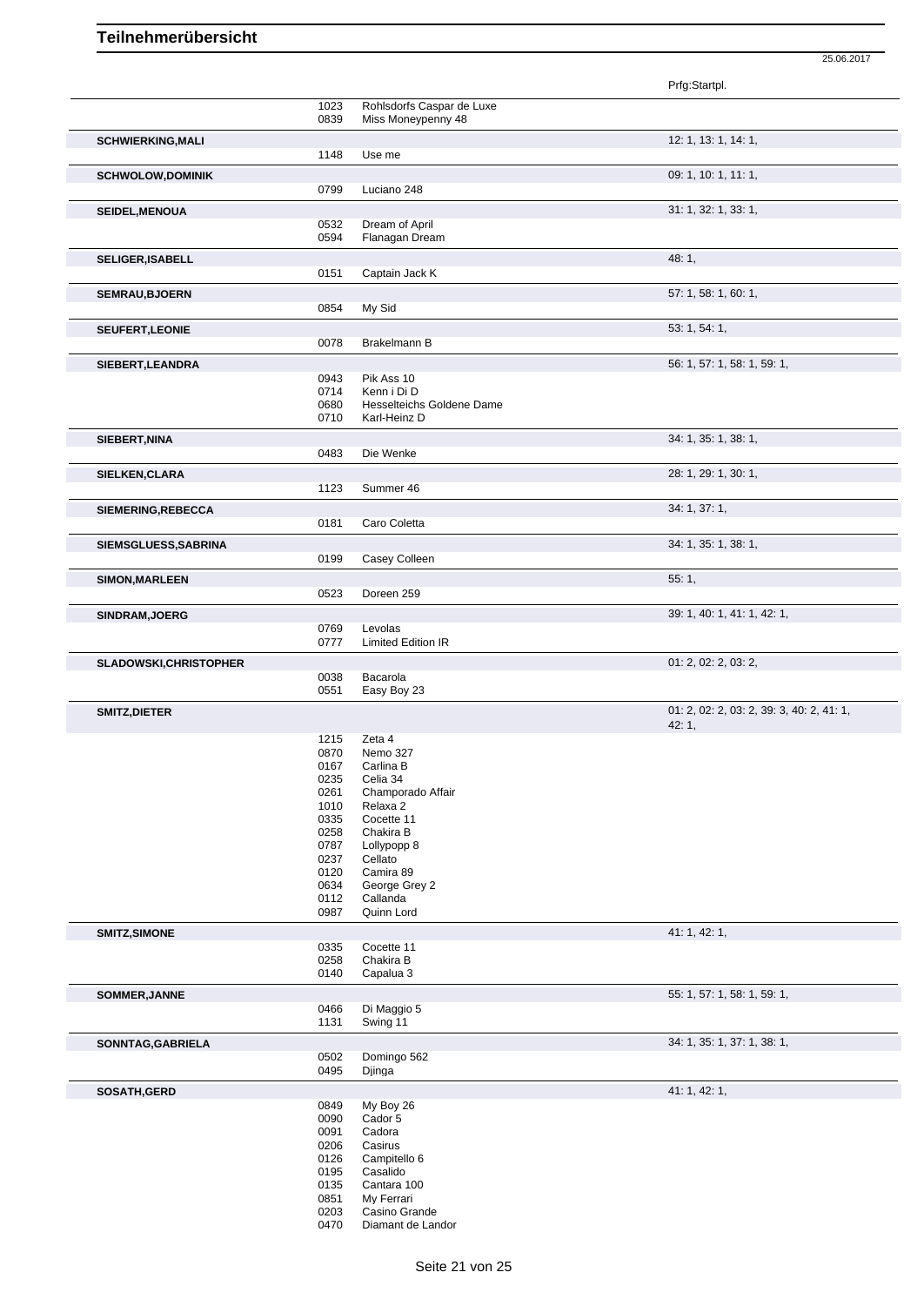|                               |              |                                          | Prfg:Startpl.                             |
|-------------------------------|--------------|------------------------------------------|-------------------------------------------|
|                               | 1023         | Rohlsdorfs Caspar de Luxe                |                                           |
|                               | 0839         | Miss Moneypenny 48                       |                                           |
| <b>SCHWIERKING, MALI</b>      | 1148         | Use me                                   | 12: 1, 13: 1, 14: 1,                      |
|                               |              |                                          | 09: 1, 10: 1, 11: 1,                      |
| <b>SCHWOLOW,DOMINIK</b>       | 0799         | Luciano 248                              |                                           |
| SEIDEL, MENOUA                |              |                                          | 31: 1, 32: 1, 33: 1,                      |
|                               | 0532         | Dream of April                           |                                           |
|                               | 0594         | Flanagan Dream                           |                                           |
| <b>SELIGER, ISABELL</b>       |              |                                          | 48:1,                                     |
|                               | 0151         | Captain Jack K                           |                                           |
| <b>SEMRAU, BJOERN</b>         | 0854         | My Sid                                   | 57: 1, 58: 1, 60: 1,                      |
| <b>SEUFERT, LEONIE</b>        |              |                                          | 53: 1, 54: 1,                             |
|                               | 0078         | Brakelmann B                             |                                           |
| SIEBERT, LEANDRA              |              |                                          | 56: 1, 57: 1, 58: 1, 59: 1,               |
|                               | 0943         | Pik Ass 10                               |                                           |
|                               | 0714<br>0680 | Kenn i Di D<br>Hesselteichs Goldene Dame |                                           |
|                               | 0710         | Karl-Heinz D                             |                                           |
| SIEBERT, NINA                 |              |                                          | 34: 1, 35: 1, 38: 1,                      |
|                               | 0483         | Die Wenke                                |                                           |
| SIELKEN, CLARA                |              |                                          | 28: 1, 29: 1, 30: 1,                      |
|                               | 1123         | Summer 46                                |                                           |
| SIEMERING, REBECCA            |              |                                          | 34: 1, 37: 1,                             |
|                               | 0181         | Caro Coletta                             |                                           |
| SIEMSGLUESS, SABRINA          | 0199         | Casey Colleen                            | 34: 1, 35: 1, 38: 1,                      |
|                               |              |                                          | 55: 1,                                    |
| <b>SIMON, MARLEEN</b>         | 0523         | Doreen 259                               |                                           |
| SINDRAM, JOERG                |              |                                          | 39: 1, 40: 1, 41: 1, 42: 1,               |
|                               | 0769         | Levolas                                  |                                           |
|                               | 0777         | <b>Limited Edition IR</b>                |                                           |
| <b>SLADOWSKI, CHRISTOPHER</b> |              | Bacarola                                 | 01: 2, 02: 2, 03: 2,                      |
|                               | 0038<br>0551 | Easy Boy 23                              |                                           |
| <b>SMITZ, DIETER</b>          |              |                                          | 01: 2, 02: 2, 03: 2, 39: 3, 40: 2, 41: 1, |
|                               |              |                                          | 42:1,                                     |
|                               | 1215         | Zeta 4                                   |                                           |
|                               | 0870<br>0167 | Nemo 327<br>Carlina B                    |                                           |
|                               | 0235         | Celia 34                                 |                                           |
|                               | 0261         | Champorado Affair                        |                                           |
|                               | 1010         | Relaxa 2                                 |                                           |
|                               | 0335         | Cocette 11                               |                                           |
|                               | 0258         | Chakira B                                |                                           |
|                               | 0787<br>0237 | Lollypopp 8<br>Cellato                   |                                           |
|                               | 0120         | Camira 89                                |                                           |
|                               | 0634         | George Grey 2                            |                                           |
|                               | 0112         | Callanda                                 |                                           |
|                               | 0987         | Quinn Lord                               |                                           |
| SMITZ, SIMONE                 | 0335         | Cocette 11                               | 41: 1, 42: 1,                             |
|                               | 0258         | Chakira B                                |                                           |
|                               | 0140         | Capalua 3                                |                                           |
| SOMMER, JANNE                 |              |                                          | 55: 1, 57: 1, 58: 1, 59: 1,               |
|                               | 0466<br>1131 | Di Maggio 5<br>Swing 11                  |                                           |
|                               |              |                                          |                                           |
| SONNTAG, GABRIELA             | 0502         | Domingo 562                              | 34: 1, 35: 1, 37: 1, 38: 1,               |
|                               | 0495         | Djinga                                   |                                           |
| SOSATH, GERD                  |              |                                          | 41: 1, 42: 1,                             |
|                               | 0849         | My Boy 26                                |                                           |
|                               | 0090<br>0091 | Cador 5<br>Cadora                        |                                           |
|                               | 0206         | Casirus                                  |                                           |
|                               | 0126         | Campitello 6                             |                                           |
|                               | 0195         | Casalido                                 |                                           |
|                               | 0135         | Cantara 100                              |                                           |
|                               | 0851         | My Ferrari                               |                                           |
|                               | 0203         | Casino Grande                            |                                           |

25.06.2017

Seite 21 von 25

Diamant de Landor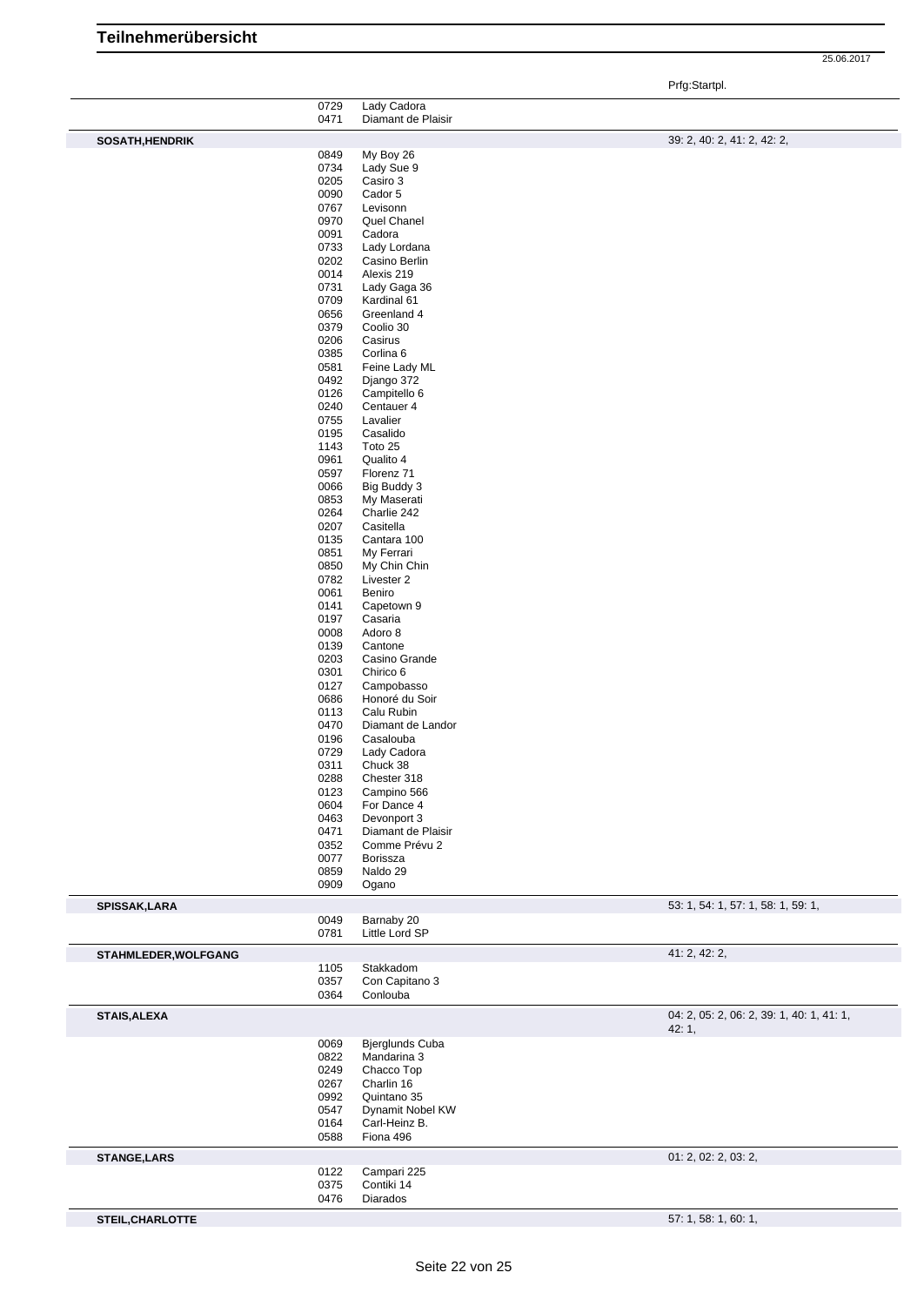Prfg:Startpl.

|                      | 0729         | Lady Cadora                   |                                                    |
|----------------------|--------------|-------------------------------|----------------------------------------------------|
|                      | 0471         | Diamant de Plaisir            |                                                    |
| SOSATH, HENDRIK      |              |                               | 39: 2, 40: 2, 41: 2, 42: 2,                        |
|                      | 0849         | My Boy 26                     |                                                    |
|                      | 0734         | Lady Sue 9                    |                                                    |
|                      | 0205         | Casiro 3                      |                                                    |
|                      | 0090         | Cador 5                       |                                                    |
|                      | 0767         | Levisonn                      |                                                    |
|                      | 0970         | Quel Chanel                   |                                                    |
|                      | 0091         | Cadora                        |                                                    |
|                      | 0733<br>0202 | Lady Lordana<br>Casino Berlin |                                                    |
|                      | 0014         | Alexis 219                    |                                                    |
|                      | 0731         | Lady Gaga 36                  |                                                    |
|                      | 0709         | Kardinal 61                   |                                                    |
|                      | 0656         | Greenland 4                   |                                                    |
|                      | 0379         | Coolio 30                     |                                                    |
|                      | 0206         | Casirus                       |                                                    |
|                      | 0385         | Corlina 6                     |                                                    |
|                      | 0581         | Feine Lady ML                 |                                                    |
|                      | 0492         | Django 372                    |                                                    |
|                      | 0126         | Campitello 6                  |                                                    |
|                      | 0240         | Centauer 4                    |                                                    |
|                      | 0755<br>0195 | Lavalier<br>Casalido          |                                                    |
|                      | 1143         | Toto 25                       |                                                    |
|                      | 0961         | Qualito 4                     |                                                    |
|                      | 0597         | Florenz 71                    |                                                    |
|                      | 0066         | Big Buddy 3                   |                                                    |
|                      | 0853         | My Maserati                   |                                                    |
|                      | 0264         | Charlie 242                   |                                                    |
|                      | 0207         | Casitella                     |                                                    |
|                      | 0135         | Cantara 100                   |                                                    |
|                      | 0851         | My Ferrari                    |                                                    |
|                      | 0850         | My Chin Chin                  |                                                    |
|                      | 0782         | Livester 2                    |                                                    |
|                      | 0061<br>0141 | Beniro<br>Capetown 9          |                                                    |
|                      | 0197         | Casaria                       |                                                    |
|                      | 0008         | Adoro 8                       |                                                    |
|                      | 0139         | Cantone                       |                                                    |
|                      | 0203         | Casino Grande                 |                                                    |
|                      | 0301         | Chirico 6                     |                                                    |
|                      | 0127         | Campobasso                    |                                                    |
|                      | 0686         | Honoré du Soir                |                                                    |
|                      | 0113         | Calu Rubin                    |                                                    |
|                      | 0470         | Diamant de Landor             |                                                    |
|                      | 0196         | Casalouba                     |                                                    |
|                      | 0729         | Lady Cadora<br>Chuck 38       |                                                    |
|                      | 0311<br>0288 | Chester 318                   |                                                    |
|                      | 0123         | Campino 566                   |                                                    |
|                      | 0604         | For Dance 4                   |                                                    |
|                      | 0463         | Devonport 3                   |                                                    |
|                      | 0471         | Diamant de Plaisir            |                                                    |
|                      | 0352         | Comme Prévu 2                 |                                                    |
|                      | 0077         | Borissza                      |                                                    |
|                      | 0859         | Naldo 29                      |                                                    |
|                      | 0909         | Ogano                         |                                                    |
| SPISSAK, LARA        |              |                               | 53: 1, 54: 1, 57: 1, 58: 1, 59: 1,                 |
|                      | 0049         | Barnaby 20                    |                                                    |
|                      | 0781         | Little Lord SP                |                                                    |
| STAHMLEDER, WOLFGANG |              |                               | 41: 2, 42: 2,                                      |
|                      | 1105         | Stakkadom                     |                                                    |
|                      | 0357<br>0364 | Con Capitano 3<br>Conlouba    |                                                    |
|                      |              |                               |                                                    |
| <b>STAIS, ALEXA</b>  |              |                               | 04: 2, 05: 2, 06: 2, 39: 1, 40: 1, 41: 1,<br>42:1, |
|                      | 0069         | Bjerglunds Cuba               |                                                    |
|                      | 0822         | Mandarina 3                   |                                                    |
|                      | 0249         | Chacco Top                    |                                                    |
|                      | 0267         | Charlin 16                    |                                                    |
|                      | 0992         | Quintano 35                   |                                                    |
|                      | 0547         | Dynamit Nobel KW              |                                                    |
|                      | 0164<br>0588 | Carl-Heinz B.<br>Fiona 496    |                                                    |
|                      |              |                               |                                                    |
| <b>STANGE, LARS</b>  | 0122         | Campari 225                   | 01: 2, 02: 2, 03: 2,                               |
|                      | 0375         | Contiki 14                    |                                                    |
|                      | 0476         | Diarados                      |                                                    |
| STEIL, CHARLOTTE     |              |                               | 57: 1, 58: 1, 60: 1,                               |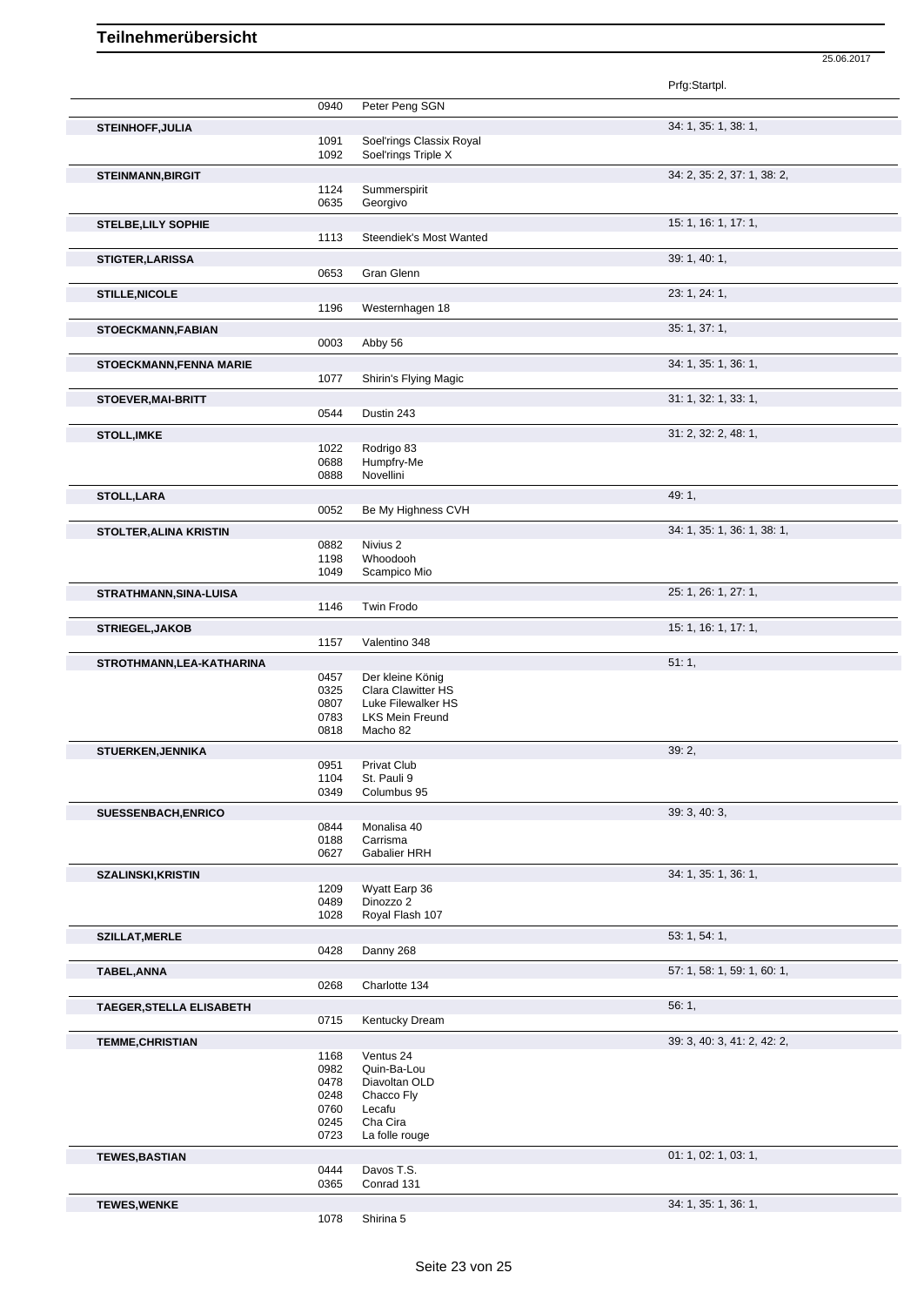Prfg:Startpl. 0940 Peter Peng SGN **STEINHOFF,JULIA** 34: 1, 35: 1, 38: 1, 1091 Soel'rings Classix Royal<br>1092 Soel'rings Triple X Soel'rings Triple X **STEINMANN,BIRGIT** 34: 2, 35: 2, 37: 1, 38: 2, 1124 Summerspirit 0635 Georgivo **STELBE,LILY SOPHIE** 15: 1, 16: 1, 17: 1, 1113 Steendiek's Most Wanted **STIGTER,LARISSA** 39: 1, 40: 1, 0653 Gran Glenn **STILLE,NICOLE** 23: 1, 24: 1, Westernhagen 18 **STOECKMANN,FABIAN** 35: 1, 37: 1, Abby 56 **STOECKMANN,FENNA MARIE 34: 1, 36: 1, 36: 1, 36: 1, 36: 1, 36: 1, 36: 1, 36: 1, 36: 1, 36: 1, 36: 1, 36: 1, 36: 1, 36: 1, 36: 1, 36: 1, 36: 1, 36: 1, 36: 1, 36: 1, 36: 1, 36: 1, 36: 1, 36: 1, 36: 1, 36: 1, 36: 1, 36: 1,** Shirin's Flying Magic **STOEVER,MAI-BRITT** 31: 1, 32: 1, 33: 1, 0544 Dustin 243 **STOLL,IMKE** 31: 2, 32: 2, 48: 1, 1022 Rodrigo 83 0688 Humpfry-Me<br>0888 Novellini Novellini **STOLL,LARA** 49: 1, 0052 Be My Highness CVH **STOLTER,ALINA KRISTIN** 34: 1, 36: 1, 36: 1, 38: 1, 36: 1, 38: 1, 38: 1, 38: 1, 38: 1, 38: 1, 38: 1, 39: 1, 39: 1, 39: 1, 39: 1, 39: 1, 39: 1, 39: 1, 39: 1, 39: 1, 39: 1, 39: 1, 39: 1, 39: 1, 39: 1, 39: 1, 39: 1, 39: 1, 39 0882 Nivius 2<br>1198 Whoodo Whoodooh 1049 Scampico Mio **STRATHMANN,SINA-LUISA** 25: 1, 26: 1, 27: 1, 1146 Twin Frodo **STRIEGEL,JAKOB** 15: 1, 16: 1, 17: 1,<br>
157 Valentino 348 Valentino 348 **STROTHMANN,LEA-KATHARINA** 51: 1, Der kleine König 0325 Clara Clawitter HS 0807 Luke Filewalker HS 0783 LKS Mein Freund<br>0818 Macho 82 Macho 82 **STUERKEN,JENNIKA** 39: 2, 39: 2, 39: 2, 39: 2, 39: 2, 39: 2, 39: 2, 39: 2, 39: 2, 39: 2, 39: 2, 39: 2, 39: 2, 39: 2, 39: 2, 39: 2, 39: 2, 39: 2, 39: 2, 39: 2, 39: 2, 39: 2, 39: 2, 39: 2, 39: 2, 39: 2, 39: 2, 39: 2, 39: 2, 0951 Privat Club<br>1104 St. Pauli 9 1104 St. Pauli 9<br>0349 Columbus Columbus 95 **SUESSENBACH,ENRICO** 39: 3, 40: 3, 40: 3, 40: 3, 40: 3, 40: 3, 40: 3, 40: 3, 40: 3, 40: 3, 40: 3, 40: 3, 40: 3, 40: 3, 40: 3, 40: 3, 40: 3, 40: 3, 5, 40: 3, 5, 40: 3, 5, 40: 3, 5, 40: 3, 5, 40: 3, 5, 40: 3, 5, 40: 3, 5, 40 0844 Monalisa 40<br>0188 Carrisma 0188 Carrisma<br>0627 Gabalier I Gabalier HRH **SZALINSKI,KRISTIN** 34: 1, 35: 1, 36: 1, 1209 Wyatt Earp 36<br>0489 Dinozzo 2 0489 Dinozzo 2<br>1028 Royal Flas Royal Flash 107 **SZILLAT, MERLE** 53: 1, 54: 1, 54: 1, 54: 1, 54: 1, 54: 1, 54: 1, 55: 1, 54: 1, 55: 1, 54: 1, 55: 1, 54: 1, 55: 1, 54: 1, 55: 1, 54: 1, 55: 1, 54: 1, 55: 1, 54: 1, 55: 1, 55: 1, 55: 1, 55: 1, 55: 1, 55: 1, 55: 1, 55: 1, 55 Danny 268 **TABEL,ANNA** 57: 1, 58: 1, 59: 1, 60: 1, Charlotte 134 **TAEGER, STELLA ELISABETH** 56: 1, 56: 1, 56: 1, 56: 1, 56: 1, 56: 1, 56: 1, 56: 1, 56: 1, 56: 1, 56: 1, 56: 1, 56: 1, 56: 1, 56: 1, 56: 1, 56: 1, 56: 1, 56: 1, 56: 1, 56: 1, 56: 1, 56: 1, 56: 1, 56: 1, 56: 1, 56: 1, 56: 1, Kentucky Dream **TEMME,CHRISTIAN** 39: 3, 40: 3, 41: 2, 42: 2, 1168 Ventus 24<br>0982 Quin-Ba-L Quin-Ba-Lou 0478 Diavoltan OLD 0248 Chacco Fly 0760 Lecafu 0245 Cha Cira<br>0723 La folle ro La folle rouge **TEWES,BASTIAN** 01: 1, 02: 1, 03: 1, 03: 1, 03: 1, 03: 1, 03: 1, 03: 1, 03: 1, 03: 1, 03: 1, 03: 1, 03: 1, 03: 1, 03: 1, 03: 1, 03: 1, 03: 1, 03: 1, 03: 1, 03: 1, 03: 1, 03: 1, 03: 1, 03: 1, 03: 1, 03: 1, 03: 1, 03: 1, 03: 0444 Davos T.S.<br>0365 Conrad 131 Conrad 131 **TEWES,WENKE** 34: 1, 35: 1, 36: 1,

25.06.2017

Shirina 5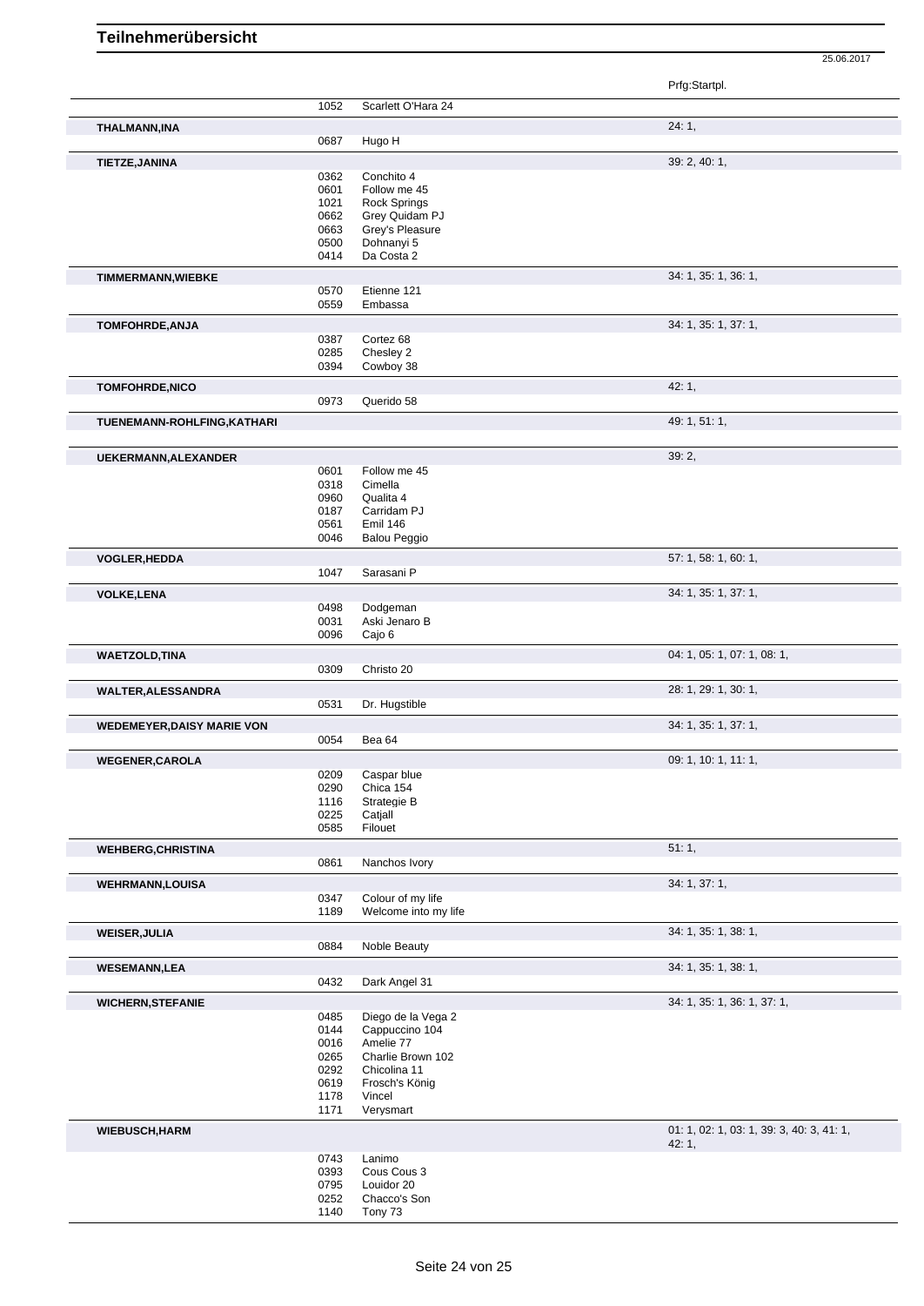|                                   |              |                                     | Prfg:Startpl.                             |
|-----------------------------------|--------------|-------------------------------------|-------------------------------------------|
|                                   | 1052         | Scarlett O'Hara 24                  |                                           |
| <b>THALMANN, INA</b>              |              |                                     | 24:1,                                     |
|                                   | 0687         | Hugo H                              |                                           |
| TIETZE, JANINA                    |              |                                     | 39: 2, 40: 1,                             |
|                                   | 0362         | Conchito 4                          |                                           |
|                                   | 0601<br>1021 | Follow me 45<br><b>Rock Springs</b> |                                           |
|                                   | 0662         | Grey Quidam PJ                      |                                           |
|                                   | 0663         | Grey's Pleasure                     |                                           |
|                                   | 0500         | Dohnanyi 5                          |                                           |
|                                   | 0414         | Da Costa 2                          |                                           |
| <b>TIMMERMANN, WIEBKE</b>         |              |                                     | 34: 1, 35: 1, 36: 1,                      |
|                                   | 0570         | Etienne 121                         |                                           |
|                                   | 0559         | Embassa                             |                                           |
| TOMFOHRDE, ANJA                   |              |                                     | 34: 1, 35: 1, 37: 1,                      |
|                                   | 0387         | Cortez 68                           |                                           |
|                                   | 0285         | Chesley 2                           |                                           |
|                                   | 0394         | Cowboy 38                           |                                           |
| TOMFOHRDE, NICO                   |              |                                     | 42:1,                                     |
|                                   | 0973         | Querido 58                          |                                           |
| TUENEMANN-ROHLFING, KATHARI       |              |                                     | 49: 1, 51: 1,                             |
| UEKERMANN, ALEXANDER              |              |                                     | 39:2,                                     |
|                                   | 0601         | Follow me 45                        |                                           |
|                                   | 0318         | Cimella                             |                                           |
|                                   | 0960         | Qualita 4                           |                                           |
|                                   | 0187         | Carridam PJ                         |                                           |
|                                   | 0561         | <b>Emil 146</b>                     |                                           |
|                                   | 0046         | <b>Balou Peggio</b>                 |                                           |
| VOGLER, HEDDA                     |              |                                     | 57: 1, 58: 1, 60: 1,                      |
|                                   | 1047         | Sarasani P                          |                                           |
| <b>VOLKE, LENA</b>                |              |                                     | 34: 1, 35: 1, 37: 1,                      |
|                                   | 0498         | Dodgeman                            |                                           |
|                                   | 0031         | Aski Jenaro B                       |                                           |
|                                   | 0096         | Cajo 6                              |                                           |
| <b>WAETZOLD, TINA</b>             |              |                                     | 04: 1, 05: 1, 07: 1, 08: 1,               |
|                                   | 0309         | Christo 20                          |                                           |
| <b>WALTER, ALESSANDRA</b>         |              |                                     | 28: 1, 29: 1, 30: 1,                      |
|                                   | 0531         | Dr. Hugstible                       |                                           |
| <b>WEDEMEYER, DAISY MARIE VON</b> |              |                                     | 34: 1, 35: 1, 37: 1,                      |
|                                   | 0054         | Bea 64                              |                                           |
| <b>WEGENER, CAROLA</b>            |              |                                     | 09: 1, 10: 1, 11: 1,                      |
|                                   | 0209         | Caspar blue                         |                                           |
|                                   | 0290         | Chica 154                           |                                           |
|                                   | 1116         | Strategie B                         |                                           |
|                                   | 0225         | Catiall                             |                                           |
|                                   | 0585         | Filouet                             |                                           |
| <b>WEHBERG, CHRISTINA</b>         |              |                                     | 51:1,                                     |
|                                   | 0861         | Nanchos Ivory                       |                                           |
| <b>WEHRMANN,LOUISA</b>            |              |                                     | 34: 1, 37: 1,                             |
|                                   | 0347         | Colour of my life                   |                                           |
|                                   | 1189         | Welcome into my life                |                                           |
| <b>WEISER, JULIA</b>              |              |                                     | 34: 1, 35: 1, 38: 1,                      |
|                                   | 0884         | Noble Beauty                        |                                           |
| <b>WESEMANN,LEA</b>               |              |                                     | 34: 1, 35: 1, 38: 1,                      |
|                                   | 0432         | Dark Angel 31                       |                                           |
| <b>WICHERN, STEFANIE</b>          |              |                                     | 34: 1, 35: 1, 36: 1, 37: 1,               |
|                                   | 0485         | Diego de la Vega 2                  |                                           |
|                                   | 0144         | Cappuccino 104                      |                                           |
|                                   | 0016         | Amelie 77                           |                                           |
|                                   | 0265         | Charlie Brown 102                   |                                           |
|                                   | 0292<br>0619 | Chicolina 11<br>Frosch's König      |                                           |
|                                   | 1178         | Vincel                              |                                           |
|                                   | 1171         | Verysmart                           |                                           |
| <b>WIEBUSCH, HARM</b>             |              |                                     | 01: 1, 02: 1, 03: 1, 39: 3, 40: 3, 41: 1, |
|                                   |              |                                     | 42:1,                                     |
|                                   | 0743<br>0393 | Lanimo<br>Cous Cous 3               |                                           |
|                                   | 0795         | Louidor 20                          |                                           |
|                                   | 0252         | Chacco's Son                        |                                           |
|                                   | 1140         | Tony 73                             |                                           |